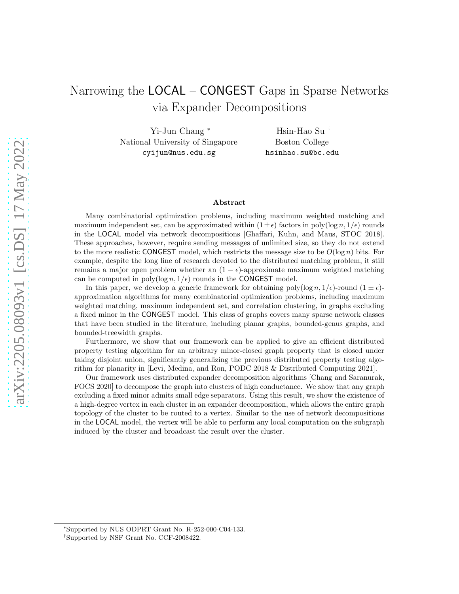# Narrowing the LOCAL – CONGEST Gaps in Sparse Networks via Expander Decompositions

Yi-Jun Chang <sup>∗</sup> National University of Singapore cyijun@nus.edu.sg

Hsin-Hao Su † Boston College hsinhao.su@bc.edu

#### Abstract

Many combinatorial optimization problems, including maximum weighted matching and maximum independent set, can be approximated within  $(1 \pm \epsilon)$  factors in poly(log n,  $1/\epsilon$ ) rounds in the LOCAL model via network decompositions [Ghaffari, Kuhn, and Maus, STOC 2018]. These approaches, however, require sending messages of unlimited size, so they do not extend to the more realistic CONGEST model, which restricts the message size to be  $O(\log n)$  bits. For example, despite the long line of research devoted to the distributed matching problem, it still remains a major open problem whether an  $(1 - \epsilon)$ -approximate maximum weighted matching can be computed in poly( $\log n$ ,  $1/\epsilon$ ) rounds in the CONGEST model.

In this paper, we develop a generic framework for obtaining poly $(\log n, 1/\epsilon)$ -round  $(1 \pm \epsilon)$ approximation algorithms for many combinatorial optimization problems, including maximum weighted matching, maximum independent set, and correlation clustering, in graphs excluding a fixed minor in the CONGEST model. This class of graphs covers many sparse network classes that have been studied in the literature, including planar graphs, bounded-genus graphs, and bounded-treewidth graphs.

Furthermore, we show that our framework can be applied to give an efficient distributed property testing algorithm for an arbitrary minor-closed graph property that is closed under taking disjoint union, significantly generalizing the previous distributed property testing algorithm for planarity in [Levi, Medina, and Ron, PODC 2018 & Distributed Computing 2021].

Our framework uses distributed expander decomposition algorithms [Chang and Saranurak, FOCS 2020] to decompose the graph into clusters of high conductance. We show that any graph excluding a fixed minor admits small edge separators. Using this result, we show the existence of a high-degree vertex in each cluster in an expander decomposition, which allows the entire graph topology of the cluster to be routed to a vertex. Similar to the use of network decompositions in the LOCAL model, the vertex will be able to perform any local computation on the subgraph induced by the cluster and broadcast the result over the cluster.

<sup>∗</sup> Supported by NUS ODPRT Grant No. R-252-000-C04-133.

<sup>†</sup> Supported by NSF Grant No. CCF-2008422.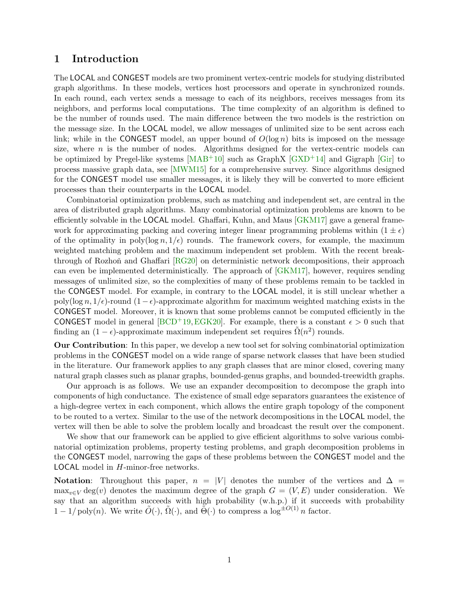# 1 Introduction

The LOCAL and CONGEST models are two prominent vertex-centric models for studying distributed graph algorithms. In these models, vertices host processors and operate in synchronized rounds. In each round, each vertex sends a message to each of its neighbors, receives messages from its neighbors, and performs local computations. The time complexity of an algorithm is defined to be the number of rounds used. The main difference between the two models is the restriction on the message size. In the LOCAL model, we allow messages of unlimited size to be sent across each link; while in the CONGEST model, an upper bound of  $O(\log n)$  bits is imposed on the message size, where  $n$  is the number of nodes. Algorithms designed for the vertex-centric models can be optimized by Pregel-like systems  $[MAB^+10]$  such as GraphX  $[GXD^+14]$  and Gigraph  $[Gir]$  to process massive graph data, see [\[MWM15\]](#page-47-1) for a comprehensive survey. Since algorithms designed for the CONGEST model use smaller messages, it is likely they will be converted to more efficient processes than their counterparts in the LOCAL model.

Combinatorial optimization problems, such as matching and independent set, are central in the area of distributed graph algorithms. Many combinatorial optimization problems are known to be efficiently solvable in the LOCAL model. Ghaffari, Kuhn, and Maus [\[GKM17\]](#page-45-2) gave a general framework for approximating packing and covering integer linear programming problems within  $(1 \pm \epsilon)$ of the optimality in poly $(\log n, 1/\epsilon)$  rounds. The framework covers, for example, the maximum weighted matching problem and the maximum independent set problem. With the recent break-through of Rozhoň and Ghaffari [\[RG20\]](#page-47-2) on deterministic network decompositions, their approach can even be implemented deterministically. The approach of [\[GKM17\]](#page-45-2), however, requires sending messages of unlimited size, so the complexities of many of these problems remain to be tackled in the CONGEST model. For example, in contrary to the LOCAL model, it is still unclear whether a poly(log n,  $1/\epsilon$ )-round  $(1-\epsilon)$ -approximate algorithm for maximum weighted matching exists in the CONGEST model. Moreover, it is known that some problems cannot be computed efficiently in the CONGEST model in general [\[BCD](#page-42-0)+19, [EGK20\]](#page-44-0). For example, there is a constant  $\epsilon > 0$  such that finding an  $(1 - \epsilon)$ -approximate maximum independent set requires  $\tilde{\Omega}(n^2)$  rounds.

Our Contribution: In this paper, we develop a new tool set for solving combinatorial optimization problems in the CONGEST model on a wide range of sparse network classes that have been studied in the literature. Our framework applies to any graph classes that are minor closed, covering many natural graph classes such as planar graphs, bounded-genus graphs, and bounded-treewidth graphs.

Our approach is as follows. We use an expander decomposition to decompose the graph into components of high conductance. The existence of small edge separators guarantees the existence of a high-degree vertex in each component, which allows the entire graph topology of the component to be routed to a vertex. Similar to the use of the network decompositions in the LOCAL model, the vertex will then be able to solve the problem locally and broadcast the result over the component.

We show that our framework can be applied to give efficient algorithms to solve various combinatorial optimization problems, property testing problems, and graph decomposition problems in the CONGEST model, narrowing the gaps of these problems between the CONGEST model and the LOCAL model in H-minor-free networks.

Notation: Throughout this paper,  $n = |V|$  denotes the number of the vertices and  $\Delta =$  $\max_{v \in V} \deg(v)$  denotes the maximum degree of the graph  $G = (V, E)$  under consideration. We say that an algorithm succeeds with high probability (w.h.p.) if it succeeds with probability  $1 - 1/\text{poly}(n)$ . We write  $\tilde{O}(\cdot)$ ,  $\tilde{\Omega}(\cdot)$ , and  $\tilde{\Theta}(\cdot)$  to compress a log<sup> $\pm O(1)$ </sup> n factor.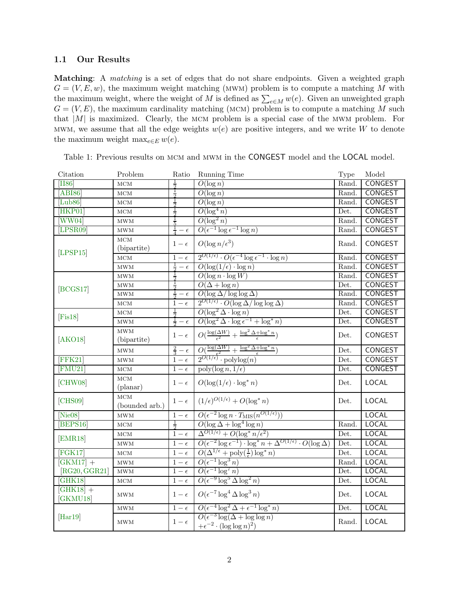### 1.1 Our Results

Matching: A *matching* is a set of edges that do not share endpoints. Given a weighted graph  $G = (V, E, w)$ , the maximum weight matching (MWM) problem is to compute a matching M with the maximum weight, where the weight of M is defined as  $\sum_{e \in M} w(e)$ . Given an unweighted graph  $G = (V, E)$ , the maximum cardinality matching (MCM) problem is to compute a matching M such that  $|M|$  is maximized. Clearly, the MCM problem is a special case of the MWM problem. For MWM, we assume that all the edge weights  $w(e)$  are positive integers, and we write W to denote the maximum weight max $_{e\in E} w(e)$ .

| Citation             | Problem                     | Ratio                  | Running Time                                                                                                                                 | <b>Type</b> | Model          |
|----------------------|-----------------------------|------------------------|----------------------------------------------------------------------------------------------------------------------------------------------|-------------|----------------|
| <b>II86</b>          | MCM                         |                        | $O(\log n)$                                                                                                                                  | Rand.       | CONGEST        |
| ABI86                | MCM                         | $\frac{1}{2}$          | $O(\log n)$                                                                                                                                  | Rand.       | CONGEST        |
| [Lub $86$ ]          | MCM                         | $\frac{1}{2}$          | $\overline{O(\log n})$                                                                                                                       | Rand.       | <b>CONGEST</b> |
| [HKP01]              | $_{\rm MCM}$                |                        | $O(\log^4 n)$                                                                                                                                | Det.        | <b>CONGEST</b> |
| WW04                 | $\mathop{\rm MWM}\nolimits$ |                        | $O(\log^2 n)$                                                                                                                                | Rand.       | CONGEST        |
| LPSR09               | MWM                         | $rac{1}{4} - \epsilon$ | $O(\epsilon^{-1} \log \epsilon^{-1} \log n)$                                                                                                 | Rand.       | <b>CONGEST</b> |
| [LPSP15]             | MCM<br>(bipartite)          | $1-\epsilon$           | $O(\log n/\epsilon^3)$                                                                                                                       | Rand.       | CONGEST        |
|                      | MCM                         | $1-\epsilon$           | $2^{O(1/\epsilon)} \cdot O(\epsilon^{-4} \log \epsilon^{-1} \cdot \log n)$                                                                   | Rand.       | <b>CONGEST</b> |
|                      | $\mathop{\rm MWM}\nolimits$ | $rac{1}{2}-\epsilon$   | $O(\log(1/\epsilon) \cdot \log n)$                                                                                                           | Rand.       | <b>CONGEST</b> |
| [BCGS17]             | $\mathop{\rm MWM}\nolimits$ | $\frac{1}{2}$          | $O(\log n \cdot \log W)$                                                                                                                     | Rand.       | CONGEST        |
|                      | MWM                         |                        | $O(\Delta + \log n)$                                                                                                                         | Det.        | <b>CONGEST</b> |
|                      | MWM                         | $rac{1}{2} - \epsilon$ | $O(\log \Delta/\log\log \Delta)$                                                                                                             | Rand.       | <b>CONGEST</b> |
|                      | $_{\rm MCM}$                | $1-\epsilon$           | $\overline{2^{O(1/\epsilon)}\cdot O(\log \Delta/\log\log \Delta)}$                                                                           | Rand.       | <b>CONGEST</b> |
| [ <b>First8</b> ]    | MCM                         | $\frac{1}{2}$          | $O(\log^2 \Delta \cdot \log n)$                                                                                                              | Det.        | <b>CONGEST</b> |
|                      | MWM                         | $rac{1}{2} - \epsilon$ | $O(\log^2 \Delta \cdot \log \epsilon^{-1} + \log^* n)$                                                                                       | Det.        | <b>CONGEST</b> |
| [AKO18]              | MWM<br>(bipartite)          | $1-\epsilon$           | $O(\frac{\log(\Delta W)}{\epsilon^2} + \frac{\log^2 \Delta + \log^* n}{\epsilon})$                                                           | Det.        | CONGEST        |
|                      | $\mathop{\rm MWM}\nolimits$ | $rac{2}{3} - \epsilon$ | $\frac{O(\frac{\log(\Delta W)}{\epsilon^2} + \frac{\log^2 \Delta + \log^* n}{\epsilon})}{2^{O(1/\epsilon)} \cdot \operatorname{polylog}(n)}$ | Det.        | CONGEST        |
| FFK21                | MWM                         | $1-\epsilon$           |                                                                                                                                              | Det.        | <b>CONGEST</b> |
| FMU21                | MCM                         | $1-\epsilon$           | $\operatorname{poly}(\log n, 1/\epsilon)$                                                                                                    | Det.        | <b>CONGEST</b> |
| [CHW08]              | MCM<br>$(\text{planar})$    | $1-\epsilon$           | $O(\log(1/\epsilon) \cdot \log^* n)$                                                                                                         | Det.        | LOCAL          |
| [CHS09]              | MCM<br>(bounded arb.)       | $1-\epsilon$           | $(1/\epsilon)^{O(1/\epsilon)} + O(\log^* n)$                                                                                                 | Det.        | <b>LOCAL</b>   |
| Nie08                | MWM                         | $1-\epsilon$           | $O(\epsilon^{-2} \log n \cdot T_{\text{MIS}}(n^{O(1/\epsilon)}))$                                                                            |             | <b>LOCAL</b>   |
| BEPS16               | MCM                         | $\frac{1}{2}$          | $O(\log \Delta + \log^4 \log n)$                                                                                                             | Rand.       | <b>LOCAL</b>   |
| [EMR18]              | $_{\rm MCM}$                | $1-\epsilon$           | $\Delta^{O(1/\epsilon)} + O(\log^* n/\epsilon^2)$                                                                                            | Det.        | <b>LOCAL</b>   |
|                      | $\mathop{\rm MWM}\nolimits$ | $1-\epsilon$           | $O(\epsilon^{-2}\log \epsilon^{-1}) \cdot \log^* n + \Delta^{O(1/\epsilon)} \cdot O(\log \Delta)$                                            | Det.        | <b>LOCAL</b>   |
| FGK17                | MCM                         | $1-\epsilon$           | $O(\Delta^{1/\epsilon} + \text{poly}(\frac{1}{\epsilon})\log^* n)$                                                                           | Det.        | <b>LOCAL</b>   |
| $[GKM17] +$          | $\mathop{\rm MWM}\nolimits$ | $1-\epsilon$           | $O(\epsilon^{-1} \log^3 n)$                                                                                                                  | Rand.       | <b>LOCAL</b>   |
| [RG20, GGR21]        | $\mathop{\rm MWM}\nolimits$ | $1-\epsilon$           | $O(\epsilon^{-1} \log^7 n)$                                                                                                                  | Det.        | <b>LOCAL</b>   |
| GHK18                | MCM                         | $1-\epsilon$           | $O(\epsilon^{-9} \log^5 \Delta \log^2 n)$                                                                                                    | Det.        | <b>LOCAL</b>   |
| $[GHK18]+$<br>GKMU18 | $\mathop{\rm MWM}\nolimits$ | $1-\epsilon$           | $O(\epsilon^{-7} \log^4 \Delta \log^3 n)$                                                                                                    | Det.        | LOCAL          |
|                      | $\mathop{\rm MWM}\nolimits$ | $1-\epsilon$           | $O(\epsilon^{-4} \log^2 \Delta + \epsilon^{-1} \log^* n)$                                                                                    | Det.        | <b>LOCAL</b>   |
| [Har19]              | MWM                         | $1-\epsilon$           | $O(\epsilon^{-3} \log(\Delta + \log \log n))$<br>$+\epsilon^{-2} \cdot (\log \log n)^2$                                                      | Rand.       | LOCAL          |

<span id="page-2-0"></span>Table 1: Previous results on mcm and mwm in the CONGEST model and the LOCAL model.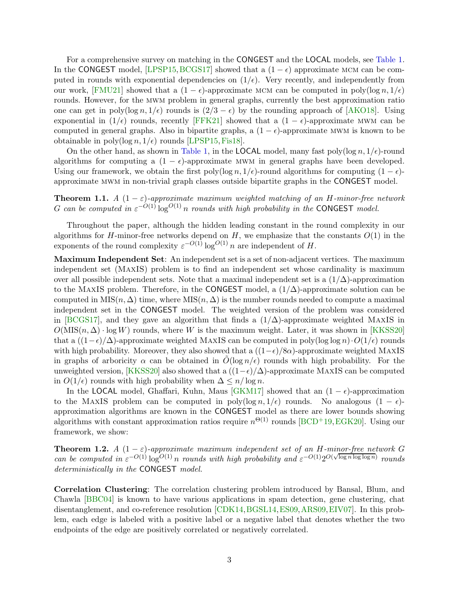For a comprehensive survey on matching in the CONGEST and the LOCAL models, see [Table 1.](#page-2-0) In the CONGEST model, [\[LPSP15,](#page-47-5) [BCGS17\]](#page-42-1) showed that a  $(1 - \epsilon)$  approximate MCM can be computed in rounds with exponential dependencies on  $(1/\epsilon)$ . Very recently, and independently from our work, [\[FMU21\]](#page-44-3) showed that a  $(1 - \epsilon)$ -approximate MCM can be computed in poly $(\log n, 1/\epsilon)$ rounds. However, for the mwm problem in general graphs, currently the best approximation ratio one can get in poly(log n, 1/ $\epsilon$ ) rounds is  $(2/3 - \epsilon)$  by the rounding approach of [\[AKO18\]](#page-41-1). Using exponential in  $(1/\epsilon)$  rounds, recently [\[FFK21\]](#page-44-2) showed that a  $(1 - \epsilon)$ -approximate MWM can be computed in general graphs. Also in bipartite graphs, a  $(1 - \epsilon)$ -approximate MWM is known to be obtainable in poly(log  $n, 1/\epsilon$ ) rounds [\[LPSP15,](#page-47-5) [Fis18\]](#page-44-1).

On the other hand, as shown in [Table 1,](#page-2-0) in the **LOCAL** model, many fast poly $(\log n, 1/\epsilon)$ -round algorithms for computing a  $(1 - \epsilon)$ -approximate MWM in general graphs have been developed. Using our framework, we obtain the first poly(log n,  $1/\epsilon$ )-round algorithms for computing  $(1 - \epsilon)$ approximate mwm in non-trivial graph classes outside bipartite graphs in the CONGEST model.

<span id="page-3-1"></span>**Theorem 1.1.** *A*  $(1 - \varepsilon)$ -approximate maximum weighted matching of an H-minor-free network G can be computed in  $\varepsilon^{-O(1)} \log^{O(1)} n$  *rounds with high probability in the* CONGEST *model.* 

Throughout the paper, although the hidden leading constant in the round complexity in our algorithms for H-minor-free networks depend on  $H$ , we emphasize that the constants  $O(1)$  in the exponents of the round complexity  $\varepsilon^{-O(1)} \log^{O(1)} n$  are independent of H.

Maximum Independent Set: An independent set is a set of non-adjacent vertices. The maximum independent set (MaxIS) problem is to find an independent set whose cardinality is maximum over all possible independent sets. Note that a maximal independent set is a  $(1/\Delta)$ -approximation to the MAXIS problem. Therefore, in the CONGEST model, a  $(1/\Delta)$ -approximate solution can be computed in MIS $(n, \Delta)$  time, where MIS $(n, \Delta)$  is the number rounds needed to compute a maximal independent set in the CONGEST model. The weighted version of the problem was considered in [\[BCGS17\]](#page-42-1), and they gave an algorithm that finds a  $(1/\Delta)$ -approximate weighted MAXIS in  $O(MIS(n, \Delta) \cdot \log W)$  rounds, where W is the maximum weight. Later, it was shown in [\[KKSS20\]](#page-46-1) that a  $((1-\epsilon)/\Delta)$ -approximate weighted MAXIS can be computed in poly(log log n) $\cdot O(1/\epsilon)$  rounds with high probability. Moreover, they also showed that a  $((1-\epsilon)/8\alpha)$ -approximate weighted MAXIS in graphs of arboricity  $\alpha$  can be obtained in  $O(\log n/\epsilon)$  rounds with high probability. For the unweighted version, [\[KKSS20\]](#page-46-1) also showed that a  $((1-\epsilon)/\Delta)$ -approximate MAXIS can be computed in  $O(1/\epsilon)$  rounds with high probability when  $\Delta \leq n/\log n$ .

In the LOCAL model, Ghaffari, Kuhn, Maus [\[GKM17\]](#page-45-2) showed that an  $(1 - \epsilon)$ -approximation to the MAXIS problem can be computed in poly(log n, 1/ $\epsilon$ ) rounds. No analogous  $(1 - \epsilon)$ approximation algorithms are known in the CONGEST model as there are lower bounds showing algorithms with constant approximation ratios require  $n^{\Theta(1)}$  rounds [\[BCD](#page-42-0)<sup>+</sup>19[,EGK20\]](#page-44-0). Using our framework, we show:

<span id="page-3-0"></span>**Theorem 1.2.** *A*  $(1 - \varepsilon)$ -approximate maximum independent set of an H-minor-free network G *can be computed in*  $\varepsilon^{-O(1)} \log^{O(1)} n$  *rounds with high probability and*  $\varepsilon^{-O(1)} 2^{O(\sqrt{\log n} \log \log n)}$  *rounds deterministically in the* CONGEST *model.*

Correlation Clustering: The correlation clustering problem introduced by Bansal, Blum, and Chawla [\[BBC04\]](#page-41-2) is known to have various applications in spam detection, gene clustering, chat disentanglement, and co-reference resolution [\[CDK14,](#page-42-3)[BGSL14,](#page-42-4)[ES09,](#page-44-7)[ARS09,](#page-41-3)[EIV07\]](#page-44-8). In this problem, each edge is labeled with a positive label or a negative label that denotes whether the two endpoints of the edge are positively correlated or negatively correlated.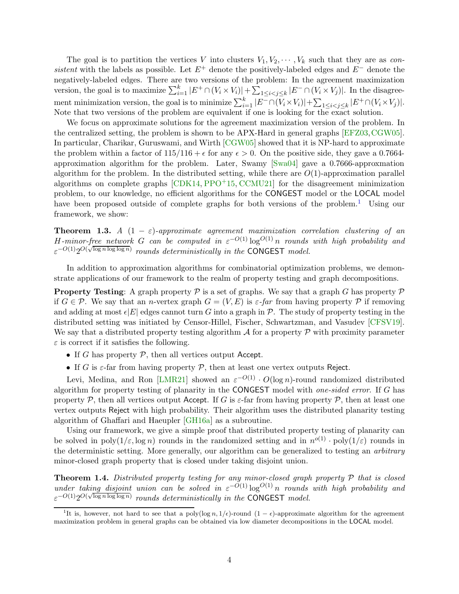The goal is to partition the vertices V into clusters  $V_1, V_2, \cdots, V_k$  such that they are as *consistent* with the labels as possible. Let  $E^+$  denote the positively-labeled edges and  $E^-$  denote the negatively-labeled edges. There are two versions of the problem: In the agreement maximization version, the goal is to maximize  $\sum_{i=1}^{k} |E^+ \cap (V_i \times V_i)| + \sum_{1 \leq i < j \leq k} |E^- \cap (V_i \times V_j)|$ . In the disagreement minimization version, the goal is to minimize  $\sum_{i=1}^{k} |E^{-} \cap (V_i \times V_i)| + \sum_{1 \leq i < j \leq k} |E^{+} \cap (V_i \times V_j)|$ . Note that two versions of the problem are equivalent if one is looking for the exact solution.

We focus on approximate solutions for the agreement maximization version of the problem. In the centralized setting, the problem is shown to be APX-Hard in general graphs [\[EFZ03,](#page-44-9)[CGW05\]](#page-42-5). In particular, Charikar, Guruswami, and Wirth [\[CGW05\]](#page-42-5) showed that it is NP-hard to approximate the problem within a factor of  $115/116 + \epsilon$  for any  $\epsilon > 0$ . On the positive side, they gave a 0.7664approximation algorithm for the problem. Later, Swamy [\[Swa04\]](#page-48-1) gave a 0.7666-approxmation algorithm for the problem. In the distributed setting, while there are  $O(1)$ -approximation parallel algorithms on complete graphs  $\left[CDK14, PPO^{+15}, CCMU21\right]$  $\left[CDK14, PPO^{+15}, CCMU21\right]$  $\left[CDK14, PPO^{+15}, CCMU21\right]$  for the disagreement minimization problem, to our knowledge, no efficient algorithms for the CONGEST model or the LOCAL model have been proposed outside of complete graphs for both versions of the problem.<sup>[1](#page-4-0)</sup> Using our framework, we show:

**Theorem 1.3.** *A*  $(1 - \varepsilon)$ -approximate agreement maximization correlation clustering of an H-minor-free network G can be computed in  $\varepsilon^{-O(1)} \log^{O(1)} n$  rounds with high probability and  $\varepsilon^{-O(1)}2^{O(\sqrt{\log n \log \log n})}$  *rounds deterministically in the* CONGEST *model.* 

In addition to approximation algorithms for combinatorial optimization problems, we demonstrate applications of our framework to the realm of property testing and graph decompositions.

**Property Testing:** A graph property  $\mathcal P$  is a set of graphs. We say that a graph G has property  $\mathcal P$ if  $G \in \mathcal{P}$ . We say that an *n*-vertex graph  $G = (V, E)$  is  $\varepsilon$ -far from having property  $\mathcal{P}$  if removing and adding at most  $\epsilon|E|$  edges cannot turn G into a graph in P. The study of property testing in the distributed setting was initiated by Censor-Hillel, Fischer, Schwartzman, and Vasudev [\[CFSV19\]](#page-42-7). We say that a distributed property testing algorithm  $\mathcal A$  for a property  $\mathcal P$  with proximity parameter  $\varepsilon$  is correct if it satisfies the following.

- If G has property  $P$ , then all vertices output Accept.
- If G is  $\varepsilon$ -far from having property  $\mathcal{P}$ , then at least one vertex outputs Reject.

Levi, Medina, and Ron [\[LMR21\]](#page-46-2) showed an  $\varepsilon^{-O(1)} \cdot O(\log n)$ -round randomized distributed algorithm for property testing of planarity in the CONGEST model with *one-sided error*. If G has property P, then all vertices output Accept. If G is  $\varepsilon$ -far from having property P, then at least one vertex outputs Reject with high probability. Their algorithm uses the distributed planarity testing algorithm of Ghaffari and Haeupler [\[GH16a\]](#page-44-10) as a subroutine.

Using our framework, we give a simple proof that distributed property testing of planarity can be solved in  $poly(1/\varepsilon, \log n)$  rounds in the randomized setting and in  $n^{o(1)} \cdot poly(1/\varepsilon)$  rounds in the deterministic setting. More generally, our algorithm can be generalized to testing an *arbitrary* minor-closed graph property that is closed under taking disjoint union.

<span id="page-4-1"></span>Theorem 1.4. *Distributed property testing for any minor-closed graph property* P *that is closed under taking disjoint union can be solved in*  $\varepsilon^{-O(1)} \log^{O(1)} n$  *rounds with high probability and*  $\varepsilon^{-O(1)}2^{O(\sqrt{\log n \log \log n})}$  *rounds deterministically in the* CONGEST *model.* 

<span id="page-4-0"></span><sup>&</sup>lt;sup>1</sup>It is, however, not hard to see that a poly(log n, 1/ $\epsilon$ )-round (1 –  $\epsilon$ )-approximate algorithm for the agreement maximization problem in general graphs can be obtained via low diameter decompositions in the LOCAL model.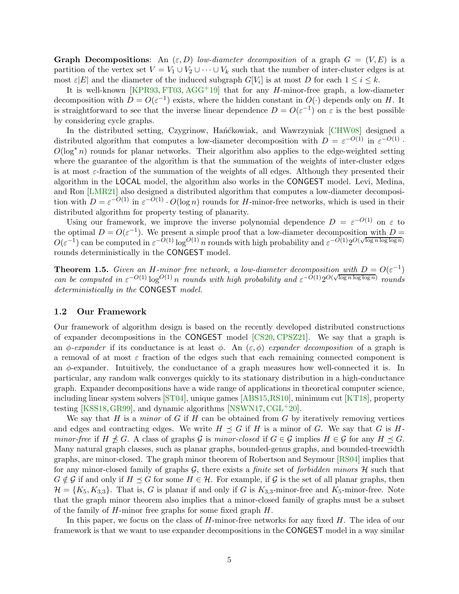**Graph Decompositions:** An  $(\varepsilon, D)$  *low-diameter decomposition* of a graph  $G = (V, E)$  is a partition of the vertex set  $V = V_1 \cup V_2 \cup \cdots \cup V_k$  such that the number of inter-cluster edges is at most  $\varepsilon |E|$  and the diameter of the induced subgraph  $G[V_i]$  is at most D for each  $1 \leq i \leq k$ .

It is well-known [\[KPR93,](#page-46-3) [FT03,](#page-44-11) [AGG](#page-41-4)<sup>+</sup>19] that for any  $H$ -minor-free graph, a low-diameter decomposition with  $D = O(\varepsilon^{-1})$  exists, where the hidden constant in  $O(\cdot)$  depends only on H. It is straightforward to see that the inverse linear dependence  $D = O(\varepsilon^{-1})$  on  $\varepsilon$  is the best possible by considering cycle graphs.

In the distributed setting, Czygrinow, Hańćkowiak, and Wawrzyniak [\[CHW08\]](#page-43-0) designed a distributed algorithm that computes a low-diameter decomposition with  $D = \varepsilon^{-O(1)}$  in  $\varepsilon^{-O(1)}$ .  $O(\log^* n)$  rounds for planar networks. Their algorithm also applies to the edge-weighted setting where the guarantee of the algorithm is that the summation of the weights of inter-cluster edges is at most  $\varepsilon$ -fraction of the summation of the weights of all edges. Although they presented their algorithm in the LOCAL model, the algorithm also works in the CONGEST model. Levi, Medina, and Ron [\[LMR21\]](#page-46-2) also designed a distributed algorithm that computes a low-diameter decomposition with  $D = \varepsilon^{-O(1)}$  in  $\varepsilon^{-O(1)} \cdot O(\log n)$  rounds for *H*-minor-free networks, which is used in their distributed algorithm for property testing of planarity.

Using our framework, we improve the inverse polynomial dependence  $D = \varepsilon^{-O(1)}$  on  $\varepsilon$  to the optimal  $D = O(\varepsilon^{-1})$ . We present a simple proof that a low-diameter decomposition with  $D =$  $O(\varepsilon^{-1})$  can be computed in  $\varepsilon^{-O(1)} \log^{O(1)} n$  rounds with high probability and  $\varepsilon^{-O(1)} 2^{O(\sqrt{\log n} \log \log n)}$ rounds deterministically in the CONGEST model.

<span id="page-5-0"></span>**Theorem 1.5.** *Given an H-minor free network, a low-diameter decomposition with*  $D = O(\varepsilon^{-1})$ *can be computed in*  $\varepsilon^{-O(1)} \log^{O(1)} n$  *rounds with high probability and*  $\varepsilon^{-O(1)} 2^{O(\sqrt{\log n} \log \log n)}$  *rounds deterministically in the* CONGEST *model.*

#### 1.2 Our Framework

Our framework of algorithm design is based on the recently developed distributed constructions of expander decompositions in the CONGEST model [\[CS20,](#page-43-2) [CPSZ21\]](#page-43-3). We say that a graph is an φ-expander if its conductance is at least  $\phi$ . An  $(\varepsilon, \phi)$  *expander decomposition* of a graph is a removal of at most  $\varepsilon$  fraction of the edges such that each remaining connected component is an  $\phi$ -expander. Intuitively, the conductance of a graph measures how well-connected it is. In particular, any random walk converges quickly to its stationary distribution in a high-conductance graph. Expander decompositions have a wide range of applications in theoretical computer science, including linear system solvers [\[ST04\]](#page-48-2), unique games [\[ABS15,](#page-41-5)[RS10\]](#page-48-3), minimum cut [\[KT18\]](#page-46-4), property testing [\[KSS18,](#page-46-5)[GR99\]](#page-45-7), and dynamic algorithms [\[NSWN17,](#page-47-8)[CGL](#page-42-8)+20].

We say that H is a *minor* of G if H can be obtained from G by iteratively removing vertices and edges and contracting edges. We write  $H \preceq G$  if H is a minor of G. We say that G is H*minor-free* if  $H \npreceq G$ . A class of graphs G is *minor-closed* if  $G \in \mathcal{G}$  implies  $H \in \mathcal{G}$  for any  $H \preceq G$ . Many natural graph classes, such as planar graphs, bounded-genus graphs, and bounded-treewidth graphs, are minor-closed. The graph minor theorem of Robertson and Seymour [\[RS04\]](#page-48-4) implies that for any minor-closed family of graphs G, there exists a *finite* set of *forbidden minors* H such that  $G \notin \mathcal{G}$  if and only if  $H \preceq G$  for some  $H \in \mathcal{H}$ . For example, if  $\mathcal{G}$  is the set of all planar graphs, then  $\mathcal{H} = \{K_5, K_{3,3}\}.$  That is, G is planar if and only if G is  $K_{3,3}$ -minor-free and  $K_5$ -minor-free. Note that the graph minor theorem also implies that a minor-closed family of graphs must be a subset of the family of  $H$ -minor free graphs for some fixed graph  $H$ .

In this paper, we focus on the class of  $H$ -minor-free networks for any fixed  $H$ . The idea of our framework is that we want to use expander decompositions in the CONGEST model in a way similar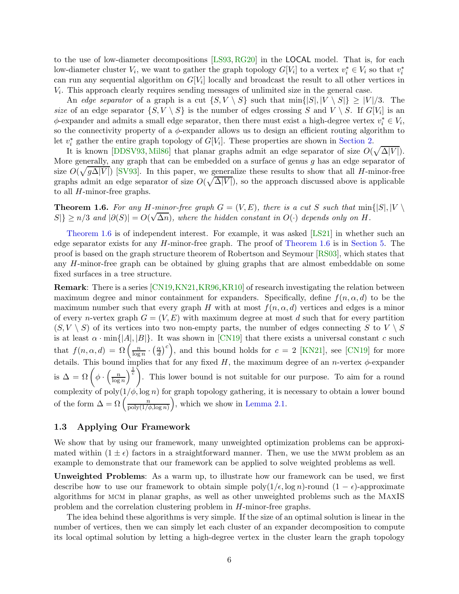to the use of low-diameter decompositions [\[LS93,](#page-47-9) [RG20\]](#page-47-2) in the LOCAL model. That is, for each low-diameter cluster  $V_i$ , we want to gather the graph topology  $G[V_i]$  to a vertex  $v_i^* \in V_i$  so that  $v_i^*$ can run any sequential algorithm on  $G[V_i]$  locally and broadcast the result to all other vertices in Vi . This approach clearly requires sending messages of unlimited size in the general case.

An *edge separator* of a graph is a cut  $\{S, V \setminus S\}$  such that  $\min\{|S|, |V \setminus S|\} > |V|/3$ . The *size* of an edge separator  $\{S, V \setminus S\}$  is the number of edges crossing S and  $V \setminus S$ . If  $G[V_i]$  is an  $\phi$ -expander and admits a small edge separator, then there must exist a high-degree vertex  $v_i^* \in V_i$ , so the connectivity property of a  $\phi$ -expander allows us to design an efficient routing algorithm to let  $v_i^*$  gather the entire graph topology of  $G[V_i]$ . These properties are shown in [Section 2.](#page-9-0)

It is known [\[DDSV93,](#page-43-4) [Mil86\]](#page-47-10) that planar graphs admit an edge separator of size  $O(\sqrt{\Delta|V|})$ . More generally, any graph that can be embedded on a surface of genus  $g$  has an edge separator of size  $O(\sqrt{g\Delta|V|})$  [\[SV93\]](#page-48-5). In this paper, we generalize these results to show that all H-minor-free graphs admit an edge separator of size  $O(\sqrt{\Delta|V|})$ , so the approach discussed above is applicable to all H-minor-free graphs.

<span id="page-6-0"></span>**Theorem 1.6.** For any H-minor-free graph  $G = (V, E)$ , there is a cut S such that  $\min\{|S|, |V|$  $|S|\ge n/3$  and  $|\partial(S)|=O(\sqrt{\Delta n})$ , where the hidden constant in  $O(\cdot)$  depends only on H.

[Theorem 1.6](#page-6-0) is of independent interest. For example, it was asked [\[LS21\]](#page-47-11) in whether such an edge separator exists for any H-minor-free graph. The proof of [Theorem 1.6](#page-6-0) is in [Section 5.](#page-33-0) The proof is based on the graph structure theorem of Robertson and Seymour [\[RS03\]](#page-47-12), which states that any H-minor-free graph can be obtained by gluing graphs that are almost embeddable on some fixed surfaces in a tree structure.

**Remark:** There is a series  $[CN19, KN21, KR96, KR10]$  $[CN19, KN21, KR96, KR10]$  $[CN19, KN21, KR96, KR10]$  $[CN19, KN21, KR96, KR10]$  $[CN19, KN21, KR96, KR10]$  $[CN19, KN21, KR96, KR10]$  of research investigating the relation between maximum degree and minor containment for expanders. Specifically, define  $f(n, \alpha, d)$  to be the maximum number such that every graph H with at most  $f(n, \alpha, d)$  vertices and edges is a minor of every n-vertex graph  $G = (V, E)$  with maximum degree at most d such that for every partition  $(S, V \setminus S)$  of its vertices into two non-empty parts, the number of edges connecting S to  $V \setminus S$ is at least  $\alpha \cdot \min\{|A|, |B|\}$ . It was shown in [\[CN19\]](#page-43-5) that there exists a universal constant c such that  $f(n, \alpha, d) = \Omega \left( \frac{n}{\log n} \right)$  $\frac{n}{\log n} \cdot \left(\frac{\alpha}{d}\right)$  $\left(\frac{\alpha}{d}\right)^c$ , and this bound holds for  $c = 2$  [\[KN21\]](#page-46-6), see [\[CN19\]](#page-43-5) for more details. This bound implies that for any fixed H, the maximum degree of an *n*-vertex  $\phi$ -expander is  $\Delta = \Omega\left(\phi \cdot \left(\frac{n}{\log n}\right)\right)$  $\log n$  $\sqrt{\frac{1}{c}}$ . This lower bound is not suitable for our purpose. To aim for a round complexity of  $poly(1/\phi, \log n)$  for graph topology gathering, it is necessary to obtain a lower bound of the form  $\Delta = \Omega \left( \frac{n}{\text{poly}(1/\epsilon)} \right)$  $poly(1/\phi,\log n)$ ), which we show in [Lemma 2.1.](#page-10-0)

## 1.3 Applying Our Framework

We show that by using our framework, many unweighted optimization problems can be approximated within  $(1 \pm \epsilon)$  factors in a straightforward manner. Then, we use the MWM problem as an example to demonstrate that our framework can be applied to solve weighted problems as well.

Unweighted Problems: As a warm up, to illustrate how our framework can be used, we first describe how to use our framework to obtain simple poly( $1/\epsilon$ , log n)-round  $(1 - \epsilon)$ -approximate algorithms for mcm in planar graphs, as well as other unweighted problems such as the MaxIS problem and the correlation clustering problem in H-minor-free graphs.

The idea behind these algorithms is very simple. If the size of an optimal solution is linear in the number of vertices, then we can simply let each cluster of an expander decomposition to compute its local optimal solution by letting a high-degree vertex in the cluster learn the graph topology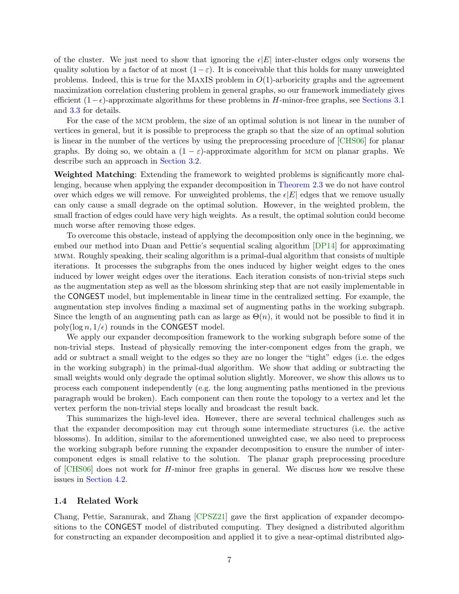of the cluster. We just need to show that ignoring the  $\epsilon|E|$  inter-cluster edges only worsens the quality solution by a factor of at most  $(1-\varepsilon)$ . It is conceivable that this holds for many unweighted problems. Indeed, this is true for the MAXIS problem in  $O(1)$ -arboricity graphs and the agreement maximization correlation clustering problem in general graphs, so our framework immediately gives efficient  $(1 - \epsilon)$ -approximate algorithms for these problems in H-minor-free graphs, see [Sections 3.1](#page-15-0) and [3.3](#page-16-0) for details.

For the case of the MCM problem, the size of an optimal solution is not linear in the number of vertices in general, but it is possible to preprocess the graph so that the size of an optimal solution is linear in the number of the vertices by using the preprocessing procedure of [\[CHS06\]](#page-43-6) for planar graphs. By doing so, we obtain a  $(1 - \varepsilon)$ -approximate algorithm for MCM on planar graphs. We describe such an approach in [Section 3.2.](#page-15-1)

Weighted Matching: Extending the framework to weighted problems is significantly more challenging, because when applying the expander decomposition in [Theorem 2.3](#page-13-0) we do not have control over which edges we will remove. For unweighted problems, the  $\epsilon|E|$  edges that we remove usually can only cause a small degrade on the optimal solution. However, in the weighted problem, the small fraction of edges could have very high weights. As a result, the optimal solution could become much worse after removing those edges.

To overcome this obstacle, instead of applying the decomposition only once in the beginning, we embed our method into Duan and Pettie's sequential scaling algorithm [\[DP14\]](#page-43-7) for approximating mwm. Roughly speaking, their scaling algorithm is a primal-dual algorithm that consists of multiple iterations. It processes the subgraphs from the ones induced by higher weight edges to the ones induced by lower weight edges over the iterations. Each iteration consists of non-trivial steps such as the augmentation step as well as the blossom shrinking step that are not easily implementable in the CONGEST model, but implementable in linear time in the centralized setting. For example, the augmentation step involves finding a maximal set of augmenting paths in the working subgraph. Since the length of an augmenting path can as large as  $\Theta(n)$ , it would not be possible to find it in poly(log  $n, 1/\epsilon$ ) rounds in the CONGEST model.

We apply our expander decomposition framework to the working subgraph before some of the non-trivial steps. Instead of physically removing the inter-component edges from the graph, we add or subtract a small weight to the edges so they are no longer the "tight" edges (i.e. the edges in the working subgraph) in the primal-dual algorithm. We show that adding or subtracting the small weights would only degrade the optimal solution slightly. Moreover, we show this allows us to process each component independently (e.g. the long augmenting paths mentioned in the previous paragraph would be broken). Each component can then route the topology to a vertex and let the vertex perform the non-trivial steps locally and broadcast the result back.

This summarizes the high-level idea. However, there are several technical challenges such as that the expander decomposition may cut through some intermediate structures (i.e. the active blossoms). In addition, similar to the aforementioned unweighted case, we also need to preprocess the working subgraph before running the expander decomposition to ensure the number of intercomponent edges is small relative to the solution. The planar graph preprocessing procedure of [\[CHS06\]](#page-43-6) does not work for H-minor free graphs in general. We discuss how we resolve these issues in [Section 4.2.](#page-22-0)

#### 1.4 Related Work

Chang, Pettie, Saranurak, and Zhang [\[CPSZ21\]](#page-43-3) gave the first application of expander decompositions to the CONGEST model of distributed computing. They designed a distributed algorithm for constructing an expander decomposition and applied it to give a near-optimal distributed algo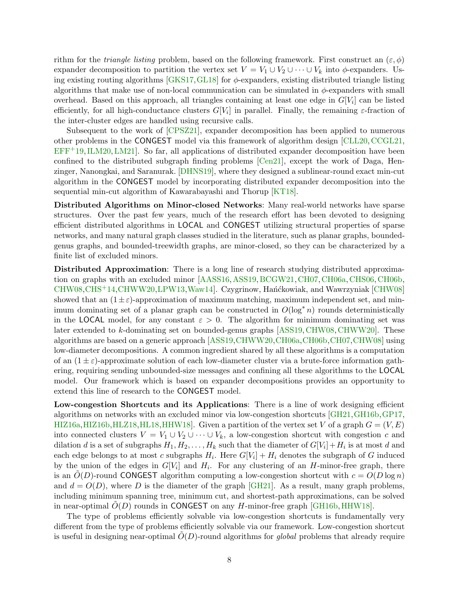rithm for the *triangle listing* problem, based on the following framework. First construct an  $(\varepsilon, \phi)$ expander decomposition to partition the vertex set  $V = V_1 \cup V_2 \cup \cdots \cup V_k$  into  $\phi$ -expanders. Using existing routing algorithms  $[GKS17, GL18]$  $[GKS17, GL18]$  for  $\phi$ -expanders, existing distributed triangle listing algorithms that make use of non-local communication can be simulated in  $\phi$ -expanders with small overhead. Based on this approach, all triangles containing at least one edge in  $G[V_i]$  can be listed efficiently, for all high-conductance clusters  $G[V_i]$  in parallel. Finally, the remaining  $\varepsilon$ -fraction of the inter-cluster edges are handled using recursive calls.

Subsequent to the work of [\[CPSZ21\]](#page-43-3), expander decomposition has been applied to numerous other problems in the CONGEST model via this framework of algorithm design [\[CLL20,](#page-43-8)[CCGL21,](#page-42-9)  $EFF<sup>+</sup>19, ILM20, LM21$  $EFF<sup>+</sup>19, ILM20, LM21$  $EFF<sup>+</sup>19, ILM20, LM21$  $EFF<sup>+</sup>19, ILM20, LM21$ . So far, all applications of distributed expander decomposition have been confined to the distributed subgraph finding problems [\[Cen21\]](#page-42-10), except the work of Daga, Henzinger, Nanongkai, and Saranurak. [\[DHNS19\]](#page-43-10), where they designed a sublinear-round exact min-cut algorithm in the CONGEST model by incorporating distributed expander decomposition into the sequential min-cut algorithm of Kawarabayashi and Thorup [\[KT18\]](#page-46-4).

Distributed Algorithms on Minor-closed Networks: Many real-world networks have sparse structures. Over the past few years, much of the research effort has been devoted to designing efficient distributed algorithms in LOCAL and CONGEST utilizing structural properties of sparse networks, and many natural graph classes studied in the literature, such as planar graphs, boundedgenus graphs, and bounded-treewidth graphs, are minor-closed, so they can be characterized by a finite list of excluded minors.

Distributed Approximation: There is a long line of research studying distributed approxima-tion on graphs with an excluded minor [\[AASS16,](#page-41-6) [ASS19,](#page-41-7) [BCGW21,](#page-42-11) [CH07,](#page-43-11) [CH06a,](#page-42-12) [CHS06,](#page-43-6) [CH06b,](#page-42-13) [CHW08,](#page-43-0) [CHS](#page-43-12)<sup>+</sup>14, CHWW20, [LPW13,](#page-47-13) Waw14. Czygrinow, Han´ckowiak, and Wawrzyniak [\[CHW08\]](#page-43-0) showed that an  $(1 \pm \varepsilon)$ -approximation of maximum matching, maximum independent set, and minimum dominating set of a planar graph can be constructed in  $O(\log^* n)$  rounds deterministically in the LOCAL model, for any constant  $\varepsilon > 0$ . The algorithm for minimum dominating set was later extended to k-dominating set on bounded-genus graphs [\[ASS19,](#page-41-7) [CHW08,](#page-43-0) [CHWW20\]](#page-43-13). These algorithms are based on a generic approach [\[ASS19,](#page-41-7)[CHWW20,](#page-43-13)[CH06a,](#page-42-12)[CH06b,](#page-42-13)[CH07,](#page-43-11)[CHW08\]](#page-43-0) using low-diameter decompositions. A common ingredient shared by all these algorithms is a computation of an  $(1 \pm \varepsilon)$ -approximate solution of each low-diameter cluster via a brute-force information gathering, requiring sending unbounded-size messages and confining all these algorithms to the LOCAL model. Our framework which is based on expander decompositions provides an opportunity to extend this line of research to the CONGEST model.

Low-congestion Shortcuts and its Applications: There is a line of work designing efficient algorithms on networks with an excluded minor via low-congestion shortcuts [\[GH21,](#page-45-10)[GH16b,](#page-44-12)[GP17,](#page-45-11) [HIZ16a,](#page-45-12) [HIZ16b,](#page-45-13) [HLZ18,](#page-46-11) [HL18,](#page-46-12) [HHW18\]](#page-45-14). Given a partition of the vertex set V of a graph  $G = (V, E)$ into connected clusters  $V = V_1 \cup V_2 \cup \cdots \cup V_k$ , a low-congestion shortcut with congestion c and dilation d is a set of subgraphs  $H_1, H_2, \ldots, H_k$  such that the diameter of  $G[V_i] + H_i$  is at most d and each edge belongs to at most c subgraphs  $H_i$ . Here  $G[V_i] + H_i$  denotes the subgraph of G induced by the union of the edges in  $G[V_i]$  and  $H_i$ . For any clustering of an H-minor-free graph, there is an  $O(D)$ -round CONGEST algorithm computing a low-congestion shortcut with  $c = O(D \log n)$ and  $d = O(D)$ , where D is the diameter of the graph  $[GH21]$ . As a result, many graph problems, including minimum spanning tree, minimum cut, and shortest-path approximations, can be solved in near-optimal  $O(D)$  rounds in CONGEST on any H-minor-free graph [\[GH16b,](#page-44-12) [HHW18\]](#page-45-14).

The type of problems efficiently solvable via low-congestion shortcuts is fundamentally very different from the type of problems efficiently solvable via our framework. Low-congestion shortcut is useful in designing near-optimal  $O(D)$ -round algorithms for *global* problems that already require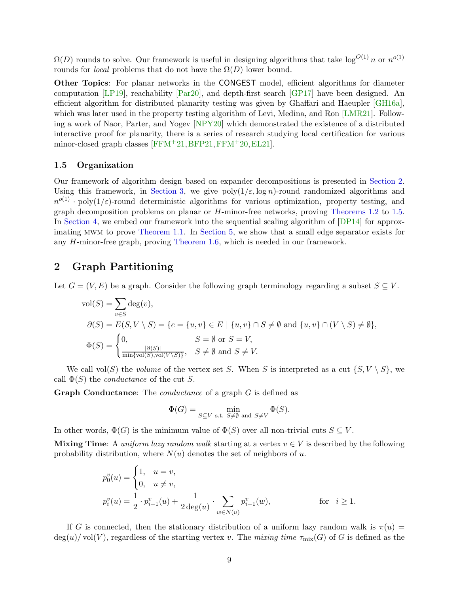$\Omega(D)$  rounds to solve. Our framework is useful in designing algorithms that take  $\log^{O(1)} n$  or  $n^{o(1)}$ rounds for *local* problems that do not have the  $\Omega(D)$  lower bound.

Other Topics: For planar networks in the CONGEST model, efficient algorithms for diameter computation [\[LP19\]](#page-46-13), reachability [\[Par20\]](#page-47-14), and depth-first search [\[GP17\]](#page-45-11) have been designed. An efficient algorithm for distributed planarity testing was given by Ghaffari and Haeupler [\[GH16a\]](#page-44-10), which was later used in the property testing algorithm of Levi, Medina, and Ron [\[LMR21\]](#page-46-2). Following a work of Naor, Parter, and Yogev [\[NPY20\]](#page-47-15) which demonstrated the existence of a distributed interactive proof for planarity, there is a series of research studying local certification for various minor-closed graph classes  $[FFM+21,BFP21,FFM+20,EL21]$  $[FFM+21,BFP21,FFM+20,EL21]$ .

#### 1.5 Organization

Our framework of algorithm design based on expander decompositions is presented in [Section 2.](#page-9-0) Using this framework, in [Section 3,](#page-15-2) we give  $\text{poly}(1/\varepsilon, \log n)$ -round randomized algorithms and  $n^{o(1)} \cdot \text{poly}(1/\varepsilon)$ -round deterministic algorithms for various optimization, property testing, and graph decomposition problems on planar or H-minor-free networks, proving [Theorems 1.2](#page-3-0) to [1.5.](#page-5-0) In [Section 4,](#page-19-0) we embed our framework into the sequential scaling algorithm of [\[DP14\]](#page-43-7) for approximating mwm to prove [Theorem 1.1.](#page-3-1) In [Section 5,](#page-33-0) we show that a small edge separator exists for any H-minor-free graph, proving [Theorem 1.6,](#page-6-0) which is needed in our framework.

# <span id="page-9-0"></span>2 Graph Partitioning

Let  $G = (V, E)$  be a graph. Consider the following graph terminology regarding a subset  $S \subseteq V$ .

$$
\text{vol}(S) = \sum_{v \in S} \deg(v),
$$
  
\n
$$
\partial(S) = E(S, V \setminus S) = \{e = \{u, v\} \in E \mid \{u, v\} \cap S \neq \emptyset \text{ and } \{u, v\} \cap (V \setminus S) \neq \emptyset\},\
$$
  
\n
$$
\Phi(S) = \begin{cases} 0, & S = \emptyset \text{ or } S = V, \\ \frac{|\partial(S)|}{\min\{\text{vol}(S), \text{vol}(V \setminus S)\}}, & S \neq \emptyset \text{ and } S \neq V. \end{cases}
$$

We call vol(S) the *volume* of the vertex set S. When S is interpreted as a cut  $\{S, V \setminus S\}$ , we call  $\Phi(S)$  the *conductance* of the cut S.

Graph Conductance: The *conductance* of a graph G is defined as

$$
\Phi(G) = \min_{S \subseteq V \text{ s.t. } S \neq \emptyset \text{ and } S \neq V} \Phi(S).
$$

In other words,  $\Phi(G)$  is the minimum value of  $\Phi(S)$  over all non-trivial cuts  $S \subseteq V$ .

Mixing Time: A *uniform lazy random walk* starting at a vertex  $v \in V$  is described by the following probability distribution, where  $N(u)$  denotes the set of neighbors of u.

$$
p_0^v(u) = \begin{cases} 1, & u = v, \\ 0, & u \neq v, \end{cases}
$$
  

$$
p_i^v(u) = \frac{1}{2} \cdot p_{i-1}^v(u) + \frac{1}{2 \deg(u)} \cdot \sum_{w \in N(u)} p_{i-1}^v(w), \quad \text{for } i \ge 1.
$$

If G is connected, then the stationary distribution of a uniform lazy random walk is  $\pi(u)$  =  $deg(u)/vol(V)$ , regardless of the starting vertex v. The *mixing time*  $\tau_{mix}(G)$  of G is defined as the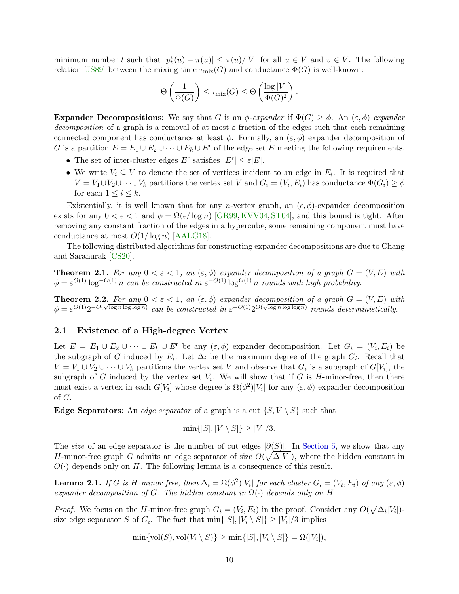minimum number t such that  $|p_t^v(u) - \pi(u)| \leq \pi(u)/|V|$  for all  $u \in V$  and  $v \in V$ . The following relation [\[JS89\]](#page-46-14) between the mixing time  $\tau_{mix}(G)$  and conductance  $\Phi(G)$  is well-known:

$$
\Theta\left(\frac{1}{\Phi(G)}\right) \leq \tau_{\mathrm{mix}}(G) \leq \Theta\left(\frac{\log |V|}{\Phi(G)^2}\right).
$$

**Expander Decompositions:** We say that G is an  $\phi$ -expander if  $\Phi(G) \geq \phi$ . An  $(\varepsilon, \phi)$  expander *decomposition* of a graph is a removal of at most  $\varepsilon$  fraction of the edges such that each remaining connected component has conductance at least  $\phi$ . Formally, an  $(\varepsilon, \phi)$  expander decomposition of G is a partition  $E = E_1 \cup E_2 \cup \cdots \cup E_k \cup E^r$  of the edge set E meeting the following requirements.

- The set of inter-cluster edges  $E^r$  satisfies  $|E^r| \leq \varepsilon |E|$ .
- We write  $V_i \subseteq V$  to denote the set of vertices incident to an edge in  $E_i$ . It is required that  $V = V_1 \cup V_2 \cup \cdots \cup V_k$  partitions the vertex set V and  $G_i = (V_i, E_i)$  has conductance  $\Phi(G_i) \ge \phi$ for each  $1 \leq i \leq k$ .

Existentially, it is well known that for any *n*-vertex graph, an  $(\epsilon, \phi)$ -expander decomposition exists for any  $0 < \epsilon < 1$  and  $\phi = \Omega(\epsilon/\log n)$  [\[GR99,](#page-45-7) [KVV04,](#page-46-15) [ST04\]](#page-48-2), and this bound is tight. After removing any constant fraction of the edges in a hypercube, some remaining component must have conductance at most  $O(1/\log n)$  [\[AALG18\]](#page-41-8).

<span id="page-10-1"></span>The following distributed algorithms for constructing expander decompositions are due to Chang and Saranurak [\[CS20\]](#page-43-2).

**Theorem 2.1.** For any  $0 < \varepsilon < 1$ , an  $(\varepsilon, \phi)$  expander decomposition of a graph  $G = (V, E)$  with  $\phi = \varepsilon^{O(1)} \log^{-O(1)} n$  can be constructed in  $\varepsilon^{-O(1)} \log^{O(1)} n$  rounds with high probability.

<span id="page-10-2"></span>**Theorem 2.2.** For any  $0 < \varepsilon < 1$ , an  $(\varepsilon, \phi)$  expander decomposition of a graph  $G = (V, E)$  with  $\phi = \varepsilon^{O(1)} 2^{-O(\sqrt{\log n \log \log n})}$  can be constructed in  $\varepsilon^{-O(1)} 2^{O(\sqrt{\log n \log \log n})}$  rounds deterministically.

# 2.1 Existence of a High-degree Vertex

Let  $E = E_1 \cup E_2 \cup \cdots \cup E_k \cup E^r$  be any  $(\varepsilon, \phi)$  expander decomposition. Let  $G_i = (V_i, E_i)$  be the subgraph of G induced by  $E_i$ . Let  $\Delta_i$  be the maximum degree of the graph  $G_i$ . Recall that  $V = V_1 \cup V_2 \cup \cdots \cup V_k$  partitions the vertex set V and observe that  $G_i$  is a subgraph of  $G[V_i]$ , the subgraph of G induced by the vertex set  $V_i$ . We will show that if G is H-minor-free, then there must exist a vertex in each  $G[V_i]$  whose degree is  $\Omega(\phi^2)|V_i|$  for any  $(\varepsilon, \phi)$  expander decomposition of G.

**Edge Separators:** An *edge separator* of a graph is a cut  $\{S, V \setminus S\}$  such that

$$
\min\{|S|, |V \setminus S|\} \ge |V|/3.
$$

The *size* of an edge separator is the number of cut edges  $|\partial(S)|$ . In [Section 5,](#page-33-0) we show that any H-minor-free graph G admits an edge separator of size  $O(\sqrt{\Delta|V|})$ , where the hidden constant in  $O(\cdot)$  depends only on H. The following lemma is a consequence of this result.

<span id="page-10-0"></span>**Lemma 2.1.** *If* G *is* H-minor-free, then  $\Delta_i = \Omega(\phi^2)|V_i|$  for each cluster  $G_i = (V_i, E_i)$  of any  $(\varepsilon, \phi)$ *expander decomposition of* G. The hidden constant in  $\Omega(\cdot)$  depends only on H.

*Proof.* We focus on the *H*-minor-free graph  $G_i = (V_i, E_i)$  in the proof. Consider any  $O(\sqrt{\Delta_i|V_i|})$ size edge separator S of  $G_i$ . The fact that  $\min\{|S|, |V_i \setminus S|\} \ge |V_i|/3$  implies

$$
\min\{\text{vol}(S),\text{vol}(V_i\setminus S)\}\geq \min\{|S|,|V_i\setminus S|\}=\Omega(|V_i|),
$$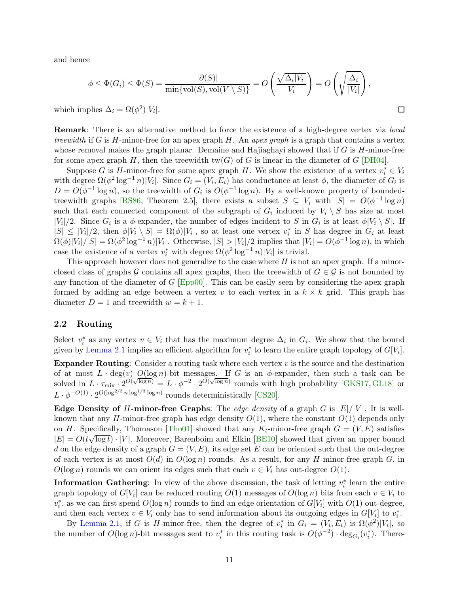and hence

$$
\phi \leq \Phi(G_i) \leq \Phi(S) = \frac{|\partial(S)|}{\min\{\text{vol}(S), \text{vol}(V \setminus S)\}} = O\left(\frac{\sqrt{\Delta_i|V_i|}}{V_i}\right) = O\left(\sqrt{\frac{\Delta_i}{|V_i|}}\right),
$$

 $\Box$ 

which implies  $\Delta_i = \Omega(\phi^2)|V_i|$ .

Remark: There is an alternative method to force the existence of a high-degree vertex via *local treewidth* if G is H-minor-free for an apex graph H. An *apex graph* is a graph that contains a vertex whose removal makes the graph planar. Demaine and Hajiaghayi showed that if  $G$  is  $H$ -minor-free for some apex graph H, then the treewidth  $tw(G)$  of G is linear in the diameter of G [\[DH04\]](#page-43-14).

Suppose G is H-minor-free for some apex graph H. We show the existence of a vertex  $v_i^* \in V_i$ with degree  $\Omega(\phi^2 \log^{-1} n)|V_i|$ . Since  $G_i = (V_i, E_i)$  has conductance at least  $\phi$ , the diameter of  $G_i$  is  $D = O(\phi^{-1} \log n)$ , so the treewidth of  $G_i$  is  $O(\phi^{-1} \log n)$ . By a well-known property of bounded-treewidth graphs [\[RS86,](#page-47-16) Theorem 2.5], there exists a subset  $S \subseteq V_i$  with  $|S| = O(\phi^{-1} \log n)$ such that each connected component of the subgraph of  $G_i$  induced by  $V_i \setminus S$  has size at most  $|V_i|/2$ . Since  $G_i$  is a  $\phi$ -expander, the number of edges incident to S in  $G_i$  is at least  $\phi|V_i \setminus S|$ . If  $|S| \leq |V_i|/2$ , then  $\phi|V_i \setminus S| = \Omega(\phi)|V_i|$ , so at least one vertex  $v_i^*$  in S has degree in  $G_i$  at least  $\Omega(\phi)|V_i|/|S| = \Omega(\phi^2 \log^{-1} n)|V_i|$ . Otherwise,  $|S| > |V_i|/2$  implies that  $|V_i| = O(\phi^{-1} \log n)$ , in which case the existence of a vertex  $v_i^*$  with degree  $\Omega(\phi^2 \log^{-1} n)|V_i|$  is trivial.

This approach however does not generalize to the case where  $H$  is not an apex graph. If a minorclosed class of graphs G contains all apex graphs, then the treewidth of  $G \in \mathcal{G}$  is not bounded by any function of the diameter of  $G$  [\[Epp00\]](#page-44-15). This can be easily seen by considering the apex graph formed by adding an edge between a vertex v to each vertex in a  $k \times k$  grid. This graph has diameter  $D = 1$  and treewidth  $w = k + 1$ .

### 2.2 Routing

Select  $v_i^*$  as any vertex  $v \in V_i$  that has the maximum degree  $\Delta_i$  in  $G_i$ . We show that the bound given by [Lemma 2.1](#page-10-0) implies an efficient algorithm for  $v_i^*$  to learn the entire graph topology of  $G[V_i]$ .

**Expander Routing:** Consider a routing task where each vertex  $v$  is the source and the destination of at most  $L \cdot \deg(v)$   $O(\log n)$ -bit messages. If G is an  $\phi$ -expander, then such a task can be solved in  $L \cdot \tau_{\text{mix}} \cdot 2^{O(\sqrt{\log n})} = L \cdot \phi^{-2} \cdot 2^{O(\sqrt{\log n})}$  rounds with high probability [\[GKS17,](#page-45-8) [GL18\]](#page-45-9) or  $L \cdot \phi^{-O(1)} \cdot 2^{O(\log^{2/3} n \log^{1/3} \log n)}$  rounds deterministically [\[CS20\]](#page-43-2).

**Edge Density of H-minor-free Graphs:** The *edge density* of a graph G is  $|E|/|V|$ . It is wellknown that any H-minor-free graph has edge density  $O(1)$ , where the constant  $O(1)$  depends only on H. Specifically, Thomason [\[Tho01\]](#page-48-7) showed that any  $K_t$ -minor-free graph  $G = (V, E)$  satisfies  $|E| = O(t\sqrt{\log t})$   $|V|$ . Moreover, Barenboim and Elkin [\[BE10\]](#page-42-14) showed that given an upper bound d on the edge density of a graph  $G = (V, E)$ , its edge set E can be oriented such that the out-degree of each vertex is at most  $O(d)$  in  $O(\log n)$  rounds. As a result, for any H-minor-free graph G, in  $O(\log n)$  rounds we can orient its edges such that each  $v \in V_i$  has out-degree  $O(1)$ .

**Information Gathering**: In view of the above discussion, the task of letting  $v_i^*$  learn the entire graph topology of  $G[V_i]$  can be reduced routing  $O(1)$  messages of  $O(\log n)$  bits from each  $v \in V_i$  to  $v_i^*$ , as we can first spend  $O(\log n)$  rounds to find an edge orientation of  $G[V_i]$  with  $O(1)$  out-degree, and then each vertex  $v \in V_i$  only has to send information about its outgoing edges in  $G[V_i]$  to  $v_i^*$ .

By [Lemma 2.1,](#page-10-0) if G is H-minor-free, then the degree of  $v_i^*$  in  $G_i = (V_i, E_i)$  is  $\Omega(\phi^2)|V_i|$ , so the number of  $O(\log n)$ -bit messages sent to  $v_i^*$  in this routing task is  $O(\phi^{-2}) \cdot \deg_{G_i}(v_i^*)$ . There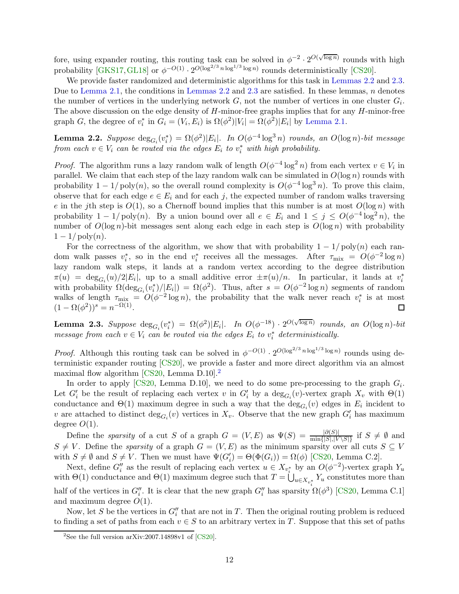fore, using expander routing, this routing task can be solved in  $\phi^{-2} \cdot 2^{O(\sqrt{\log n})}$  rounds with high probability  $[\text{GKS17}, \text{GL18}]$  or  $\phi^{-O(1)} \cdot 2^{O(\log^{2/3} n \log^{1/3} \log n)}$  rounds deterministically [\[CS20\]](#page-43-2).

We provide faster randomized and deterministic algorithms for this task in [Lemmas 2.2](#page-12-0) and [2.3.](#page-12-1) Due to [Lemma 2.1,](#page-10-0) the conditions in [Lemmas 2.2](#page-12-0) and [2.3](#page-12-1) are satisfied. In these lemmas,  $n$  denotes the number of vertices in the underlying network  $G$ , not the number of vertices in one cluster  $G_i$ . The above discussion on the edge density of  $H$ -minor-free graphs implies that for any  $H$ -minor-free graph G, the degree of  $v_i^*$  in  $G_i = (V_i, E_i)$  is  $\Omega(\phi^2)|V_i| = \Omega(\phi^2)|E_i|$  by [Lemma 2.1.](#page-10-0)

<span id="page-12-0"></span>**Lemma 2.2.** *Suppose*  $\deg_{G_i}(v_i^*) = \Omega(\phi^2)|E_i|$ . In  $O(\phi^{-4} \log^3 n)$  rounds, an  $O(\log n)$ -bit message *from each*  $v \in V_i$  *can be routed via the edges*  $E_i$  *to*  $v_i^*$  *with high probability.* 

*Proof.* The algorithm runs a lazy random walk of length  $O(\phi^{-4} \log^2 n)$  from each vertex  $v \in V_i$  in parallel. We claim that each step of the lazy random walk can be simulated in  $O(\log n)$  rounds with probability  $1 - 1/poly(n)$ , so the overall round complexity is  $O(\phi^{-4} \log^3 n)$ . To prove this claim, observe that for each edge  $e \in E_i$  and for each j, the expected number of random walks traversing e in the jth step is  $O(1)$ , so a Chernoff bound implies that this number is at most  $O(\log n)$  with probability  $1 - 1/\text{poly}(n)$ . By a union bound over all  $e \in E_i$  and  $1 \leq j \leq O(\phi^{-4} \log^2 n)$ , the number of  $O(\log n)$ -bit messages sent along each edge in each step is  $O(\log n)$  with probability  $1 - 1/\text{poly}(n)$ .

For the correctness of the algorithm, we show that with probability  $1 - 1/poly(n)$  each random walk passes  $v_i^*$ , so in the end  $v_i^*$  receives all the messages. After  $\tau_{\text{mix}} = O(\phi^{-2} \log n)$ lazy random walk steps, it lands at a random vertex according to the degree distribution  $\pi(u) = \deg_{G_i}(u)/2|E_i|$ , up to a small additive error  $\pm \pi(u)/n$ . In particular, it lands at  $v_i^*$ with probability  $\Omega(\deg_{G_i}(v_i^*)/|E_i|) = \Omega(\phi^2)$ . Thus, after  $s = O(\phi^{-2} \log n)$  segments of random walks of length  $\tau_{\text{mix}} = O(\phi^{-2} \log n)$ , the probability that the walk never reach  $v_i^*$  is at most  $(1 - \Omega(\phi^2))^s = n^{-\Omega(1)}.$  $\Box$ 

<span id="page-12-1"></span>**Lemma 2.3.** Suppose  $\deg_{G_i}(v_i^*) = \Omega(\phi^2)|E_i|$ . In  $O(\phi^{-18}) \cdot 2^{O(\sqrt{\log n})}$  rounds, an  $O(\log n)$ -bit *message from each*  $v \in V_i$  *can be routed via the edges*  $E_i$  *to*  $v_i^*$  *deterministically.* 

*Proof.* Although this routing task can be solved in  $\phi^{-O(1)} \cdot 2^{O(\log^{2/3} n \log^{1/3} \log n)}$  rounds using deterministic expander routing [\[CS20\]](#page-43-2), we provide a faster and more direct algorithm via an almost maximal flow algorithm  $[CS20, \text{Lemma D.10}]$  $[CS20, \text{Lemma D.10}]$  $[CS20, \text{Lemma D.10}]$ .

In order to apply [\[CS20,](#page-43-2) Lemma D.10], we need to do some pre-processing to the graph  $G_i$ . Let  $G'_i$  be the result of replacing each vertex v in  $G'_i$  by a  $\deg_{G_i}(v)$ -vertex graph  $X_v$  with  $\Theta(1)$ conductance and  $\Theta(1)$  maximum degree in such a way that the  $\deg_{G_i}(v)$  edges in  $E_i$  incident to v are attached to distinct  $\deg_{G_i}(v)$  vertices in  $X_v$ . Observe that the new graph  $G'_i$  has maximum degree  $O(1)$ .

Define the *sparsity* of a cut S of a graph  $G = (V, E)$  as  $\Psi(S) = \frac{|\partial(S)|}{\min\{|S|, |V \setminus S|\}}$  if  $S \neq \emptyset$  and  $S \neq V$ . Define the *sparsity* of a graph  $G = (V, E)$  as the minimum sparsity over all cuts  $S \subseteq V$ with  $S \neq \emptyset$  and  $S \neq V$ . Then we must have  $\Psi(G_i') = \Theta(\Phi(G_i)) = \Omega(\phi)$  [\[CS20,](#page-43-2) Lemma C.2].

Next, define  $G''_i$  as the result of replacing each vertex  $u \in X_{v_i^*}$  by an  $O(\phi^{-2})$ -vertex graph  $Y_u$ with  $\Theta(1)$  conductance and  $\Theta(1)$  maximum degree such that  $T = \bigcup_{u \in X_{v_i^*}} Y_u$  constitutes more than half of the vertices in  $G''_i$ . It is clear that the new graph  $G''_i$  has sparsity  $\Omega(\phi^3)$  [\[CS20,](#page-43-2) Lemma C.1] and maximum degree  $O(1)$ .

Now, let S be the vertices in  $G''_i$  that are not in T. Then the original routing problem is reduced to finding a set of paths from each  $v \in S$  to an arbitrary vertex in T. Suppose that this set of paths

<span id="page-12-2"></span><sup>&</sup>lt;sup>2</sup>See the full version [arXiv:2007.14898v1](https://arxiv.org/abs/2007.14898v1) of  $[CS20]$ .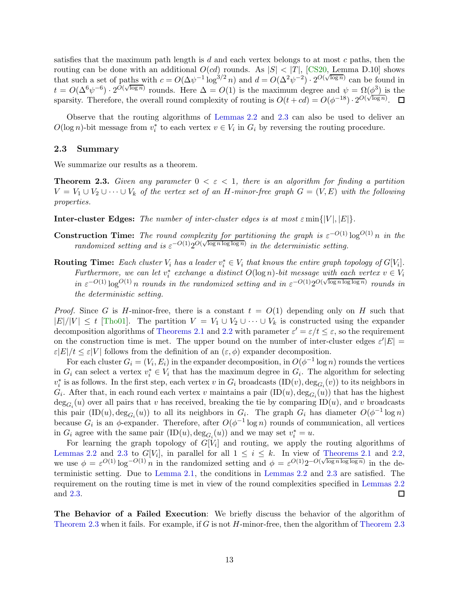satisfies that the maximum path length is  $d$  and each vertex belongs to at most  $c$  paths, then the routing can be done with an additional  $O(cd)$  rounds. As  $|S| < |T|$ , [\[CS20,](#page-43-2) Lemma D.10] shows that such a set of paths with  $c = O(\Delta \psi^{-1} \log^{3/2} n)$  and  $d = O(\Delta^2 \psi^{-2}) \cdot 2^{O(\sqrt{\log n})}$  can be found in  $t = O(\Delta^6 \psi^{-6}) \cdot 2^{O(\sqrt{\log n})}$  rounds. Here  $\Delta = O(1)$  is the maximum degree and  $\psi = \Omega(\phi^3)$  is the sparsity. Therefore, the overall round complexity of routing is  $O(t + cd) = O(\phi^{-18}) \cdot 2^{O(\sqrt{\log n})}$ .

Observe that the routing algorithms of [Lemmas 2.2](#page-12-0) and [2.3](#page-12-1) can also be used to deliver an  $O(\log n)$ -bit message from  $v_i^*$  to each vertex  $v \in V_i$  in  $G_i$  by reversing the routing procedure.

#### <span id="page-13-1"></span>2.3 Summary

<span id="page-13-0"></span>We summarize our results as a theorem.

**Theorem 2.3.** *Given any parameter*  $0 < \varepsilon < 1$ , *there is an algorithm for finding a partition*  $V = V_1 ∪ V_2 ∪ · · · ∪ V_k$  *of the vertex set of an H-minor-free graph*  $G = (V, E)$  *with the following properties.*

**Inter-cluster Edges:** The number of inter-cluster edges is at most  $\varepsilon$  min{ $|V|, |E|$ }.

- **Construction Time:** The round complexity for partitioning the graph is  $\varepsilon^{-O(1)} \log^{O(1)} n$  in the *randomized setting and is*  $\varepsilon^{-O(1)}2^{O(\sqrt{\log n \log \log n})}$  *in the deterministic setting.*
- **Routing Time:** Each cluster  $V_i$  has a leader  $v_i^* \in V_i$  that knows the entire graph topology of  $G[V_i]$ . *Furthermore, we can let*  $v_i^*$  *exchange a distinct*  $O(\log n)$ *-bit message with each vertex*  $v \in V_i$  $\lim_{\varepsilon \to 0} \varepsilon^{-O(1)} \log^{O(1)} n$  *rounds* in the randomized setting and in  $\varepsilon^{-O(1)} 2^{O(\sqrt{\log n \log \log n})}$  *rounds* in *the deterministic setting.*

*Proof.* Since G is H-minor-free, there is a constant  $t = O(1)$  depending only on H such that  $|E|/|V| \le t$  [\[Tho01\]](#page-48-7). The partition  $V = V_1 \cup V_2 \cup \cdots \cup V_k$  is constructed using the expander decomposition algorithms of [Theorems 2.1](#page-10-1) and [2.2](#page-10-2) with parameter  $\varepsilon' = \varepsilon/t \leq \varepsilon$ , so the requirement on the construction time is met. The upper bound on the number of inter-cluster edges  $\varepsilon' |E|$  =  $\varepsilon|E|/t \leq \varepsilon|V|$  follows from the definition of an  $(\varepsilon, \phi)$  expander decomposition.

For each cluster  $G_i = (V_i, E_i)$  in the expander decomposition, in  $O(\phi^{-1} \log n)$  rounds the vertices in  $G_i$  can select a vertex  $v_i^* \in V_i$  that has the maximum degree in  $G_i$ . The algorithm for selecting  $v_i^*$  is as follows. In the first step, each vertex v in  $G_i$  broadcasts  $(ID(v), deg_{G_i}(v))$  to its neighbors in  $G_i$ . After that, in each round each vertex v maintains a pair  $(ID(u), deg_{G_i}(u))$  that has the highest  $deg_{G_i}(u)$  over all pairs that v has received, breaking the tie by comparing  $ID(u)$ , and v broadcasts this pair  $(ID(u), deg_{G_i}(u))$  to all its neighbors in  $G_i$ . The graph  $G_i$  has diameter  $O(\phi^{-1} \log n)$ because  $G_i$  is an  $\phi$ -expander. Therefore, after  $O(\phi^{-1} \log n)$  rounds of communication, all vertices in  $G_i$  agree with the same pair  $(ID(u), deg_{G_i}(u))$  and we may set  $v_i^* = u$ .

For learning the graph topology of  $G[V_i]$  and routing, we apply the routing algorithms of [Lemmas 2.2](#page-12-0) and [2.3](#page-12-1) to  $G[V_i]$ , in parallel for all  $1 \leq i \leq k$ . In view of [Theorems 2.1](#page-10-1) and [2.2,](#page-10-2) we use  $\phi = \varepsilon^{O(1)} \log^{-O(1)} n$  in the randomized setting and  $\phi = \varepsilon^{O(1)} 2^{-O(\sqrt{\log n \log \log n})}$  in the deterministic setting. Due to [Lemma 2.1,](#page-10-0) the conditions in [Lemmas 2.2](#page-12-0) and [2.3](#page-12-1) are satisfied. The requirement on the routing time is met in view of the round complexities specified in [Lemmas 2.2](#page-12-0) and [2.3.](#page-12-1)  $\Box$ 

The Behavior of a Failed Execution: We briefly discuss the behavior of the algorithm of [Theorem 2.3](#page-13-0) when it fails. For example, if G is not  $H$ -minor-free, then the algorithm of Theorem 2.3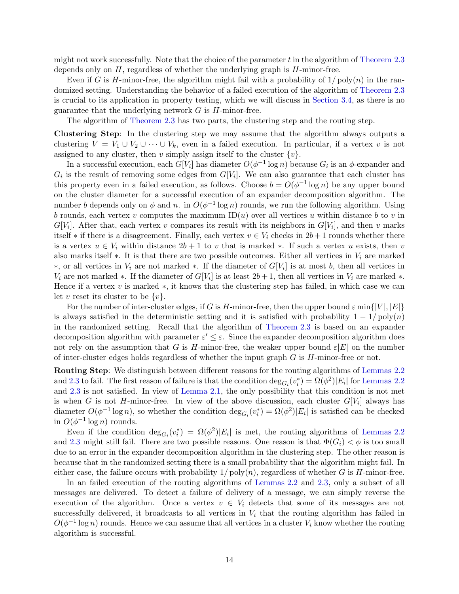might not work successfully. Note that the choice of the parameter  $t$  in the algorithm of [Theorem 2.3](#page-13-0) depends only on  $H$ , regardless of whether the underlying graph is  $H$ -minor-free.

Even if G is H-minor-free, the algorithm might fail with a probability of  $1/\text{poly}(n)$  in the randomized setting. Understanding the behavior of a failed execution of the algorithm of [Theorem 2.3](#page-13-0) is crucial to its application in property testing, which we will discuss in [Section 3.4,](#page-17-0) as there is no guarantee that the underlying network  $G$  is  $H$ -minor-free.

The algorithm of [Theorem 2.3](#page-13-0) has two parts, the clustering step and the routing step.

Clustering Step: In the clustering step we may assume that the algorithm always outputs a clustering  $V = V_1 \cup V_2 \cup \cdots \cup V_k$ , even in a failed execution. In particular, if a vertex v is not assigned to any cluster, then v simply assign itself to the cluster  $\{v\}$ .

In a successful execution, each  $G[V_i]$  has diameter  $O(\phi^{-1}\log n)$  because  $G_i$  is an  $\phi$ -expander and  $G_i$  is the result of removing some edges from  $G[V_i]$ . We can also guarantee that each cluster has this property even in a failed execution, as follows. Choose  $b = O(\phi^{-1} \log n)$  be any upper bound on the cluster diameter for a successful execution of an expander decomposition algorithm. The number b depends only on  $\phi$  and n. in  $O(\phi^{-1}\log n)$  rounds, we run the following algorithm. Using b rounds, each vertex v computes the maximum  $ID(u)$  over all vertices u within distance b to v in  $G[V_i]$ . After that, each vertex v compares its result with its neighbors in  $G[V_i]$ , and then v marks itself  $*$  if there is a disagreement. Finally, each vertex  $v \in V_i$  checks in  $2b + 1$  rounds whether there is a vertex  $u \in V_i$  within distance  $2b + 1$  to v that is marked \*. If such a vertex u exists, then v also marks itself  $\ast$ . It is that there are two possible outcomes. Either all vertices in  $V_i$  are marked ∗, or all vertices in  $V_i$  are not marked ∗. If the diameter of  $G[V_i]$  is at most b, then all vertices in  $V_i$  are not marked  $*$ . If the diameter of  $G[V_i]$  is at least  $2b+1$ , then all vertices in  $V_i$  are marked  $*$ . Hence if a vertex v is marked  $\ast$ , it knows that the clustering step has failed, in which case we can let v reset its cluster to be  $\{v\}.$ 

For the number of inter-cluster edges, if G is H-minor-free, then the upper bound  $\varepsilon \min\{|V|, |E|\}$ is always satisfied in the deterministic setting and it is satisfied with probability  $1 - 1/poly(n)$ in the randomized setting. Recall that the algorithm of [Theorem 2.3](#page-13-0) is based on an expander decomposition algorithm with parameter  $\varepsilon' \leq \varepsilon$ . Since the expander decomposition algorithm does not rely on the assumption that G is H-minor-free, the weaker upper bound  $\varepsilon|E|$  on the number of inter-cluster edges holds regardless of whether the input graph  $G$  is  $H$ -minor-free or not.

Routing Step: We distinguish between different reasons for the routing algorithms of [Lemmas 2.2](#page-12-0) and [2.3](#page-12-1) to fail. The first reason of failure is that the condition  $\deg_{G_i}(v_i^*) = \Omega(\phi^2)|E_i|$  for [Lemmas 2.2](#page-12-0) and [2.3](#page-12-1) is not satisfied. In view of [Lemma 2.1,](#page-10-0) the only possibility that this condition is not met is when G is not H-minor-free. In view of the above discussion, each cluster  $G[V_i]$  always has diameter  $O(\phi^{-1} \log n)$ , so whether the condition  $\deg_{G_i}(v_i^*) = \Omega(\phi^2)|E_i|$  is satisfied can be checked in  $O(\phi^{-1} \log n)$  rounds.

Even if the condition  $deg_{G_i}(v_i^*) = \Omega(\phi^2)|E_i|$  is met, the routing algorithms of [Lemmas 2.2](#page-12-0) and [2.3](#page-12-1) might still fail. There are two possible reasons. One reason is that  $\Phi(G_i) < \phi$  is too small due to an error in the expander decomposition algorithm in the clustering step. The other reason is because that in the randomized setting there is a small probability that the algorithm might fail. In either case, the failure occurs with probability  $1/\text{poly}(n)$ , regardless of whether G is H-minor-free.

In an failed execution of the routing algorithms of [Lemmas 2.2](#page-12-0) and [2.3,](#page-12-1) only a subset of all messages are delivered. To detect a failure of delivery of a message, we can simply reverse the execution of the algorithm. Once a vertex  $v \in V_i$  detects that some of its messages are not successfully delivered, it broadcasts to all vertices in  $V_i$  that the routing algorithm has failed in  $O(\phi^{-1}\log n)$  rounds. Hence we can assume that all vertices in a cluster  $V_i$  know whether the routing algorithm is successful.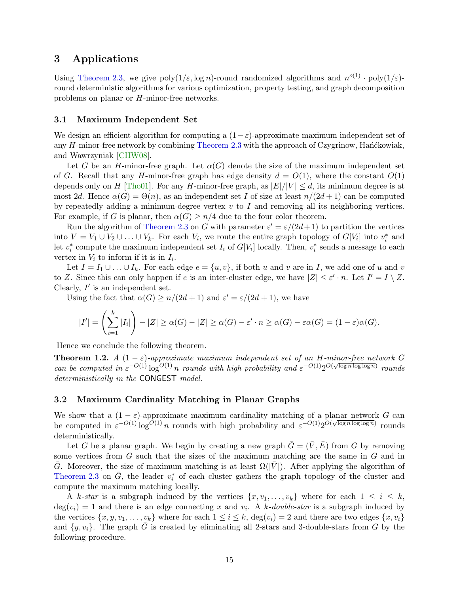# <span id="page-15-2"></span>3 Applications

Using [Theorem 2.3,](#page-13-0) we give  $poly(1/\varepsilon, \log n)$ -round randomized algorithms and  $n^{o(1)} \cdot poly(1/\varepsilon)$ round deterministic algorithms for various optimization, property testing, and graph decomposition problems on planar or H-minor-free networks.

#### <span id="page-15-0"></span>3.1 Maximum Independent Set

We design an efficient algorithm for computing a  $(1-\varepsilon)$ -approximate maximum independent set of any  $H$ -minor-free network by combining [Theorem 2.3](#page-13-0) with the approach of Czygrinow, Han´ckowiak, and Wawrzyniak [\[CHW08\]](#page-43-0).

Let G be an H-minor-free graph. Let  $\alpha(G)$  denote the size of the maximum independent set of G. Recall that any H-minor-free graph has edge density  $d = O(1)$ , where the constant  $O(1)$ depends only on H [\[Tho01\]](#page-48-7). For any H-minor-free graph, as  $|E|/|V| \leq d$ , its minimum degree is at most 2d. Hence  $\alpha(G) = \Theta(n)$ , as an independent set I of size at least  $n/(2d+1)$  can be computed by repeatedly adding a minimum-degree vertex  $v$  to  $I$  and removing all its neighboring vertices. For example, if G is planar, then  $\alpha(G) \geq n/4$  due to the four color theorem.

Run the algorithm of [Theorem 2.3](#page-13-0) on G with parameter  $\varepsilon' = \varepsilon/(2d+1)$  to partition the vertices into  $V = V_1 \cup V_2 \cup \ldots \cup V_k$ . For each  $V_i$ , we route the entire graph topology of  $G[V_i]$  into  $v_i^*$  and let  $v_i^*$  compute the maximum independent set  $I_i$  of  $G[V_i]$  locally. Then,  $v_i^*$  sends a message to each vertex in  $V_i$  to inform if it is in  $I_i$ .

Let  $I = I_1 \cup ... \cup I_k$ . For each edge  $e = \{u, v\}$ , if both u and v are in I, we add one of u and v to Z. Since this can only happen if e is an inter-cluster edge, we have  $|Z| \le \varepsilon' \cdot n$ . Let  $I' = I \setminus Z$ . Clearly,  $I'$  is an independent set.

Using the fact that  $\alpha(G) \ge n/(2d+1)$  and  $\varepsilon' = \varepsilon/(2d+1)$ , we have

$$
|I'| = \left(\sum_{i=1}^k |I_i|\right) - |Z| \ge \alpha(G) - |Z| \ge \alpha(G) - \varepsilon' \cdot n \ge \alpha(G) - \varepsilon \alpha(G) = (1 - \varepsilon)\alpha(G).
$$

Hence we conclude the following theorem.

**Theorem 1.2.** *A*  $(1 - \varepsilon)$ -approximate maximum independent set of an H-minor-free network G *can be computed in*  $\varepsilon^{-O(1)} \log^{O(1)} n$  *rounds with high probability and*  $\varepsilon^{-O(1)} 2^{O(\sqrt{\log n \log \log n})}$  *rounds deterministically in the* CONGEST *model.*

### <span id="page-15-1"></span>3.2 Maximum Cardinality Matching in Planar Graphs

We show that a  $(1 - \varepsilon)$ -approximate maximum cardinality matching of a planar network G can be computed in  $\varepsilon^{-O(1)} \log^{O(1)} n$  rounds with high probability and  $\varepsilon^{-O(1)} 2^{O(\sqrt{\log n \log \log n})}$  rounds deterministically.

Let G be a planar graph. We begin by creating a new graph  $\bar{G} = (\bar{V}, \bar{E})$  from G by removing some vertices from  $G$  such that the sizes of the maximum matching are the same in  $G$  and in G. Moreover, the size of maximum matching is at least  $\Omega(|V|)$ . After applying the algorithm of [Theorem 2.3](#page-13-0) on  $\bar{G}$ , the leader  $v_i^*$  of each cluster gathers the graph topology of the cluster and compute the maximum matching locally.

A k-star is a subgraph induced by the vertices  $\{x, v_1, \ldots, v_k\}$  where for each  $1 \leq i \leq k$ ,  $deg(v_i) = 1$  and there is an edge connecting x and  $v_i$ . A k-double-star is a subgraph induced by the vertices  $\{x, y, v_1, \ldots, v_k\}$  where for each  $1 \leq i \leq k$ ,  $\deg(v_i) = 2$  and there are two edges  $\{x, v_i\}$ and  $\{y, v_i\}$ . The graph G is created by eliminating all 2-stars and 3-double-stars from G by the following procedure.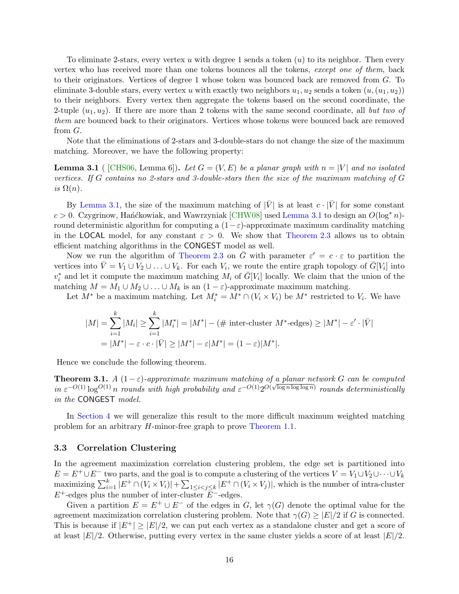To eliminate 2-stars, every vertex u with degree 1 sends a token  $(u)$  to its neighbor. Then every vertex who has received more than one tokens bounces all the tokens, *except one of them*, back to their originators. Vertices of degree 1 whose token was bounced back are removed from G. To eliminate 3-double stars, every vertex u with exactly two neighbors  $u_1, u_2$  sends a token  $(u_1, u_2)$ ) to their neighbors. Every vertex then aggregate the tokens based on the second coordinate, the 2-tuple  $(u_1, u_2)$ . If there are more than 2 tokens with the same second coordinate, all *but two of them* are bounced back to their originators. Vertices whose tokens were bounced back are removed from G.

<span id="page-16-1"></span>Note that the eliminations of 2-stars and 3-double-stars do not change the size of the maximum matching. Moreover, we have the following property:

**Lemma 3.1** (  $[CHS06, Lemma 6]$ ). Let  $G = (V, E)$  be a planar graph with  $n = |V|$  and no isolated *vertices. If* G *contains no 2-stars and 3-double-stars then the size of the maximum matching of* G *is*  $\Omega(n)$ *.* 

By [Lemma 3.1,](#page-16-1) the size of the maximum matching of  $|\bar{V}|$  is at least  $c \cdot |\bar{V}|$  for some constant  $c > 0$ . Czygrinow, Han´ckowiak, and Wawrzyniak [\[CHW08\]](#page-43-0) used [Lemma 3.1](#page-16-1) to design an  $O(\log^* n)$ round deterministic algorithm for computing a  $(1-\varepsilon)$ -approximate maximum cardinality matching in the LOCAL model, for any constant  $\varepsilon > 0$ . We show that [Theorem 2.3](#page-13-0) allows us to obtain efficient matching algorithms in the CONGEST model as well.

Now we run the algorithm of [Theorem 2.3](#page-13-0) on  $\overline{G}$  with parameter  $\varepsilon' = c \cdot \varepsilon$  to partition the vertices into  $\bar{V} = V_1 \cup V_2 \cup \ldots \cup V_k$ . For each  $V_i$ , we route the entire graph topology of  $\bar{G}[V_i]$  into  $v_i^*$  and let it compute the maximum matching  $M_i$  of  $\overline{G}[V_i]$  locally. We claim that the union of the matching  $M = M_1 \cup M_2 \cup \ldots \cup M_k$  is an  $(1 - \varepsilon)$ -approximate maximum matching.

Let  $M^*$  be a maximum matching. Let  $M_i^* = M^* \cap (V_i \times V_i)$  be  $M^*$  restricted to  $V_i$ . We have

$$
|M| = \sum_{i=1}^{k} |M_i| \ge \sum_{i=1}^{k} |M_i^*| = |M^*| - (\# \text{ inter-cluster } M^* \text{-edges}) \ge |M^*| - \varepsilon' \cdot |\bar{V}|
$$
  
=  $|M^*| - \varepsilon \cdot c \cdot |\bar{V}| \ge |M^*| - \varepsilon |M^*| = (1 - \varepsilon)|M^*|.$ 

Hence we conclude the following theorem.

**Theorem 3.1.** *A*  $(1 - \varepsilon)$ -approximate maximum matching of a planar network G can be computed  $in \varepsilon^{-O(1)} \log^{O(1)} n$  *rounds with high probability and*  $\varepsilon^{-O(1)} 2^{O(\sqrt{\log n \log \log n})}$  *rounds deterministically in the* CONGEST *model.*

In [Section 4](#page-19-0) we will generalize this result to the more difficult maximum weighted matching problem for an arbitrary H-minor-free graph to prove [Theorem 1.1.](#page-3-1)

#### <span id="page-16-0"></span>3.3 Correlation Clustering

In the agreement maximization correlation clustering problem, the edge set is partitioned into  $E = E^+ \cup E^-$  two parts, and the goal is to compute a clustering of the vertices  $V = V_1 \cup V_2 \cup \cdots \cup V_k$  $\text{maximizing } \sum_{i=1}^k |E^+ \cap (V_i \times V_i)| + \sum_{1 \leq i < j \leq k} |E^+ \cap (V_i \times V_j)|$ , which is the number of intra-cluster  $E^+$ -edges plus the number of inter-cluster  $E^-$ -edges.

Given a partition  $E = E^+ \cup E^-$  of the edges in G, let  $\gamma(G)$  denote the optimal value for the agreement maximization correlation clustering problem. Note that  $\gamma(G) \geq |E|/2$  if G is connected. This is because if  $|E^+| \ge |E|/2$ , we can put each vertex as a standalone cluster and get a score of at least  $|E|/2$ . Otherwise, putting every vertex in the same cluster yields a score of at least  $|E|/2$ .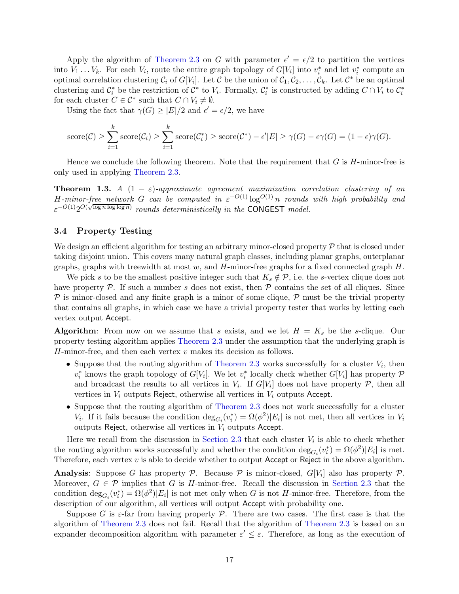Apply the algorithm of [Theorem 2.3](#page-13-0) on G with parameter  $\epsilon' = \epsilon/2$  to partition the vertices into  $V_1 \ldots V_k$ . For each  $V_i$ , route the entire graph topology of  $G[V_i]$  into  $v_i^*$  and let  $v_i^*$  compute an optimal correlation clustering  $C_i$  of  $G[V_i]$ . Let C be the union of  $C_1, C_2, \ldots, C_k$ . Let  $C^*$  be an optimal clustering and  $\mathcal{C}_i^*$  be the restriction of  $\mathcal{C}^*$  to  $V_i$ . Formally,  $\mathcal{C}_i^*$  is constructed by adding  $C \cap V_i$  to  $\mathcal{C}_i^*$ for each cluster  $C \in \mathcal{C}^*$  such that  $C \cap V_i \neq \emptyset$ .

Using the fact that  $\gamma(G) \geq |E|/2$  and  $\epsilon' = \epsilon/2$ , we have

score(
$$
C
$$
)  $\geq \sum_{i=1}^{k} \text{score}(C_i) \geq \sum_{i=1}^{k} \text{score}(C_i^*) \geq \text{score}(C^*) - \epsilon' |E| \geq \gamma(G) - \epsilon \gamma(G) = (1 - \epsilon) \gamma(G).$ 

Hence we conclude the following theorem. Note that the requirement that  $G$  is  $H$ -minor-free is only used in applying [Theorem 2.3.](#page-13-0)

**Theorem 1.3.** *A*  $(1 - \varepsilon)$ -approximate agreement maximization correlation clustering of an H-minor-free network G can be computed in  $\varepsilon^{-O(1)} \log^{O(1)} n$  rounds with high probability and  $\varepsilon^{-O(1)}2^{O(\sqrt{\log n \log \log n})}$  *rounds deterministically in the* CONGEST *model.* 

### <span id="page-17-0"></span>3.4 Property Testing

We design an efficient algorithm for testing an arbitrary minor-closed property  $P$  that is closed under taking disjoint union. This covers many natural graph classes, including planar graphs, outerplanar graphs, graphs with treewidth at most w, and  $H$ -minor-free graphs for a fixed connected graph  $H$ .

We pick s to be the smallest positive integer such that  $K_s \notin \mathcal{P}$ , i.e. the s-vertex clique does not have property  $P$ . If such a number s does not exist, then  $P$  contains the set of all cliques. Since  $\mathcal P$  is minor-closed and any finite graph is a minor of some clique,  $\mathcal P$  must be the trivial property that contains all graphs, in which case we have a trivial property tester that works by letting each vertex output Accept.

**Algorithm:** From now on we assume that s exists, and we let  $H = K_s$  be the s-clique. Our property testing algorithm applies [Theorem 2.3](#page-13-0) under the assumption that the underlying graph is H-minor-free, and then each vertex  $v$  makes its decision as follows.

- Suppose that the routing algorithm of [Theorem 2.3](#page-13-0) works successfully for a cluster  $V_i$ , then  $v_i^*$  knows the graph topology of  $G[V_i]$ . We let  $v_i^*$  locally check whether  $G[V_i]$  has property  $\mathcal P$ and broadcast the results to all vertices in  $V_i$ . If  $G[V_i]$  does not have property  $P$ , then all vertices in  $V_i$  outputs Reject, otherwise all vertices in  $V_i$  outputs Accept.
- Suppose that the routing algorithm of [Theorem 2.3](#page-13-0) does not work successfully for a cluster V<sub>i</sub>. If it fails because the condition  $\deg_{G_i}(v_i^*) = \Omega(\phi^2)|E_i|$  is not met, then all vertices in V<sub>i</sub> outputs Reject, otherwise all vertices in  $V_i$  outputs Accept.

Here we recall from the discussion in [Section 2.3](#page-13-1) that each cluster  $V_i$  is able to check whether the routing algorithm works successfully and whether the condition  $\deg_{G_i}(v_i^*) = \Omega(\phi^2)|E_i|$  is met. Therefore, each vertex  $v$  is able to decide whether to output Accept or Reject in the above algorithm.

**Analysis**: Suppose G has property  $P$ . Because  $P$  is minor-closed,  $G[V_i]$  also has property  $P$ . Moreover,  $G \in \mathcal{P}$  implies that G is H-minor-free. Recall the discussion in [Section 2.3](#page-13-1) that the condition  $\deg_{G_i}(v_i^*) = \Omega(\phi^2)|E_i|$  is not met only when G is not H-minor-free. Therefore, from the description of our algorithm, all vertices will output Accept with probability one.

Suppose G is  $\varepsilon$ -far from having property P. There are two cases. The first case is that the algorithm of [Theorem 2.3](#page-13-0) does not fail. Recall that the algorithm of [Theorem 2.3](#page-13-0) is based on an expander decomposition algorithm with parameter  $\varepsilon' \leq \varepsilon$ . Therefore, as long as the execution of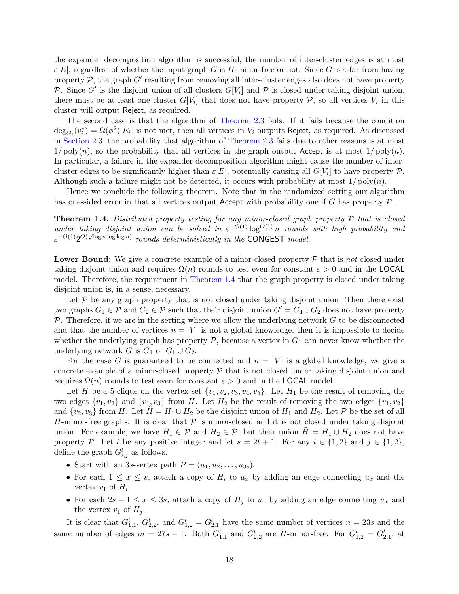the expander decomposition algorithm is successful, the number of inter-cluster edges is at most  $\varepsilon|E|$ , regardless of whether the input graph G is H-minor-free or not. Since G is  $\varepsilon$ -far from having property  $P$ , the graph  $G'$  resulting from removing all inter-cluster edges also does not have property P. Since G' is the disjoint union of all clusters  $G[V_i]$  and P is closed under taking disjoint union, there must be at least one cluster  $G[V_i]$  that does not have property  $P$ , so all vertices  $V_i$  in this cluster will output Reject, as required.

The second case is that the algorithm of [Theorem 2.3](#page-13-0) fails. If it fails because the condition  $\deg_{G_i}(v_i^*) = \Omega(\phi^2)|E_i|$  is not met, then all vertices in  $V_i$  outputs Reject, as required. As discussed in [Section 2.3,](#page-13-1) the probability that algorithm of [Theorem 2.3](#page-13-0) fails due to other reasons is at most  $1/poly(n)$ , so the probability that all vertices in the graph output Accept is at most  $1/poly(n)$ . In particular, a failure in the expander decomposition algorithm might cause the number of intercluster edges to be significantly higher than  $\varepsilon |E|$ , potentially causing all  $G[V_i]$  to have property  $\mathcal{P}$ . Although such a failure might not be detected, it occurs with probability at most  $1/\text{poly}(n)$ .

Hence we conclude the following theorem. Note that in the randomized setting our algorithm has one-sided error in that all vertices output Accept with probability one if G has property  $\mathcal{P}$ .

Theorem 1.4. *Distributed property testing for any minor-closed graph property* P *that is closed under taking disjoint union can be solved in*  $\varepsilon^{-O(1)} \log^{O(1)} n$  *rounds with high probability and*  $\epsilon^{-O(1)}2^{O(\sqrt{\log n \log \log n})}$  *rounds deterministically in the* CONGEST *model.* 

Lower Bound: We give a concrete example of a minor-closed property P that is *not* closed under taking disjoint union and requires  $\Omega(n)$  rounds to test even for constant  $\varepsilon > 0$  and in the LOCAL model. Therefore, the requirement in [Theorem 1.4](#page-4-1) that the graph property is closed under taking disjoint union is, in a sense, necessary.

Let  $P$  be any graph property that is not closed under taking disjoint union. Then there exist two graphs  $G_1 \in \mathcal{P}$  and  $G_2 \in \mathcal{P}$  such that their disjoint union  $G' = G_1 \cup G_2$  does not have property  $P$ . Therefore, if we are in the setting where we allow the underlying network  $G$  to be disconnected and that the number of vertices  $n = |V|$  is not a global knowledge, then it is impossible to decide whether the underlying graph has property  $P$ , because a vertex in  $G_1$  can never know whether the underlying network G is  $G_1$  or  $G_1 \cup G_2$ .

For the case G is guaranteed to be connected and  $n = |V|$  is a global knowledge, we give a concrete example of a minor-closed property  $P$  that is not closed under taking disjoint union and requires  $\Omega(n)$  rounds to test even for constant  $\varepsilon > 0$  and in the LOCAL model.

Let H be a 5-clique on the vertex set  $\{v_1, v_2, v_3, v_4, v_5\}$ . Let  $H_1$  be the result of removing the two edges  $\{v_1, v_2\}$  and  $\{v_1, v_3\}$  from H. Let  $H_2$  be the result of removing the two edges  $\{v_1, v_2\}$ and  $\{v_2, v_3\}$  from H. Let  $H = H_1 \cup H_2$  be the disjoint union of  $H_1$  and  $H_2$ . Let P be the set of all H-minor-free graphs. It is clear that  $P$  is minor-closed and it is not closed under taking disjoint union. For example, we have  $H_1 \in \mathcal{P}$  and  $H_2 \in \mathcal{P}$ , but their union  $H = H_1 \cup H_2$  does not have property P. Let t be any positive integer and let  $s = 2t + 1$ . For any  $i \in \{1,2\}$  and  $j \in \{1,2\}$ , define the graph  $G_{i,j}^t$  as follows.

- Start with an 3s-vertex path  $P = (u_1, u_2, \ldots, u_{3s})$ .
- For each  $1 \leq x \leq s$ , attach a copy of  $H_i$  to  $u_x$  by adding an edge connecting  $u_x$  and the vertex  $v_1$  of  $H_i$ .
- For each  $2s + 1 \leq x \leq 3s$ , attach a copy of  $H_j$  to  $u_x$  by adding an edge connecting  $u_x$  and the vertex  $v_1$  of  $H_i$ .

It is clear that  $G_{1,1}^t$ ,  $G_{2,2}^t$ , and  $G_{1,2}^t = G_{2,1}^t$  have the same number of vertices  $n = 23s$  and the same number of edges  $m = 27s - 1$ . Both  $G_{1,1}^t$  and  $G_{2,2}^t$  are  $\tilde{H}$ -minor-free. For  $G_{1,2}^t = G_{2,1}^t$ , at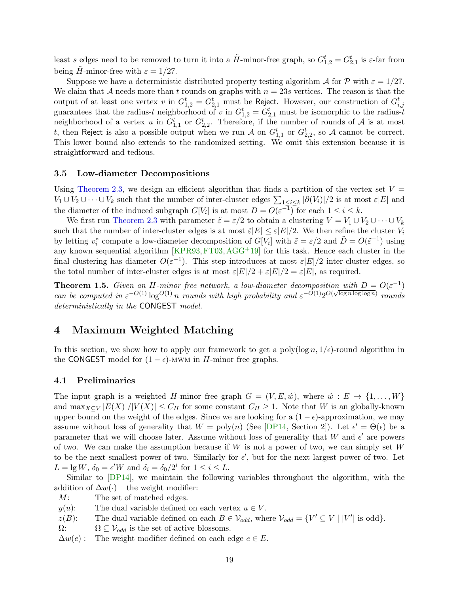least s edges need to be removed to turn it into a  $H$ -minor-free graph, so  $G_{1,2}^t = G_{2,1}^t$  is  $\varepsilon$ -far from being H-minor-free with  $\varepsilon = 1/27$ .

Suppose we have a deterministic distributed property testing algorithm A for P with  $\varepsilon = 1/27$ . We claim that A needs more than t rounds on graphs with  $n = 23s$  vertices. The reason is that the output of at least one vertex  $v$  in  $G_{1,2}^t = G_{2,1}^t$  must be Reject. However, our construction of  $G_{i,j}^t$ guarantees that the radius-t neighborhood of v in  $G_{1,2}^t = G_{2,1}^t$  must be isomorphic to the radius-t neighborhood of a vertex u in  $G_{1,1}^t$  or  $G_{2,2}^t$ . Therefore, if the number of rounds of A is at most t, then Reject is also a possible output when we run A on  $G_{1,1}^t$  or  $G_{2,2}^t$ , so A cannot be correct. This lower bound also extends to the randomized setting. We omit this extension because it is straightforward and tedious.

#### 3.5 Low-diameter Decompositions

Using [Theorem 2.3,](#page-13-0) we design an efficient algorithm that finds a partition of the vertex set  $V =$  $V_1 \cup V_2 \cup \cdots \cup V_k$  such that the number of inter-cluster edges  $\sum_{1 \leq i \leq k} |\partial(V_i)|/2$  is at most  $\varepsilon |E|$  and the diameter of the induced subgraph  $G[V_i]$  is at most  $D = O(\varepsilon^{-1})$  for each  $1 \le i \le k$ .

We first run [Theorem 2.3](#page-13-0) with parameter  $\tilde{\varepsilon} = \varepsilon/2$  to obtain a clustering  $V = V_1 \cup V_2 \cup \cdots \cup V_k$ such that the number of inter-cluster edges is at most  $\tilde{\varepsilon}|E| \leq \varepsilon |E|/2$ . We then refine the cluster  $V_i$ by letting  $v_i^*$  compute a low-diameter decomposition of  $G[V_i]$  with  $\tilde{\varepsilon} = \varepsilon/2$  and  $\tilde{D} = O(\tilde{\varepsilon}^{-1})$  using any known sequential algorithm  $KPR93, FT03, AGG<sup>+</sup>19$  $KPR93, FT03, AGG<sup>+</sup>19$  $KPR93, FT03, AGG<sup>+</sup>19$  $KPR93, FT03, AGG<sup>+</sup>19$  $KPR93, FT03, AGG<sup>+</sup>19$  for this task. Hence each cluster in the final clustering has diameter  $O(\varepsilon^{-1})$ . This step introduces at most  $\varepsilon|E|/2$  inter-cluster edges, so the total number of inter-cluster edges is at most  $\varepsilon|E|/2 + \varepsilon|E|/2 = \varepsilon|E|$ , as required.

**Theorem 1.5.** Given an H-minor free network, a low-diameter decomposition with  $D = O(\varepsilon^{-1})$ *can be computed in*  $\varepsilon^{-O(1)} \log^{O(1)} n$  *rounds with high probability and*  $\varepsilon^{-O(1)} 2^{O(\sqrt{\log n} \log \log n)}$  *rounds deterministically in the* CONGEST *model.*

# <span id="page-19-0"></span>4 Maximum Weighted Matching

In this section, we show how to apply our framework to get a poly( $\log n$ ,  $1/\epsilon$ )-round algorithm in the CONGEST model for  $(1 - \epsilon)$ -MWM in H-minor free graphs.

#### 4.1 Preliminaries

The input graph is a weighted H-minor free graph  $G = (V, E, \hat{w})$ , where  $\hat{w}: E \to \{1, \ldots, W\}$ and  $\max_{X\subseteq V} |E(X)|/|V(X)| \leq C_H$  for some constant  $C_H \geq 1$ . Note that W is an globally-known upper bound on the weight of the edges. Since we are looking for a  $(1 - \epsilon)$ -approximation, we may assume without loss of generality that  $W = \text{poly}(n)$  (See [\[DP14,](#page-43-7) Section 2]). Let  $\epsilon' = \Theta(\epsilon)$  be a parameter that we will choose later. Assume without loss of generality that W and  $\epsilon'$  are powers of two. We can make the assumption because if  $W$  is not a power of two, we can simply set  $W$ to be the next smallest power of two. Similarly for  $\epsilon'$ , but for the next largest power of two. Let  $L = \lg W$ ,  $\delta_0 = \epsilon' W$  and  $\delta_i = \delta_0/2^i$  for  $1 \le i \le L$ .

Similar to [\[DP14\]](#page-43-7), we maintain the following variables throughout the algorithm, with the addition of  $\Delta w(\cdot)$  – the weight modifier:<br>  $M$ : The set of matched edges.

The set of matched edges.

 $y(u)$ : The dual variable defined on each vertex  $u \in V$ .<br>  $z(B)$ : The dual variable defined on each  $B \in V_{odd}$ , when

 $z(B)$ : The dual variable defined on each  $B \in V_{odd}$ , where  $V_{odd} = \{V' \subseteq V \mid |V'| \text{ is odd}\}.$ 

 $\Omega$ :  $\Omega \subseteq V_{odd}$  is the set of active blossoms.

 $\Delta w(e)$ : The weight modifier defined on each edge  $e \in E$ .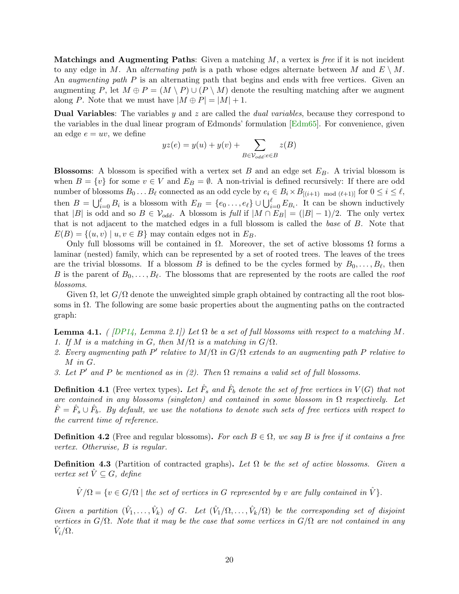Matchings and Augmenting Paths: Given a matching M, a vertex is *free* if it is not incident to any edge in M. An *alternating path* is a path whose edges alternate between M and  $E \setminus M$ . An *augmenting path* P is an alternating path that begins and ends with free vertices. Given an augmenting P, let  $M \oplus P = (M \setminus P) \cup (P \setminus M)$  denote the resulting matching after we augment along P. Note that we must have  $|M \oplus P| = |M| + 1$ .

Dual Variables: The variables y and z are called the *dual variables*, because they correspond to the variables in the dual linear program of Edmonds' formulation  $\sqrt{Edm65}$ . For convenience, given an edge  $e = uv$ , we define

$$
yz(e) = y(u) + y(v) + \sum_{B \in \mathcal{V}_{odd}: e \in B} z(B)
$$

**Blossoms:** A blossom is specified with a vertex set B and an edge set  $E_B$ . A trivial blossom is when  $B = \{v\}$  for some  $v \in V$  and  $E_B = \emptyset$ . A non-trivial is defined recursively: If there are odd number of blossoms  $B_0 \dots B_\ell$  connected as an odd cycle by  $e_i \in B_i \times B_{[(i+1) \mod (\ell+1)]}$  for  $0 \le i \le \ell$ , then  $B = \bigcup_{i=0}^{\ell} B_i$  is a blossom with  $E_B = \{e_0 \ldots, e_{\ell}\} \cup \bigcup_{i=0}^{\ell} E_{B_i}$ . It can be shown inductively that |B| is odd and so  $B \in V_{odd}$ . A blossom is *full* if  $|M \cap E_B| = (|B| - 1)/2$ . The only vertex that is not adjacent to the matched edges in a full blossom is called the *base* of B. Note that  $E(B) = \{(u, v) \mid u, v \in B\}$  may contain edges not in  $E_B$ .

Only full blossoms will be contained in Ω. Moreover, the set of active blossoms Ω forms a laminar (nested) family, which can be represented by a set of rooted trees. The leaves of the trees are the trivial blossoms. If a blossom B is defined to be the cycles formed by  $B_0, \ldots, B_\ell$ , then B is the parent of  $B_0, \ldots, B_\ell$ . The blossoms that are represented by the roots are called the *root blossoms*.

Given  $\Omega$ , let  $G/\Omega$  denote the unweighted simple graph obtained by contracting all the root blossoms in  $\Omega$ . The following are some basic properties about the augmenting paths on the contracted graph:

**Lemma 4.1.** *(* $[DP14, Lemma 2.1]$  Let  $\Omega$  be a set of full blossoms with respect to a matching M. *1. If M is a matching in G*, then  $M/\Omega$  *is a matching in*  $G/\Omega$ *.* 

- *2. Every augmenting path* P ′ *relative to* M/Ω *in* G/Ω *extends to an augmenting path* P *relative to* M *in* G*.*
- *3. Let* P ′ *and* P *be mentioned as in (2). Then* Ω *remains a valid set of full blossoms.*

**Definition 4.1** (Free vertex types). Let  $\hat{F}_s$  and  $\hat{F}_b$  denote the set of free vertices in  $V(G)$  that not *are contained in any blossoms (singleton) and contained in some blossom in* Ω *respectively. Let*  $\hat{F} = \hat{F}_s \cup \hat{F}_b$ . By default, we use the notations to denote such sets of free vertices with respect to *the current time of reference.*

**Definition 4.2** (Free and regular blossoms). For each  $B \in \Omega$ , we say B is free if it contains a free *vertex. Otherwise,* B *is regular.*

Definition 4.3 (Partition of contracted graphs). *Let* Ω *be the set of active blossoms. Given a vertex set*  $\hat{V} \subseteq G$ *, define* 

 $\hat{V}/\Omega = \{v \in G/\Omega \mid \text{the set of vertices in } G \text{ represented by } v \text{ are fully contained in } \hat{V} \}.$ 

*Given a partition*  $(\hat{V}_1, \ldots, \hat{V}_k)$  *of G. Let*  $(\hat{V}_1/\Omega, \ldots, \hat{V}_k/\Omega)$  *be the corresponding set of disjoint vertices in*  $G/\Omega$ *. Note that it may be the case that some vertices in*  $G/\Omega$  *are not contained in any*  $\hat{V}_i/\Omega$ .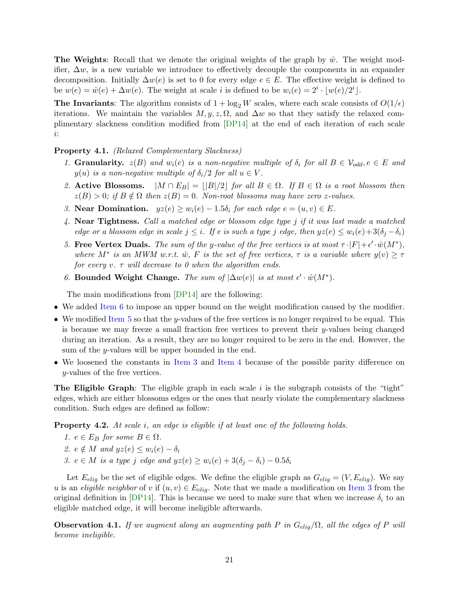**The Weights**: Recall that we denote the original weights of the graph by  $\hat{w}$ . The weight modifier,  $\Delta w$ , is a new variable we introduce to effectively decouple the components in an expander decomposition. Initially  $\Delta w(e)$  is set to 0 for every edge  $e \in E$ . The effective weight is defined to be  $w(e) = \hat{w}(e) + \Delta w(e)$ . The weight at scale *i* is defined to be  $w_i(e) = 2^i \cdot \lfloor w(e)/2^i \rfloor$ .

The Invariants: The algorithm consists of  $1 + \log_2 W$  scales, where each scale consists of  $O(1/\epsilon)$ iterations. We maintain the variables  $M, y, z, \Omega$ , and  $\Delta w$  so that they satisfy the relaxed complimentary slackness condition modified from [\[DP14\]](#page-43-7) at the end of each iteration of each scale i:

#### <span id="page-21-6"></span><span id="page-21-5"></span>Property 4.1. *(Relaxed Complementary Slackness)*

- <span id="page-21-7"></span>*1.* Granularity.  $z(B)$  and  $w_i(e)$  is a non-negative multiple of  $\delta_i$  for all  $B \in V_{odd}, e \in E$  and  $y(u)$  *is a non-negative multiple of*  $\delta_i/2$  *for all*  $u \in V$ *.*
- <span id="page-21-2"></span>2. **Active Blossoms.**  $|M \cap E_B| = ||B||/2|$  *for all*  $B \in \Omega$ *. If*  $B \in \Omega$  *is a root blossom then*  $z(B) > 0$ ; if  $B \notin \Omega$  then  $z(B) = 0$ . Non-root blossoms may have zero z-values.
- <span id="page-21-3"></span>*3.* **Near Domination.**  $yz(e) \geq w_i(e) - 1.5\delta_i$  for each edge  $e = (u, v) \in E$ .
- <span id="page-21-1"></span>*4.* Near Tightness. *Call a matched edge or blossom edge type* j *if it was last made a matched edge or a blossom edge in scale*  $j \leq i$ *. If e is such a type*  $j$  *edge, then*  $yz(e) \leq w_i(e) + 3(\delta_i - \delta_i)$
- *5.* Free Vertex Duals. *The sum of the y-value of the free vertices is at most*  $\tau \cdot |F| + \epsilon' \cdot \hat{w}(M^*),$ *where*  $M^*$  *is an MWM w.r.t.*  $\hat{w}$ *,*  $F$  *is the set of free vertices,*  $\tau$  *is a variable where*  $y(v) \geq \tau$ *for every* v*.* τ *will decrease to 0 when the algorithm ends.*
- <span id="page-21-0"></span>*6.* Bounded Weight Change. *The sum of*  $|\Delta w(e)|$  *is at most*  $\epsilon' \cdot \hat{w}(M^*)$ .

The main modifications from [\[DP14\]](#page-43-7) are the following:

- We added [Item 6](#page-21-0) to impose an upper bound on the weight modification caused by the modifier.
- We modified [Item 5](#page-21-1) so that the y-values of the free vertices is no longer required to be equal. This is because we may freeze a small fraction free vertices to prevent their  $y$ -values being changed during an iteration. As a result, they are no longer required to be zero in the end. However, the sum of the y-values will be upper bounded in the end.
- We loosened the constants in [Item 3](#page-21-2) and [Item 4](#page-21-3) because of the possible parity difference on y-values of the free vertices.

**The Eligible Graph**: The eligible graph in each scale i is the subgraph consists of the "tight" edges, which are either blossoms edges or the ones that nearly violate the complementary slackness condition. Such edges are defined as follow:

Property 4.2. *At scale* i*, an edge is eligible if at least one of the following holds.*

- *1.*  $e \in E_B$  *for some*  $B \in \Omega$ *.*
- <span id="page-21-4"></span>*2.*  $e \notin M$  *and*  $yz(e) \leq w_i(e) - \delta_i$
- *3.*  $e \in M$  *is a type j edge and*  $yz(e) \geq w_i(e) + 3(\delta_i \delta_i) 0.5\delta_i$

Let  $E_{elig}$  be the set of eligible edges. We define the eligible graph as  $G_{elig} = (V, E_{elig})$ . We say u is an *eligible neighbor* of v if  $(u, v) \in E_{elig}$ . Note that we made a modification on [Item 3](#page-21-4) from the original definition in [\[DP14\]](#page-43-7). This is because we need to make sure that when we increase  $\delta_i$  to an eligible matched edge, it will become ineligible afterwards.

<span id="page-21-8"></span>**Observation 4.1.** *If we augment along an augmenting path* P *in*  $G_{elig}/\Omega$ *, all the edges of* P *will become ineligible.*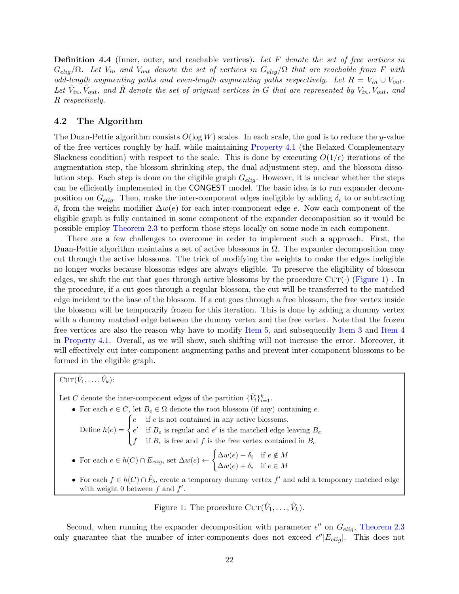Definition 4.4 (Inner, outer, and reachable vertices). *Let* F *denote the set of free vertices in*  $G_{elig}/\Omega$ . Let  $V_{in}$  and  $V_{out}$  denote the set of vertices in  $G_{elig}/\Omega$  that are reachable from F with *odd-length augmenting paths and even-length augmenting paths respectively. Let*  $R = V_{in} \cup V_{out}$ . Let  $\hat{V}_{in}$ ,  $\hat{V}_{out}$ , and  $\hat{R}$  denote the set of original vertices in G that are represented by  $V_{in}$ ,  $V_{out}$ , and R *respectively.*

### <span id="page-22-0"></span>4.2 The Algorithm

The Duan-Pettie algorithm consists  $O(\log W)$  scales. In each scale, the goal is to reduce the y-value of the free vertices roughly by half, while maintaining [Property 4.1](#page-21-5) (the Relaxed Complementary Slackness condition) with respect to the scale. This is done by executing  $O(1/\epsilon)$  iterations of the augmentation step, the blossom shrinking step, the dual adjustment step, and the blossom dissolution step. Each step is done on the eligible graph  $G_{elig}$ . However, it is unclear whether the steps can be efficiently implemented in the CONGEST model. The basic idea is to run expander decomposition on  $G_{elig}$ . Then, make the inter-component edges ineligible by adding  $\delta_i$  to or subtracting  $\delta_i$  from the weight modifier  $\Delta w(e)$  for each inter-component edge e. Now each component of the eligible graph is fully contained in some component of the expander decomposition so it would be possible employ [Theorem 2.3](#page-13-0) to perform those steps locally on some node in each component.

There are a few challenges to overcome in order to implement such a approach. First, the Duan-Pettie algorithm maintains a set of active blossoms in  $\Omega$ . The expander decomposition may cut through the active blossoms. The trick of modifying the weights to make the edges ineligible no longer works because blossoms edges are always eligible. To preserve the eligibility of blossom edges, we shift the cut that goes through active blossoms by the procedure  $\text{CUT}(\cdot)$  [\(Figure 1\)](#page-22-1). In the procedure, if a cut goes through a regular blossom, the cut will be transferred to the matched edge incident to the base of the blossom. If a cut goes through a free blossom, the free vertex inside the blossom will be temporarily frozen for this iteration. This is done by adding a dummy vertex with a dummy matched edge between the dummy vertex and the free vertex. Note that the frozen free vertices are also the reason why have to modify [Item 5,](#page-21-1) and subsequently [Item 3](#page-21-2) and [Item 4](#page-21-3) in [Property 4.1.](#page-21-5) Overall, as we will show, such shifting will not increase the error. Moreover, it will effectively cut inter-component augmenting paths and prevent inter-component blossoms to be formed in the eligible graph.

<span id="page-22-1"></span> $\mathrm{CUT}(\hat{V}_1,\ldots,\hat{V}_k)$ :

Let C denote the inter-component edges of the partition  $\{\hat{V}_i\}_{i=1}^k$ .

- For each  $e \in C$ , let  $B_e \in \Omega$  denote the root blossom (if any) containing e. Define  $h(e) =$  $\sqrt{ }$  $\mathbf{J}$  $\mathcal{I}$ e if e is not contained in any active blossoms.  $e'$  if  $B_e$  is regular and  $e'$  is the matched edge leaving  $B_e$ f if  $B_e$  is free and f is the free vertex contained in  $B_e$ • For each  $e \in h(C) \cap E_{elig}$ , set  $\Delta w(e) \leftarrow$  $\int \Delta w(e) - \delta_i$  if  $e \notin M$  $\Delta w(e) + \delta_i$  if  $e \in M$ 
	- For each  $f \in h(C) \cap \hat{F}_b$ , create a temporary dummy vertex  $f'$  and add a temporary matched edge with weight 0 between  $f$  and  $f'$ .

Figure 1: The procedure  $\text{CUT}(\hat{V}_1, \ldots, \hat{V}_k)$ .

Second, when running the expander decomposition with parameter  $\epsilon''$  on  $G_{elig}$ , [Theorem 2.3](#page-13-0) only guarantee that the number of inter-components does not exceed  $\epsilon''/E_{elig}$ . This does not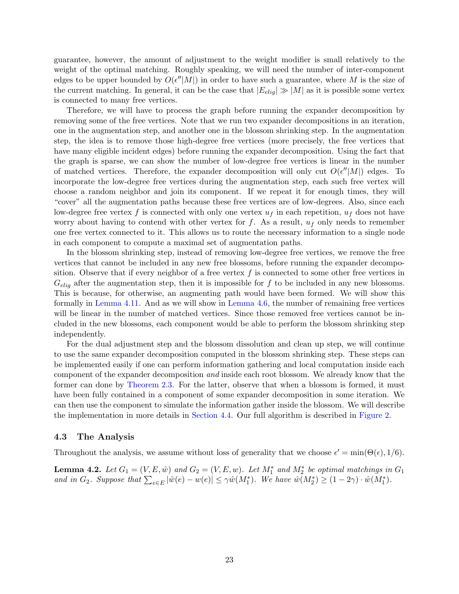guarantee, however, the amount of adjustment to the weight modifier is small relatively to the weight of the optimal matching. Roughly speaking, we will need the number of inter-component edges to be upper bounded by  $O(\epsilon''|M|)$  in order to have such a guarantee, where M is the size of the current matching. In general, it can be the case that  $|E_{eliq}| \gg |M|$  as it is possible some vertex is connected to many free vertices.

Therefore, we will have to process the graph before running the expander decomposition by removing some of the free vertices. Note that we run two expander decompositions in an iteration, one in the augmentation step, and another one in the blossom shrinking step. In the augmentation step, the idea is to remove those high-degree free vertices (more precisely, the free vertices that have many eligible incident edges) before running the expander decomposition. Using the fact that the graph is sparse, we can show the number of low-degree free vertices is linear in the number of matched vertices. Therefore, the expander decomposition will only cut  $O(\epsilon''|M|)$  edges. To incorporate the low-degree free vertices during the augmentation step, each such free vertex will choose a random neighbor and join its component. If we repeat it for enough times, they will "cover" all the augmentation paths because these free vertices are of low-degrees. Also, since each low-degree free vertex f is connected with only one vertex  $u_f$  in each repetition,  $u_f$  does not have worry about having to contend with other vertex for f. As a result,  $u_f$  only needs to remember one free vertex connected to it. This allows us to route the necessary information to a single node in each component to compute a maximal set of augmentation paths.

In the blossom shrinking step, instead of removing low-degree free vertices, we remove the free vertices that cannot be included in any new free blossoms, before running the expander decomposition. Observe that if every neighbor of a free vertex f is connected to some other free vertices in  $G_{elig}$  after the augmentation step, then it is impossible for f to be included in any new blossoms. This is because, for otherwise, an augmenting path would have been formed. We will show this formally in [Lemma 4.11.](#page-28-0) And as we will show in [Lemma 4.6,](#page-26-0) the number of remaining free vertices will be linear in the number of matched vertices. Since those removed free vertices cannot be included in the new blossoms, each component would be able to perform the blossom shrinking step independently.

For the dual adjustment step and the blossom dissolution and clean up step, we will continue to use the same expander decomposition computed in the blossom shrinking step. These steps can be implemented easily if one can perform information gathering and local computation inside each component of the expander decomposition *and* inside each root blossom. We already know that the former can done by [Theorem 2.3.](#page-13-0) For the latter, observe that when a blossom is formed, it must have been fully contained in a component of some expander decomposition in some iteration. We can then use the component to simulate the information gather inside the blossom. We will describe the implementation in more details in [Section 4.4.](#page-31-0) Our full algorithm is described in [Figure 2.](#page-24-0)

#### 4.3 The Analysis

<span id="page-23-0"></span>Throughout the analysis, we assume without loss of generality that we choose  $\epsilon' = \min(\Theta(\epsilon), 1/6)$ .

**Lemma 4.2.** Let  $G_1 = (V, E, \hat{w})$  and  $G_2 = (V, E, w)$ . Let  $M_1^*$  and  $M_2^*$  be optimal matchings in  $G_1$ and in  $G_2$ . Suppose that  $\sum_{e \in E} |\hat{w}(e) - w(e)| \leq \gamma \hat{w}(M_1^*)$ . We have  $\hat{w}(M_2^*) \geq (1 - 2\gamma) \cdot \hat{w}(M_1^*)$ .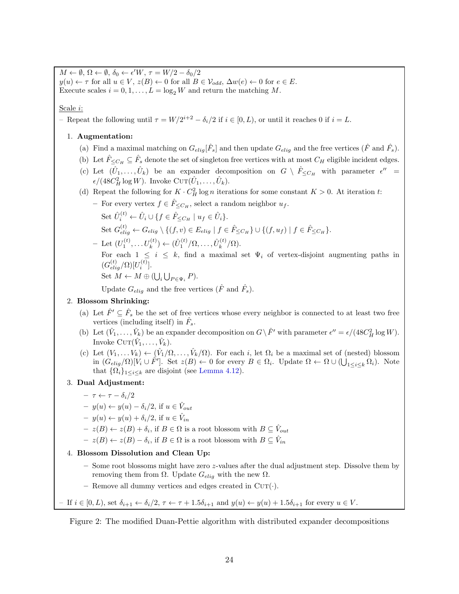<span id="page-24-0"></span> $M \leftarrow \emptyset$ ,  $\Omega \leftarrow \emptyset$ ,  $\delta_0 \leftarrow \epsilon' W$ ,  $\tau = W/2 - \delta_0/2$  $y(u) \leftarrow \tau$  for all  $u \in V$ ,  $z(B) \leftarrow 0$  for all  $B \in V_{odd}$ ,  $\Delta w(e) \leftarrow 0$  for  $e \in E$ . Execute scales  $i = 0, 1, \ldots, L = \log_2 W$  and return the matching M.

Scale i:

- Repeat the following until  $\tau = W/2^{i+2} - \delta_i/2$  if  $i \in [0, L)$ , or until it reaches 0 if  $i = L$ .

#### <span id="page-24-1"></span>1. Augmentation:

- (a) Find a maximal matching on  $G_{elig}[\hat{F}_s]$  and then update  $G_{elig}$  and the free vertices  $(\hat{F}$  and  $\hat{F}_s)$ .
- <span id="page-24-2"></span>(b) Let  $\hat{F}_{\leq C_H} \subseteq \hat{F}_s$  denote the set of singleton free vertices with at most  $C_H$  eligible incident edges.
- (c) Let  $(\hat{U}_1,\ldots,\hat{U}_k)$  be an expander decomposition on  $G \setminus \hat{F}_{\leq C_H}$  with parameter  $\epsilon'' =$  $\epsilon/(48C_H^2\log W)$ . Invoke CUT $(\hat{U}_1,\ldots,\hat{U}_k)$ .
- (d) Repeat the following for  $K \cdot C_H^2 \log n$  iterations for some constant  $K > 0$ . At iteration t:
	- For every vertex  $f \in \hat{F}_{\leq C_H}$ , select a random neighbor  $u_f$ . Set  $\hat{U}_i^{(t)} \leftarrow \hat{U}_i \cup \{f \in \hat{F}_{\leq C_H} \mid u_f \in \hat{U}_i\}.$ Set  $G_{elig}^{(t)} \leftarrow G_{elig} \setminus \{ (f, v) \in E_{elig} \mid f \in \hat{F}_{\leq C_H} \} \cup \{ (f, u_f) \mid f \in \hat{F}_{\leq C_H} \}.$  $-$  Let  $(U_1^{(t)},...,U_k^{(t)}) \leftarrow (\hat{U}_1^{(t)}/\Omega,...,\hat{U}_k^{(t)})$  $\binom{k}{k}$   $\left(\Omega\right)$ . For each  $1 \leq i \leq k$ , find a maximal set  $\Psi_i$  of vertex-disjoint augmenting paths in  $(G_{elig}^{(t)}/\Omega)[U_i^{(t)}]$  $\binom{u}{i}$ . Set  $M \leftarrow M \oplus (\bigcup_i \bigcup_{P \in \Psi_i} P)$ .

Update  $G_{elig}$  and the free vertices  $(\hat{F}$  and  $\hat{F}_s)$ .

#### 2. Blossom Shrinking:

- (a) Let  $\hat{F}' \subseteq \hat{F}_s$  be the set of free vertices whose every neighbor is connected to at least two free vertices (including itself) in  $\hat{F}_s$ .
- (b) Let  $(\hat{V}_1, \ldots, \hat{V}_k)$  be an expander decomposition on  $G \setminus \hat{F}'$  with parameter  $\epsilon'' = \epsilon/(48C_H^2 \log W)$ . Invoke  $\mathrm{CUT}(\hat{V}_1,\ldots,\hat{V}_k)$ .
- (c) Let  $(V_1, \ldots, V_k) \leftarrow (\hat{V}_1/\Omega, \ldots, \hat{V}_k/\Omega)$ . For each i, let  $\Omega_i$  be a maximal set of (nested) blossom in  $(G_{elig}(\Omega)[V_i \cup \hat{F}']$ . Set  $z(B) \leftarrow 0$  for every  $B \in \Omega_i$ . Update  $\Omega \leftarrow \Omega \cup (\bigcup_{1 \leq i \leq k} \Omega_i)$ . Note that  $\{\Omega_i\}_{1\leq i\leq k}$  are disjoint (see [Lemma 4.12\)](#page-29-0).

### 3. Dual Adjustment:

- $\tau \leftarrow \tau \delta_i/2$
- $y(u) \leftarrow y(u) \delta_i/2$ , if  $u \in \hat{V}_{out}$
- $y(u) \leftarrow y(u) + \delta_i/2$ , if  $u \in \hat{V}_{in}$
- $z(B) \leftarrow z(B) + \delta_i$ , if  $B \in \Omega$  is a root blossom with  $B \subseteq \hat{V}_{out}$
- $z(B) \leftarrow z(B) \delta_i$ , if  $B \in \Omega$  is a root blossom with  $B \subseteq \hat{V}_{in}$

#### 4. Blossom Dissolution and Clean Up:

- Some root blossoms might have zero z-values after the dual adjustment step. Dissolve them by removing them from Ω. Update  $G_{elig}$  with the new Ω.
- Remove all dummy vertices and edges created in  $CUT(\cdot)$ .

If  $i \in [0, L)$ , set  $\delta_{i+1} \leftarrow \delta_i/2$ ,  $\tau \leftarrow \tau + 1.5\delta_{i+1}$  and  $y(u) \leftarrow y(u) + 1.5\delta_{i+1}$  for every  $u \in V$ .

Figure 2: The modified Duan-Pettie algorithm with distributed expander decompositions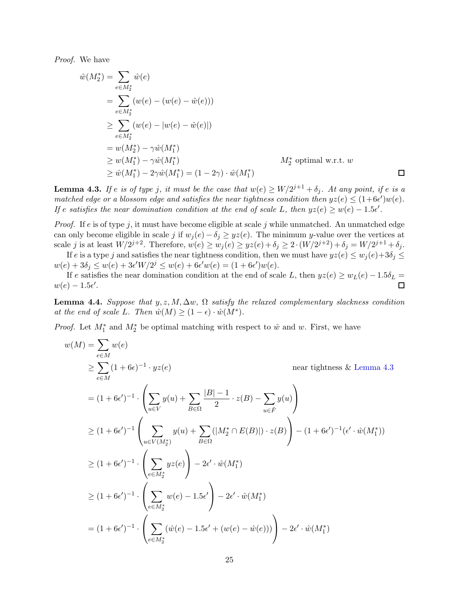*Proof.* We have

$$
\hat{w}(M_2^*) = \sum_{e \in M_2^*} \hat{w}(e)
$$
\n
$$
= \sum_{e \in M_2^*} (w(e) - (w(e) - \hat{w}(e)))
$$
\n
$$
\geq \sum_{e \in M_2^*} (w(e) - |w(e) - \hat{w}(e)|)
$$
\n
$$
= w(M_2^*) - \gamma \hat{w}(M_1^*)
$$
\n
$$
\geq w(M_1^*) - \gamma \hat{w}(M_1^*)
$$
\n
$$
\geq \hat{w}(M_1^*) - 2\gamma \hat{w}(M_1^*) = (1 - 2\gamma) \cdot \hat{w}(M_1^*)
$$
\n
$$
\Box
$$

<span id="page-25-0"></span>**Lemma 4.3.** If e is of type j, it must be the case that  $w(e) \ge W/2^{j+1} + \delta_j$ . At any point, if e is a *matched edge or a blossom edge and satisfies the near tightness condition then*  $yz(e) \leq (1+6\epsilon')w(e)$ . *If* e satisfies the near domination condition at the end of scale L, then  $yz(e) \geq w(e) - 1.5\epsilon'$ .

*Proof.* If e is of type j, it must have become eligible at scale j while unmatched. An unmatched edge can only become eligible in scale j if  $w_j(e) - \delta_j \geq yz(e)$ . The minimum y-value over the vertices at scale j is at least  $W/2^{j+2}$ . Therefore,  $w(e) \ge w_j(e) \ge yz(e) + \delta_j \ge 2 \cdot (W/2^{j+2}) + \delta_j = W/2^{j+1} + \delta_j$ .

If e is a type j and satisfies the near tightness condition, then we must have  $yz(e) \leq w_i(e) + 3\delta_i \leq$  $w(e) + 3\delta_j \le w(e) + 3\epsilon' W/2^j \le w(e) + 6\epsilon' w(e) = (1 + 6\epsilon')w(e).$ 

If e satisfies the near domination condition at the end of scale L, then  $yz(e) \ge w_L(e) - 1.5\delta_L =$ <br> $\Box$  $w(e) - 1.5\epsilon'$ .

**Lemma 4.4.** *Suppose that*  $y, z, M, \Delta w, \Omega$  *satisfy the relaxed complementary slackness condition at the end of scale L. Then*  $\hat{w}(M) \geq (1 - \epsilon) \cdot \hat{w}(M^*).$ 

*Proof.* Let  $M_1^*$  and  $M_2^*$  be optimal matching with respect to  $\hat{w}$  and  $w$ . First, we have

$$
w(M) = \sum_{e \in M} w(e)
$$
  
\n
$$
\geq \sum_{e \in M} (1 + 6\epsilon)^{-1} \cdot yz(e)
$$
 near tightness & Lemma 4.3  
\n
$$
= (1 + 6\epsilon')^{-1} \cdot \left( \sum_{u \in V} y(u) + \sum_{B \in \Omega} \frac{|B| - 1}{2} \cdot z(B) - \sum_{u \in \hat{F}} y(u) \right)
$$
  
\n
$$
\geq (1 + 6\epsilon')^{-1} \left( \sum_{u \in V(M_2^*)} y(u) + \sum_{B \in \Omega} (|M_2^* \cap E(B)|) \cdot z(B) \right) - (1 + 6\epsilon')^{-1} (\epsilon' \cdot \hat{w}(M_1^*))
$$
  
\n
$$
\geq (1 + 6\epsilon')^{-1} \cdot \left( \sum_{e \in M_2^*} yz(e) \right) - 2\epsilon' \cdot \hat{w}(M_1^*)
$$
  
\n
$$
\geq (1 + 6\epsilon')^{-1} \cdot \left( \sum_{e \in M_2^*} w(e) - 1.5\epsilon' \right) - 2\epsilon' \cdot \hat{w}(M_1^*)
$$
  
\n
$$
= (1 + 6\epsilon')^{-1} \cdot \left( \sum_{e \in M_2^*} (\hat{w}(e) - 1.5\epsilon' + (w(e) - \hat{w}(e))) \right) - 2\epsilon' \cdot \hat{w}(M_1^*)
$$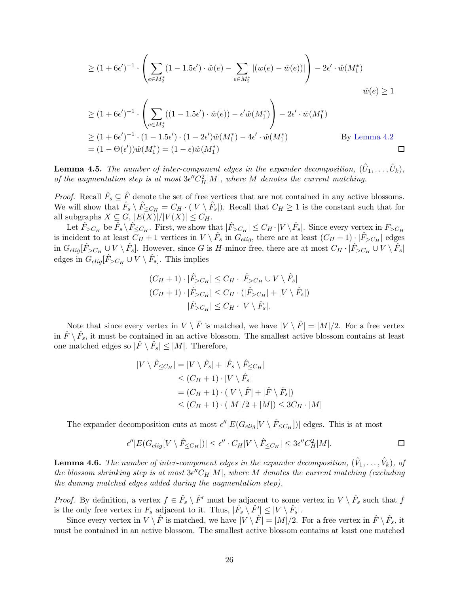$$
\geq (1+6\epsilon')^{-1} \cdot \left( \sum_{e \in M_2^*} (1-1.5\epsilon') \cdot \hat{w}(e) - \sum_{e \in M_2^*} |(w(e) - \hat{w}(e))| \right) - 2\epsilon' \cdot \hat{w}(M_1^*)
$$
  

$$
\hat{w}(e) \geq 1
$$

$$
\geq (1 + 6\epsilon')^{-1} \cdot \left( \sum_{e \in M_2^*} ((1 - 1.5\epsilon') \cdot \hat{w}(e)) - \epsilon' \hat{w}(M_1^*) \right) - 2\epsilon' \cdot \hat{w}(M_1^*)
$$
  
\n
$$
\geq (1 + 6\epsilon')^{-1} \cdot (1 - 1.5\epsilon') \cdot (1 - 2\epsilon') \hat{w}(M_1^*) - 4\epsilon' \cdot \hat{w}(M_1^*)
$$
 By Lemma 4.2  
\n
$$
= (1 - \Theta(\epsilon')) \hat{w}(M_1^*) = (1 - \epsilon) \hat{w}(M_1^*)
$$

<span id="page-26-1"></span>**Lemma 4.5.** The number of inter-component edges in the expander decomposition,  $(\hat{U}_1, \ldots, \hat{U}_k)$ , *of the augmentation step is at most*  $3\epsilon'' C_H^2|M|$ *, where* M *denotes the current matching.* 

*Proof.* Recall  $\hat{F}_s \subseteq \hat{F}$  denote the set of free vertices that are not contained in any active blossoms. We will show that  $\hat{F}_s \setminus \hat{F}_{\leq C_H} = C_H \cdot (|V \setminus \hat{F}_s|)$ . Recall that  $C_H \geq 1$  is the constant such that for all subgraphs  $X \subseteq G$ ,  $|E(X)|/|V(X)| \leq C_H$ .

Let  $\hat{F}_{>C_H}$  be  $\hat{F}_s \setminus \hat{F}_{\leq C_H}$ . First, we show that  $|\hat{F}_{>C_H}| \leq C_H \cdot |V \setminus \hat{F}_s|$ . Since every vertex in  $F_{>C_H}$ is incident to at least  $C_H + 1$  vertices in  $V \setminus \hat{F}_s$  in  $G_{elig}$ , there are at least  $(C_H + 1) \setminus |\hat{F}_{>C_H}|$  edges in  $G_{elig}[\hat{F}_{>C_H} \cup V \setminus \hat{F}_s]$ . However, since G is H-minor free, there are at most  $C_H \cdot |\hat{F}_{>C_H} \cup V \setminus \hat{F}_s|$ edges in  $G_{elig}[\hat{F}_{>C_H} \cup V \setminus \hat{F}_s]$ . This implies

$$
(C_H + 1) \cdot |\hat{F}_{>C_H}| \le C_H \cdot |\hat{F}_{>C_H} \cup V \setminus \hat{F}_s|
$$
  

$$
(C_H + 1) \cdot |\hat{F}_{>C_H}| \le C_H \cdot (|\hat{F}_{>C_H}| + |V \setminus \hat{F}_s|)
$$
  

$$
|\hat{F}_{>C_H}| \le C_H \cdot |V \setminus \hat{F}_s|.
$$

Note that since every vertex in  $V \setminus \hat{F}$  is matched, we have  $|V \setminus \hat{F}| = |M|/2$ . For a free vertex in  $\hat{F} \setminus \hat{F}_s$ , it must be contained in an active blossom. The smallest active blossom contains at least one matched edges so  $|\hat{F} \setminus \hat{F}_s| \leq |M|$ . Therefore,

$$
|V \setminus \hat{F}_{\leq C_H}| = |V \setminus \hat{F}_s| + |\hat{F}_s \setminus \hat{F}_{\leq C_H}|
$$
  
\n
$$
\leq (C_H + 1) \cdot |V \setminus \hat{F}_s|
$$
  
\n
$$
= (C_H + 1) \cdot (|V \setminus \hat{F}| + |\hat{F} \setminus \hat{F}_s|)
$$
  
\n
$$
\leq (C_H + 1) \cdot (|M|/2 + |M|) \leq 3C_H \cdot |M|
$$

The expander decomposition cuts at most  $\epsilon''|E(G_{elig}[V \setminus \hat{F}_{\leq C_H}])|$  edges. This is at most

$$
\epsilon''|E(G_{elig}[V \setminus \hat{F}_{\leq C_H}])| \leq \epsilon'' \cdot C_H |V \setminus \hat{F}_{\leq C_H}| \leq 3\epsilon'' C_H^2 |M|.
$$

<span id="page-26-0"></span>**Lemma 4.6.** The number of inter-component edges in the expander decomposition,  $(\hat{V}_1, \ldots, \hat{V}_k)$ , of  $the$  blossom shrinking step is at most  $3\epsilon'' C_H|M|$ , where M denotes the current matching (excluding *the dummy matched edges added during the augmentation step).*

*Proof.* By definition, a vertex  $f \in \hat{F}_s \setminus \hat{F}'$  must be adjacent to some vertex in  $V \setminus \hat{F}_s$  such that f is the only free vertex in  $F_s$  adjacent to it. Thus,  $|\hat{F}_s \setminus \hat{F}'| \leq |V \setminus \hat{F}_s|$ .

Since every vertex in  $V \setminus \hat{F}$  is matched, we have  $|V \setminus \hat{F}| = |M|/2$ . For a free vertex in  $\hat{F} \setminus \hat{F}_s$ , it must be contained in an active blossom. The smallest active blossom contains at least one matched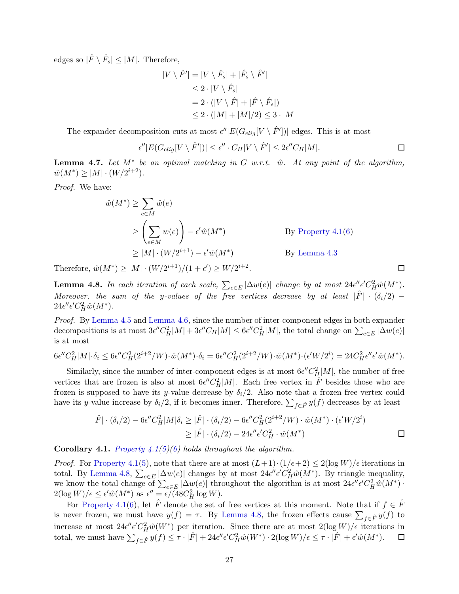edges so  $|\hat{F} \setminus \hat{F}_s| \leq |M|$ . Therefore,

$$
|V \setminus \hat{F}'| = |V \setminus \hat{F}_s| + |\hat{F}_s \setminus \hat{F}'|
$$
  
\n
$$
\leq 2 \cdot |V \setminus \hat{F}_s|
$$
  
\n
$$
= 2 \cdot (|V \setminus \hat{F}| + |\hat{F} \setminus \hat{F}_s|)
$$
  
\n
$$
\leq 2 \cdot (|M| + |M|/2) \leq 3 \cdot |M|
$$

The expander decomposition cuts at most  $\epsilon''|E(G_{elig}[V \setminus \hat{F}'])|$  edges. This is at most

$$
\epsilon''|E(G_{elig}[V \setminus \hat{F}'])| \le \epsilon'' \cdot C_H|V \setminus \hat{F}'| \le 2\epsilon'' C_H|M|.
$$

 $\Box$ 

**Lemma 4.7.** Let M<sup>∗</sup> be an optimal matching in G w.r.t.  $\hat{w}$ . At any point of the algorithm,  $\hat{w}(M^*) \ge |M| \cdot (W/2^{i+2}).$ 

*Proof.* We have:

$$
\hat{w}(M^*) \ge \sum_{e \in M} \hat{w}(e)
$$
\n
$$
\ge \left(\sum_{e \in M} w(e)\right) - \epsilon' \hat{w}(M^*)
$$
\nBy Property 4.1(6)\n
$$
\ge |M| \cdot (W/2^{i+1}) - \epsilon' \hat{w}(M^*)
$$
\nBy Lemma 4.3

<span id="page-27-0"></span>Therefore,  $\hat{w}(M^*) \ge |M| \cdot (W/2^{i+1})/(1+\epsilon') \ge W/2^{i+2}$ .

**Lemma 4.8.** In each iteration of each scale,  $\sum_{e \in E} |\Delta w(e)|$  change by at most  $24\epsilon'' \epsilon' C_H^2 \hat{w}(M^*)$ . *Moreover, the sum of the y-values of the free vertices decrease by at least*  $|\hat{F}| \cdot (\delta_i/2)$  –  $24\epsilon''\epsilon' C_H^2 \hat{w}(M^*).$ 

*Proof.* By [Lemma 4.5](#page-26-1) and [Lemma 4.6,](#page-26-0) since the number of inter-component edges in both expander decompositions is at most  $3\epsilon'' C_H^2|M| + 3\epsilon'' C_H|M| \leq 6\epsilon'' C_H^2|M|$ , the total change on  $\sum_{e \in E} |\Delta w(e)|$ is at most

$$
6\epsilon''C_H^2|M|\cdot \delta_i \le 6\epsilon''C_H^2(2^{i+2}/W)\cdot \hat{w}(M^*)\cdot \delta_i = 6\epsilon''C_H^2(2^{i+2}/W)\cdot \hat{w}(M^*)\cdot (\epsilon'W/2^i) = 24C_H^2\epsilon''\epsilon'\hat{w}(M^*).
$$

Similarly, since the number of inter-component edges is at most  $6\epsilon'' C_H^2|M|$ , the number of free vertices that are frozen is also at most  $6\epsilon'' C_H^2|M|$ . Each free vertex in  $\hat{F}$  besides those who are frozen is supposed to have its y-value decrease by  $\delta_i/2$ . Also note that a frozen free vertex could have its y-value increase by  $\delta_i/2$ , if it becomes inner. Therefore,  $\sum_{f \in \hat{F}} y(f)$  decreases by at least

$$
|\hat{F}| \cdot (\delta_i/2) - 6\epsilon'' C_H^2 |M|\delta_i \ge |\hat{F}| \cdot (\delta_i/2) - 6\epsilon'' C_H^2 (2^{i+2}/W) \cdot \hat{w}(M^*) \cdot (\epsilon' W/2^i)
$$
  

$$
\ge |\hat{F}| \cdot (\delta_i/2) - 24\epsilon'' \epsilon' C_H^2 \cdot \hat{w}(M^*)
$$

Corollary 4.1. *[Property 4.1](#page-21-5)[\(5\)](#page-21-1)[\(6\)](#page-21-0) holds throughout the algorithm.*

*Proof.* For [Property 4.1](#page-21-5)[\(5\)](#page-21-1), note that there are at most  $(L+1) \cdot (1/\epsilon+2) \leq 2(\log W)/\epsilon$  iterations in total. By [Lemma 4.8,](#page-27-0)  $\sum_{e \in E} |\Delta w(e)|$  changes by at most  $24e''e'C_H^2\hat{w}(M^*)$ . By triangle inequality, we know the total change of  $\sum_{e \in E} |\Delta w(e)|$  throughout the algorithm is at most  $24\epsilon'' \epsilon' C_H^2 \hat{w}(M^*)$ .  $2(\log W)/\epsilon \leq \epsilon' \hat{w}(M^*)$  as  $\epsilon'' = \epsilon/(48C_H^2 \log W)$ .

For [Property 4.1\(](#page-21-5)[6\)](#page-21-0), let  $\hat{F}$  denote the set of free vertices at this moment. Note that if  $f \in \hat{F}$ is never frozen, we must have  $y(f) = \tau$ . By [Lemma 4.8,](#page-27-0) the frozen effects cause  $\sum_{f \in \hat{F}} y(f)$  to increase at most  $24\epsilon''\epsilon' C_H^2 \hat{w}(W^*)$  per iteration. Since there are at most  $2(\log W)/\epsilon$  iterations in total, we must have  $\sum_{f \in \hat{F}} y(f) \leq \tau \cdot |\hat{F}| + 24\epsilon'' \epsilon' C_H^2 \hat{w}(W^*) \cdot 2(\log W) / \epsilon \leq \tau \cdot |\hat{F}| + \epsilon' \hat{w}(M^*).$ 囗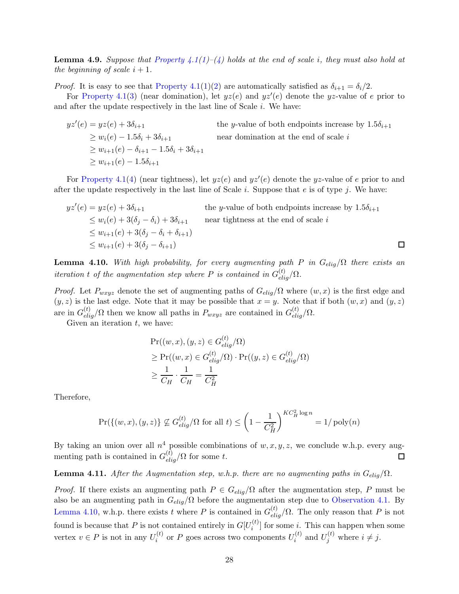Lemma 4.9. *Suppose that [Property 4.1](#page-21-5)[\(1\)](#page-21-6)–[\(4\)](#page-21-3) holds at the end of scale* i*, they must also hold at the beginning of scale*  $i + 1$ *.* 

*Proof.* It is easy to see that [Property 4.1](#page-21-5)[\(1\)](#page-21-6)[\(2\)](#page-21-7) are automatically satisfied as  $\delta_{i+1} = \delta_i/2$ .

For [Property 4.1](#page-21-5)[\(3\)](#page-21-2) (near domination), let  $yz(e)$  and  $yz'(e)$  denote the yz-value of e prior to and after the update respectively in the last line of Scale  $i$ . We have:

 $yz'(e) = yz(e) + 3\delta_{i+1}$ the y-value of both endpoints increase by  $1.5\delta_{i+1}$  $\geq w_i(e) - 1.5\delta_i + 3\delta_{i+1}$  near domination at the end of scale i  $> w_{i+1}(e) - \delta_{i+1} - 1.5\delta_i + 3\delta_{i+1}$  $> w_{i+1}(e) - 1.5\delta_{i+1}$ 

For [Property 4.1\(](#page-21-5)[4\)](#page-21-3) (near tightness), let  $yz(e)$  and  $yz'(e)$  denote the yz-value of e prior to and after the update respectively in the last line of Scale  $i$ . Suppose that  $e$  is of type  $j$ . We have:

$$
yz'(e) = yz(e) + 3\delta_{i+1}
$$
 the *y*-value of both endpoints increase by 1.5 $\delta_{i+1}$   
\n
$$
\leq w_i(e) + 3(\delta_j - \delta_i) + 3\delta_{i+1}
$$
 near tightness at the end of scale *i*  
\n
$$
\leq w_{i+1}(e) + 3(\delta_j - \delta_i + \delta_{i+1})
$$
  
\n
$$
\leq w_{i+1}(e) + 3(\delta_j - \delta_{i+1})
$$

<span id="page-28-1"></span>**Lemma 4.10.** With high probability, for every augmenting path P in  $G_{elig}/\Omega$  there exists an *iteration* t of the augmentation step where P is contained in  $G_{elig}^{(t)}/\Omega$ .

*Proof.* Let  $P_{wxyz}$  denote the set of augmenting paths of  $G_{elig}/\Omega$  where  $(w, x)$  is the first edge and  $(y, z)$  is the last edge. Note that it may be possible that  $x = y$ . Note that if both  $(w, x)$  and  $(y, z)$ are in  $G_{elig}^{(t)}/\Omega$  then we know all paths in  $P_{wxyz}$  are contained in  $G_{elig}^{(t)}/\Omega$ .

Given an iteration  $t$ , we have:

$$
\Pr((w, x), (y, z) \in G_{elig}^{(t)}/\Omega)
$$
\n
$$
\geq \Pr((w, x) \in G_{elig}^{(t)}/\Omega) \cdot \Pr((y, z) \in G_{elig}^{(t)}/\Omega)
$$
\n
$$
\geq \frac{1}{C_H} \cdot \frac{1}{C_H} = \frac{1}{C_H^2}
$$

Therefore,

$$
\Pr(\{(w, x), (y, z)\} \not\subseteq G_{elig}^{(t)} / \Omega \text{ for all } t) \le \left(1 - \frac{1}{C_H^2}\right)^{KC_H^2 \log n} = 1/\text{poly}(n)
$$

By taking an union over all  $n<sup>4</sup>$  possible combinations of  $w, x, y, z$ , we conclude w.h.p. every augmenting path is contained in  $G_{elig}^{(t)}/\Omega$  for some t.

<span id="page-28-0"></span>**Lemma 4.11.** *After the Augmentation step, w.h.p. there are no augmenting paths in*  $G_{elig}/\Omega$ *.* 

*Proof.* If there exists an augmenting path  $P \in G_{elig}/\Omega$  after the augmentation step, P must be also be an augmenting path in  $G_{elig}/\Omega$  before the augmentation step due to [Observation 4.1.](#page-21-8) By [Lemma 4.10,](#page-28-1) w.h.p. there exists t where P is contained in  $G_{elig}^{(t)}/\Omega$ . The only reason that P is not found is because that P is not contained entirely in  $G[U_i^{(t)}]$  $i^{(l)}$  for some i. This can happen when some vertex  $v \in P$  is not in any  $U_i^{(t)}$  $\boldsymbol{v}_i^{(t)}$  or  $P$  goes across two components  $U_i^{(t)}$  $u_i^{(t)}$  and  $U_j^{(t)}$  where  $i \neq j$ .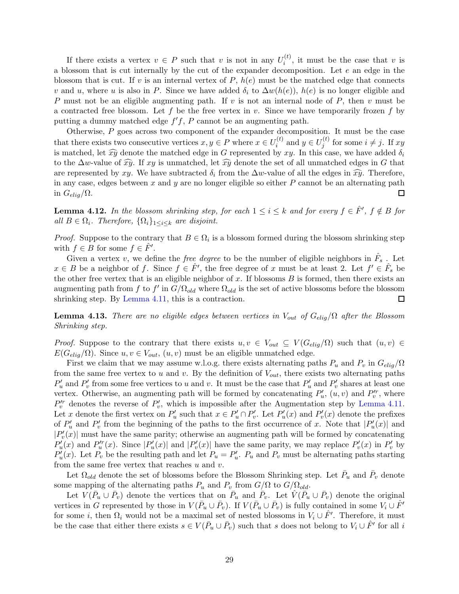If there exists a vertex  $v \in P$  such that v is not in any  $U_i^{(t)}$  $i^{(v)}$ , it must be the case that v is a blossom that is cut internally by the cut of the expander decomposition. Let e an edge in the blossom that is cut. If v is an internal vertex of  $P$ ,  $h(e)$  must be the matched edge that connects v and u, where u is also in P. Since we have added  $\delta_i$  to  $\Delta w(h(e))$ ,  $h(e)$  is no longer eligible and P must not be an eligible augmenting path. If v is not an internal node of P, then v must be a contracted free blossom. Let f be the free vertex in  $v$ . Since we have temporarily frozen f by putting a dummy matched edge  $f'f$ , P cannot be an augmenting path.

Otherwise, P goes across two component of the expander decomposition. It must be the case that there exists two consecutive vertices  $x, y \in P$  where  $x \in U_i^{(t)}$  $u_i^{(t)}$  and  $y \in U_j^{(t)}$  $j^{(i)}$  for some  $i \neq j$ . If  $xy$ is matched, let  $\widehat{xy}$  denote the matched edge in G represented by  $xy$ . In this case, we have added  $\delta_i$ to the  $\Delta w$ -value of  $\widehat{xy}$ . If xy is unmatched, let  $\widehat{xy}$  denote the set of all unmatched edges in G that are represented by xy. We have subtracted  $\delta_i$  from the  $\Delta w$ -value of all the edges in  $\widehat{xy}$ . Therefore, in any case, edges between  $x$  and  $y$  are no longer eligible so either  $P$  cannot be an alternating path in  $G_{elig}/\Omega$ .  $\Box$ 

<span id="page-29-0"></span>**Lemma 4.12.** In the blossom shrinking step, for each  $1 \leq i \leq k$  and for every  $f \in \hat{F}'$ ,  $f \notin B$  for *all*  $B \in \Omega_i$ . Therefore,  $\{\Omega_i\}_{1 \leq i \leq k}$  are disjoint.

*Proof.* Suppose to the contrary that  $B \in \Omega_i$  is a blossom formed during the blossom shrinking step with  $f \in B$  for some  $f \in \hat{F}'$ .

Given a vertex v, we define the *free degree* to be the number of eligible neighbors in  $\hat{F}_s$ . Let  $x \in B$  be a neighbor of f. Since  $f \in \hat{F}'$ , the free degree of x must be at least 2. Let  $f' \in \hat{F}_s$  be the other free vertex that is an eligible neighbor of  $x$ . If blossoms  $B$  is formed, then there exists an augmenting path from f to f' in  $G/\Omega_{old}$  where  $\Omega_{old}$  is the set of active blossoms before the blossom shrinking step. By [Lemma 4.11,](#page-28-0) this is a contraction.  $\Box$ 

<span id="page-29-1"></span>**Lemma 4.13.** *There are no eligible edges between vertices in*  $V_{out}$  *of*  $G_{elig} / \Omega$  *after the Blossom Shrinking step.*

*Proof.* Suppose to the contrary that there exists  $u, v \in V_{out} \subseteq V(G_{elig}(\Omega))$  such that  $(u, v) \in$  $E(G_{elig}|\Omega)$ . Since  $u, v \in V_{out}, (u, v)$  must be an eligible unmatched edge.

First we claim that we may assume w.l.o.g. there exists alternating paths  $P_u$  and  $P_v$  in  $G_{elig}/\Omega$ from the same free vertex to u and v. By the definition of  $V_{out}$ , there exists two alternating paths  $P'_u$  and  $P'_v$  from some free vertices to u and v. It must be the case that  $P'_u$  and  $P'_v$  shares at least one vertex. Otherwise, an augmenting path will be formed by concatenating  $P'_u$ ,  $(u, v)$  and  $P''_v$ , where  $P_v^{tr}$  denotes the reverse of  $P_v'$ , which is impossible after the Augmentation step by [Lemma 4.11.](#page-28-0) Let x denote the first vertex on  $P'_u$  such that  $x \in P'_u \cap P'_v$ . Let  $P'_u(x)$  and  $P'_v(x)$  denote the prefixes of  $P'_u$  and  $P'_v$  from the beginning of the paths to the first occurrence of x. Note that  $|P'_u(x)|$  and  $|P'_v(x)|$  must have the same parity; otherwise an augmenting path will be formed by concatenating  $P'_u(x)$  and  $P''_u(x)$ . Since  $|P'_u(x)|$  and  $|P'_v(x)|$  have the same parity, we may replace  $P'_v(x)$  in  $P'_v$  by  $P'_u(x)$ . Let  $P_v$  be the resulting path and let  $P_u = P'_u$ .  $P_u$  and  $P_v$  must be alternating paths starting from the same free vertex that reaches  $u$  and  $v$ .

Let  $\Omega_{old}$  denote the set of blossoms before the Blossom Shrinking step. Let  $\bar{P}_u$  and  $\bar{P}_v$  denote some mapping of the alternating paths  $P_u$  and  $P_v$  from  $G/\Omega$  to  $G/\Omega_{old}$ .

Let  $V(\bar{P}_u \cup \bar{P}_v)$  denote the vertices that on  $\bar{P}_u$  and  $\bar{P}_v$ . Let  $V(\bar{P}_u \cup \bar{P}_v)$  denote the original vertices in G represented by those in  $V(P_u \cup \bar{P}_v)$ . If  $V(P_u \cup \bar{P}_v)$  is fully contained in some  $V_i \cup \hat{F}'$ for some *i*, then  $\Omega_i$  would not be a maximal set of nested blossoms in  $V_i \cup \hat{F}'$ . Therefore, it must be the case that either there exists  $s \in V(\bar{P}_u \cup \bar{P}_v)$  such that s does not belong to  $V_i \cup \hat{F}'$  for all i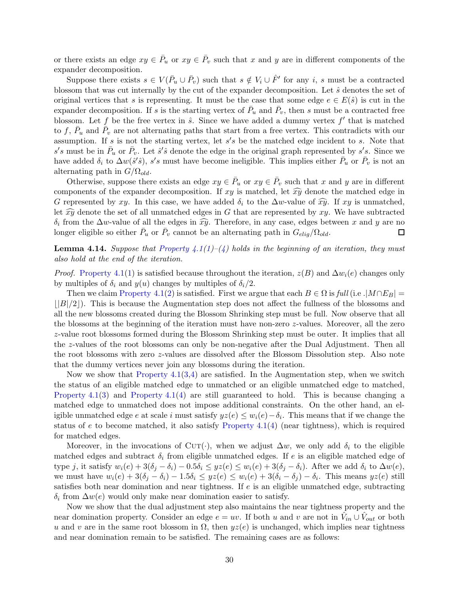or there exists an edge  $xy \in \overline{P}_u$  or  $xy \in \overline{P}_v$  such that x and y are in different components of the expander decomposition.

Suppose there exists  $s \in V(\bar{P}_u \cup \bar{P}_v)$  such that  $s \notin V_i \cup \hat{F}'$  for any i, s must be a contracted blossom that was cut internally by the cut of the expander decomposition. Let  $\hat{s}$  denotes the set of original vertices that s is representing. It must be the case that some edge  $e \in E(\hat{s})$  is cut in the expander decomposition. If s is the starting vertex of  $\bar{P}_u$  and  $\bar{P}_v$ , then s must be a contracted free blossom. Let f be the free vertex in  $\hat{s}$ . Since we have added a dummy vertex f' that is matched to f,  $\bar{P}_u$  and  $\bar{P}_v$  are not alternating paths that start from a free vertex. This contradicts with our assumption. If s is not the starting vertex, let  $s's$  be the matched edge incident to s. Note that  $s's$  must be in  $\bar{P}_u$  or  $\bar{P}_v$ . Let  $\hat{s}'\hat{s}$  denote the edge in the original graph represented by  $s's$ . Since we have added  $\delta_i$  to  $\Delta w(\hat{s}'\hat{s})$ , s's must have become ineligible. This implies either  $\bar{P}_u$  or  $\bar{P}_v$  is not an alternating path in  $G/\Omega_{old}$ .

Otherwise, suppose there exists an edge  $xy \in \overline{P}_u$  or  $xy \in \overline{P}_v$  such that x and y are in different components of the expander decomposition. If xy is matched, let  $\widehat{xy}$  denote the matched edge in G represented by xy. In this case, we have added  $\delta_i$  to the  $\Delta w$ -value of  $\widehat{xy}$ . If xy is unmatched, let  $\widehat{xy}$  denote the set of all unmatched edges in G that are represented by xy. We have subtracted  $\delta_i$  from the  $\Delta w$ -value of all the edges in  $\widehat{xy}$ . Therefore, in any case, edges between x and y are no longer eligible so either  $\bar{P}_u$  or  $\bar{P}_v$  cannot be an alternating path in  $G_{elig}/\Omega_{old}$ .

**Lemma 4.14.** *Suppose that [Property 4.1\(](#page-21-5)[1\)](#page-21-6)–[\(4\)](#page-21-3)* holds in the beginning of an iteration, they must *also hold at the end of the iteration.*

*Proof.* [Property 4.1](#page-21-5)[\(1\)](#page-21-6) is satisfied because throughout the iteration,  $z(B)$  and  $\Delta w_i(e)$  changes only by multiples of  $\delta_i$  and  $y(u)$  changes by multiples of  $\delta_i/2$ .

Then we claim [Property 4.1](#page-21-5)[\(2\)](#page-21-7) is satisfied. First we argue that each  $B \in \Omega$  is *full* (i.e . $M \cap E_B$ )  $\vert B\vert/2\vert$ ). This is because the Augmentation step does not affect the fullness of the blossoms and all the new blossoms created during the Blossom Shrinking step must be full. Now observe that all the blossoms at the beginning of the iteration must have non-zero z-values. Moreover, all the zero z-value root blossoms formed during the Blossom Shrinking step must be outer. It implies that all the z-values of the root blossoms can only be non-negative after the Dual Adjustment. Then all the root blossoms with zero z-values are dissolved after the Blossom Dissolution step. Also note that the dummy vertices never join any blossoms during the iteration.

Now we show that Property  $4.1(3,4)$  $4.1(3,4)$  $4.1(3,4)$  are satisfied. In the Augmentation step, when we switch the status of an eligible matched edge to unmatched or an eligible unmatched edge to matched, [Property 4.1\(](#page-21-5)[3\)](#page-21-2) and [Property 4.1](#page-21-5)[\(4\)](#page-21-3) are still guaranteed to hold. This is because changing a matched edge to unmatched does not impose additional constraints. On the other hand, an eligible unmatched edge e at scale i must satisfy  $yz(e) \leq w_i(e) - \delta_i$ . This means that if we change the status of e to become matched, it also satisfy Property  $4.1(4)$  $4.1(4)$  (near tightness), which is required for matched edges.

Moreover, in the invocations of CuT( $\cdot$ ), when we adjust  $\Delta w$ , we only add  $\delta_i$  to the eligible matched edges and subtract  $\delta_i$  from eligible unmatched edges. If e is an eligible matched edge of type j, it satisfy  $w_i(e) + 3(\delta_i - \delta_i) - 0.5\delta_i \leq yz(e) \leq w_i(e) + 3(\delta_i - \delta_i)$ . After we add  $\delta_i$  to  $\Delta w(e)$ , we must have  $w_i(e) + 3(\delta_j - \delta_i) - 1.5\delta_i \leq yz(e) \leq w_i(e) + 3(\delta_i - \delta_j) - \delta_i$ . This means  $yz(e)$  still satisfies both near domination and near tightness. If e is an eligible unmatched edge, subtracting  $\delta_i$  from  $\Delta w(e)$  would only make near domination easier to satisfy.

Now we show that the dual adjustment step also maintains the near tightness property and the near domination property. Consider an edge  $e = uv$ . If both u and v are not in  $\hat{V}_{in} \cup \hat{V}_{out}$  or both u and v are in the same root blossom in  $\Omega$ , then  $yz(e)$  is unchanged, which implies near tightness and near domination remain to be satisfied. The remaining cases are as follows: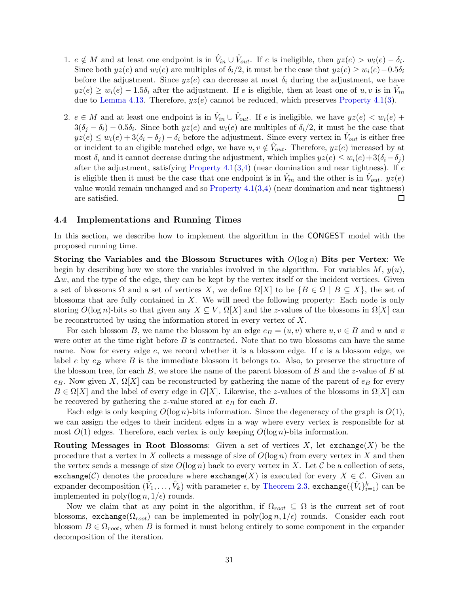- 1.  $e \notin M$  and at least one endpoint is in  $\hat{V}_{in} \cup \hat{V}_{out}$ . If e is ineligible, then  $yz(e) > w_i(e) \delta_i$ . Since both  $yz(e)$  and  $w_i(e)$  are multiples of  $\delta_i/2$ , it must be the case that  $yz(e) \geq w_i(e) - 0.5\delta_i$ before the adjustment. Since  $yz(e)$  can decrease at most  $\delta_i$  during the adjustment, we have  $yz(e) \ge w_i(e) - 1.5\delta_i$  after the adjustment. If e is eligible, then at least one of  $u, v$  is in  $\hat{V}_{in}$ due to [Lemma 4.13.](#page-29-1) Therefore,  $yz(e)$  cannot be reduced, which preserves [Property 4.1\(](#page-21-5)[3\)](#page-21-2).
- 2.  $e \in M$  and at least one endpoint is in  $\hat{V}_{in} \cup \hat{V}_{out}$ . If e is ineligible, we have  $yz(e) < w_i(e) +$  $3(\delta_j - \delta_i) - 0.5\delta_i$ . Since both  $yz(e)$  and  $w_i(e)$  are multiples of  $\delta_i/2$ , it must be the case that  $yz(e) \leq w_i(e) + 3(\delta_i - \delta_j) - \delta_i$  before the adjustment. Since every vertex in  $\hat{V}_{out}$  is either free or incident to an eligible matched edge, we have  $u, v \notin \hat{V}_{out}$ . Therefore,  $yz(e)$  increased by at most  $\delta_i$  and it cannot decrease during the adjustment, which implies  $yz(e) \leq w_i(e) + 3(\delta_i - \delta_i)$ after the adjustment, satisfying Property  $4.1(3,4)$  $4.1(3,4)$  $4.1(3,4)$  (near domination and near tightness). If e is eligible then it must be the case that one endpoint is in  $\hat{V}_{in}$  and the other is in  $\hat{V}_{out}$ .  $yz(e)$ value would remain unchanged and so Property  $4.1(3,4)$  $4.1(3,4)$  $4.1(3,4)$  (near domination and near tightness) are satisfied.  $\Box$

#### <span id="page-31-0"></span>4.4 Implementations and Running Times

In this section, we describe how to implement the algorithm in the CONGEST model with the proposed running time.

Storing the Variables and the Blossom Structures with  $O(\log n)$  Bits per Vertex: We begin by describing how we store the variables involved in the algorithm. For variables  $M$ ,  $y(u)$ ,  $\Delta w$ , and the type of the edge, they can be kept by the vertex itself or the incident vertices. Given a set of blossoms  $\Omega$  and a set of vertices X, we define  $\Omega[X]$  to be  $\{B \in \Omega \mid B \subseteq X\}$ , the set of blossoms that are fully contained in  $X$ . We will need the following property: Each node is only storing  $O(\log n)$ -bits so that given any  $X \subseteq V$ ,  $\Omega[X]$  and the z-values of the blossoms in  $\Omega[X]$  can be reconstructed by using the information stored in every vertex of X.

For each blossom B, we name the blossom by an edge  $e_B = (u, v)$  where  $u, v \in B$  and u and v were outer at the time right before  $B$  is contracted. Note that no two blossoms can have the same name. Now for every edge e, we record whether it is a blossom edge. If e is a blossom edge, we label e by  $e_B$  where B is the immediate blossom it belongs to. Also, to preserve the structure of the blossom tree, for each  $B$ , we store the name of the parent blossom of  $B$  and the z-value of  $B$  at e<sub>B</sub>. Now given X,  $\Omega[X]$  can be reconstructed by gathering the name of the parent of e<sub>B</sub> for every  $B \in \Omega[X]$  and the label of every edge in  $G[X]$ . Likewise, the z-values of the blossoms in  $\Omega[X]$  can be recovered by gathering the z-value stored at  $e_B$  for each  $B$ .

Each edge is only keeping  $O(\log n)$ -bits information. Since the degeneracy of the graph is  $O(1)$ , we can assign the edges to their incident edges in a way where every vertex is responsible for at most  $O(1)$  edges. Therefore, each vertex is only keeping  $O(\log n)$ -bits information.

Routing Messages in Root Blossoms: Given a set of vertices  $X$ , let exchange $(X)$  be the procedure that a vertex in X collects a message of size of  $O(\log n)$  from every vertex in X and then the vertex sends a message of size  $O(\log n)$  back to every vertex in X. Let C be a collection of sets, exchange(C) denotes the procedure where exchange(X) is executed for every  $X \in \mathcal{C}$ . Given an expander decomposition  $(\hat{V}_1,\ldots,\hat{V}_k)$  with parameter  $\epsilon$ , by [Theorem 2.3,](#page-13-0) exchange $(\{\hat{V}_i\}_{i=1}^k)$  can be implemented in poly(log  $n, 1/\epsilon$ ) rounds.

Now we claim that at any point in the algorithm, if  $\Omega_{root} \subseteq \Omega$  is the current set of root blossoms, exchange( $\Omega_{root}$ ) can be implemented in poly(log n,  $1/\epsilon$ ) rounds. Consider each root blossom  $B \in \Omega_{root}$ , when B is formed it must belong entirely to some component in the expander decomposition of the iteration.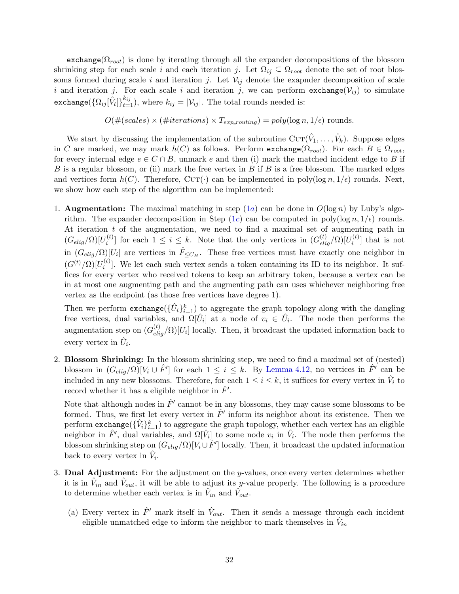exchange( $\Omega_{root}$ ) is done by iterating through all the expander decompositions of the blossom shrinking step for each scale i and each iteration j. Let  $\Omega_{ij} \subseteq \Omega_{root}$  denote the set of root blossoms formed during scale i and iteration j. Let  $\mathcal{V}_{ij}$  denote the exapnder decomposition of scale i and iteration j. For each scale i and iteration j, we can perform exchange( $V_{ij}$ ) to simulate exchange( $\{\Omega_{ij}[\hat{V}_t]\}_{t=1}^{k_{ij}}$ ), where  $k_{ij} = |\mathcal{V}_{ij}|$ . The total rounds needed is:

$$
O(\#(scales) \times (\#iterations) \times T_{exp\_routing}) = poly(\log n, 1/\epsilon) \text{ rounds.}
$$

We start by discussing the implementation of the subroutine  $\text{CUT}(\hat{V}_1,\ldots,\hat{V}_k)$ . Suppose edges in C are marked, we may mark  $h(C)$  as follows. Perform exchange( $\Omega_{root}$ ). For each  $B \in \Omega_{root}$ , for every internal edge  $e \in C \cap B$ , unmark e and then (i) mark the matched incident edge to B if B is a regular blossom, or (ii) mark the free vertex in B if B is a free blossom. The marked edges and vertices form  $h(C)$ . Therefore, CUT( $\cdot$ ) can be implemented in poly(log n,  $1/\epsilon$ ) rounds. Next, we show how each step of the algorithm can be implemented:

1. **Augmentation:** The maximal matching in step  $(1a)$  can be done in  $O(\log n)$  by Luby's algo-rithm. The expander decomposition in Step [\(1](#page-24-2)c) can be computed in poly(log  $n, 1/\epsilon$ ) rounds. At iteration t of the augmentation, we need to find a maximal set of augmenting path in  $(G_{elig}/\Omega)[U_i^{(t)}]$ <sup>(t)</sup>l for each  $1 \leq i \leq k$ . Note that the only vertices in  $(G_{elig}^{(t)}/\Omega)[U_i^{(t)}]$  $i^{(\iota)}$  that is not in  $(G_{elig}/\Omega)[U_i]$  are vertices in  $\hat{F}_{\leq C_H}$ . These free vertices must have exactly one neighbor in  $(G^{(t)}/\Omega)[U_i^{(t)}]$  $i^{(t)}$ . We let each such vertex sends a token containing its ID to its neighbor. It suffices for every vertex who received tokens to keep an arbitrary token, because a vertex can be in at most one augmenting path and the augmenting path can uses whichever neighboring free vertex as the endpoint (as those free vertices have degree 1).

Then we perform  $\text{exchange}(\{\hat{U}_i\}_{i=1}^k)$  to aggregate the graph topology along with the dangling free vertices, dual variables, and  $\Omega[\hat{U}_i]$  at a node of  $v_i \in \hat{U}_i$ . The node then performs the augmentation step on  $(G_{elig}^{(t)}/\Omega)[U_i]$  locally. Then, it broadcast the updated information back to every vertex in  $\hat{U}_i$ .

2. Blossom Shrinking: In the blossom shrinking step, we need to find a maximal set of (nested) blossom in  $(G_{elig}/\Omega)[V_i \cup \hat{F}']$  for each  $1 \leq i \leq k$ . By [Lemma 4.12,](#page-29-0) no vertices in  $\hat{F}'$  can be included in any new blossoms. Therefore, for each  $1 \leq i \leq k$ , it suffices for every vertex in  $\hat{V}_i$  to record whether it has a eligible neighbor in  $\hat{F}'$ .

Note that although nodes in  $\hat{F}'$  cannot be in any blossoms, they may cause some blossoms to be formed. Thus, we first let every vertex in  $\hat{F}'$  inform its neighbor about its existence. Then we perform  ${\sf exchange}(\{\hat{V}_i\}_{i=1}^k)$  to aggregate the graph topology, whether each vertex has an eligible neighbor in  $\hat{F}'$ , dual variables, and  $\Omega[\hat{V}_i]$  to some node  $v_i$  in  $\hat{V}_i$ . The node then performs the blossom shrinking step on  $(G_{elig}/\Omega)[V_i \cup \hat{F}']$  locally. Then, it broadcast the updated information back to every vertex in  $\hat{V}_i$ .

- 3. Dual Adjustment: For the adjustment on the  $y$ -values, once every vertex determines whether it is in  $\hat{V}_{in}$  and  $\hat{V}_{out}$ , it will be able to adjust its y-value properly. The following is a procedure to determine whether each vertex is in  $\hat{V}_{in}$  and  $\hat{V}_{out}$ .
	- (a) Every vertex in  $\hat{F}'$  mark itself in  $\hat{V}_{out}$ . Then it sends a message through each incident eligible unmatched edge to inform the neighbor to mark themselves in  $\hat{V}_{in}$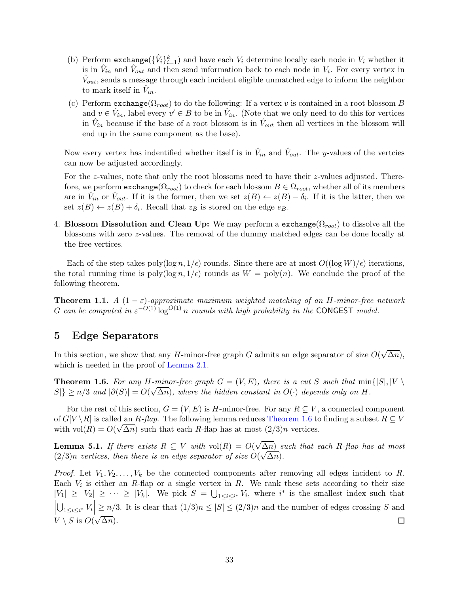- (b) Perform  $\text{exchange}(\{\hat{V}_i\}_{i=1}^k)$  and have each  $V_i$  determine locally each node in  $V_i$  whether it is in  $\hat{V}_{in}$  and  $\hat{V}_{out}$  and then send information back to each node in  $V_i$ . For every vertex in  $\hat{V}_{out}$ , sends a message through each incident eligible unmatched edge to inform the neighbor to mark itself in  $\hat{V}_{in}$ .
- (c) Perform  $\text{exchange}(\Omega_{root})$  to do the following: If a vertex v is contained in a root blossom B and  $v \in \hat{V}_{in}$ , label every  $v' \in B$  to be in  $\hat{V}_{in}$ . (Note that we only need to do this for vertices in  $\hat{V}_{in}$  because if the base of a root blossom is in  $\hat{V}_{out}$  then all vertices in the blossom will end up in the same component as the base).

Now every vertex has indentified whether itself is in  $\hat{V}_{in}$  and  $\hat{V}_{out}$ . The y-values of the vertcies can now be adjusted accordingly.

For the z-values, note that only the root blossoms need to have their z-values adjusted. Therefore, we perform  $\text{exchange}(\Omega_{root})$  to check for each blossom  $B \in \Omega_{root}$ , whether all of its members are in  $\hat{V}_{int}$  or  $\hat{V}_{out}$ . If it is the former, then we set  $z(B) \leftarrow z(B) - \delta_i$ . If it is the latter, then we set  $z(B) \leftarrow z(B) + \delta_i$ . Recall that  $z_B$  is stored on the edge  $e_B$ .

4. Blossom Dissolution and Clean Up: We may perform a exchange( $\Omega_{root}$ ) to dissolve all the blossoms with zero z-values. The removal of the dummy matched edges can be done locally at the free vertices.

Each of the step takes poly(log  $n, 1/\epsilon$ ) rounds. Since there are at most  $O((\log W)/\epsilon)$  iterations, the total running time is poly( $\log n$ ,  $1/\epsilon$ ) rounds as  $W = \text{poly}(n)$ . We conclude the proof of the following theorem.

**Theorem 1.1.** *A*  $(1 - \varepsilon)$ -approximate maximum weighted matching of an H-minor-free network G can be computed in  $\varepsilon^{-O(1)} \log^{O(1)} n$  rounds with high probability in the CONGEST model.

# <span id="page-33-0"></span>5 Edge Separators

In this section, we show that any H-minor-free graph G admits an edge separator of size  $O(\sqrt{\Delta n})$ , which is needed in the proof of [Lemma 2.1.](#page-10-0)

**Theorem 1.6.** For any H-minor-free graph  $G = (V, E)$ , there is a cut S such that  $\min\{|S|, |V|$  $|S|\ge n/3$  and  $|\partial(S)|=O(\sqrt{\Delta n})$ , where the hidden constant in  $O(\cdot)$  depends only on H.

For the rest of this section,  $G = (V, E)$  is H-minor-free. For any  $R \subseteq V$ , a connected component of  $G[V \setminus R]$  is called an R-flap. The following lemma reduces [Theorem 1.6](#page-6-0) to finding a subset  $R \subseteq V$ with  $vol(R) = O(\sqrt{\Delta n})$  such that each R-flap has at most  $(2/3)n$  vertices.

<span id="page-33-1"></span>**Lemma 5.1.** *If there exists*  $R \subseteq V$  *with*  $vol(R) = O(\sqrt{\Delta n})$  *such that each* R-flap has at most  $(2/3)n$  *vertices, then there is an edge separator of size*  $O(\sqrt{\Delta n})$ *.* 

*Proof.* Let  $V_1, V_2, \ldots, V_k$  be the connected components after removing all edges incident to R. Each  $V_i$  is either an R-flap or a single vertex in R. We rank these sets according to their size  $|V_1| \geq |V_2| \geq \cdots \geq |V_k|$ . We pick  $S = \bigcup_{1 \leq i \leq i^*} V_i$ , where  $i^*$  is the smallest index such that  $\bigcup_{1 \leq i \leq i^*} V_i \bigg| \geq n/3$ . It is clear that  $(1/3)n \leq |S| \leq (2/3)n$  and the number of edges crossing S and  $V \setminus S$  is  $O(\sqrt{\Delta n}).$  $\Box$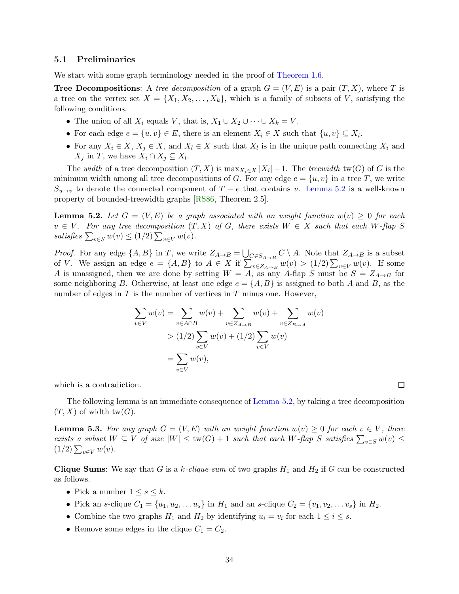#### 5.1 Preliminaries

We start with some graph terminology needed in the proof of [Theorem 1.6.](#page-6-0)

**Tree Decompositions:** A *tree decomposition* of a graph  $G = (V, E)$  is a pair  $(T, X)$ , where T is a tree on the vertex set  $X = \{X_1, X_2, \ldots, X_k\}$ , which is a family of subsets of V, satisfying the following conditions.

- The union of all  $X_i$  equals V, that is,  $X_1 \cup X_2 \cup \cdots \cup X_k = V$ .
- For each edge  $e = \{u, v\} \in E$ , there is an element  $X_i \in X$  such that  $\{u, v\} \subseteq X_i$ .
- For any  $X_i \in X$ ,  $X_j \in X$ , and  $X_l \in X$  such that  $X_l$  is in the unique path connecting  $X_i$  and  $X_j$  in T, we have  $X_i \cap X_j \subseteq X_l$ .

The *width* of a tree decomposition  $(T, X)$  is  $\max_{X_i \in X} |X_i| - 1$ . The *treewidth* tw(G) of G is the minimum width among all tree decompositions of G. For any edge  $e = \{u, v\}$  in a tree T, we write  $S_{u\to v}$  to denote the connected component of  $T - e$  that contains v. [Lemma 5.2](#page-34-0) is a well-known property of bounded-treewidth graphs [\[RS86,](#page-47-16) Theorem 2.5].

<span id="page-34-0"></span>**Lemma 5.2.** Let  $G = (V, E)$  be a graph associated with an weight function  $w(v) \geq 0$  for each  $v \in V$ . For any tree decomposition  $(T, X)$  of G, there exists  $W \in X$  such that each W-flap S *satisfies*  $\sum_{v \in S} w(v) \le (1/2) \sum_{v \in V} w(v)$ .

*Proof.* For any edge  $\{A, B\}$  in T, we write  $Z_{A\to B} = \bigcup_{C \in S_{A\to B}} C \setminus A$ . Note that  $Z_{A\to B}$  is a subset of V. We assign an edge  $e = \{A, B\}$  to  $A \in X$  if  $\sum_{v \in Z_{A \to B}}^{\infty} w(v) > (1/2) \sum_{v \in V} w(v)$ . If some A is unassigned, then we are done by setting  $W = A$ , as any A-flap S must be  $S = Z_{A\rightarrow B}$  for some neighboring B. Otherwise, at least one edge  $e = \{A, B\}$  is assigned to both A and B, as the number of edges in  $T$  is the number of vertices in  $T$  minus one. However,

$$
\sum_{v \in V} w(v) = \sum_{v \in A \cap B} w(v) + \sum_{v \in Z_{A \to B}} w(v) + \sum_{v \in Z_{B \to A}} w(v)
$$
  
> (1/2)  $\sum_{v \in V} w(v) + (1/2) \sum_{v \in V} w(v)$   
=  $\sum_{v \in V} w(v)$ ,

which is a contradiction.

<span id="page-34-1"></span>The following lemma is an immediate consequence of [Lemma 5.2,](#page-34-0) by taking a tree decomposition  $(T, X)$  of width tw $(G)$ .

**Lemma 5.3.** For any graph  $G = (V, E)$  with an weight function  $w(v) \geq 0$  for each  $v \in V$ , there  $exists \ a \ subset \ W \subseteq V \ of \ size \ |W| \le \text{tw}(G) + 1 \ such \ that \ each \ W \text{-}\nflap \ S \ satisfies \ \sum_{v \in S} w(v) \le$  $(1/2) \sum_{v \in V} w(v)$ .

**Clique Sums:** We say that G is a k-clique-sum of two graphs  $H_1$  and  $H_2$  if G can be constructed as follows.

- Pick a number  $1 \leq s \leq k$ .
- Pick an s-clique  $C_1 = \{u_1, u_2, \dots u_s\}$  in  $H_1$  and an s-clique  $C_2 = \{v_1, v_2, \dots v_s\}$  in  $H_2$ .
- Combine the two graphs  $H_1$  and  $H_2$  by identifying  $u_i = v_i$  for each  $1 \le i \le s$ .
- Remove some edges in the clique  $C_1 = C_2$ .

 $\Box$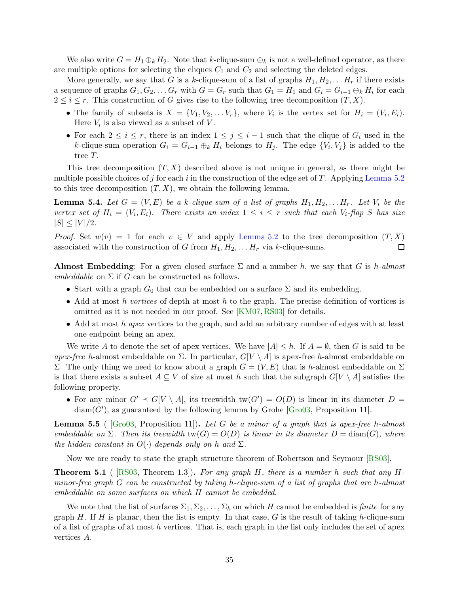We also write  $G = H_1 \oplus_k H_2$ . Note that k-clique-sum  $\oplus_k$  is not a well-defined operator, as there are multiple options for selecting the cliques  $C_1$  and  $C_2$  and selecting the deleted edges.

More generally, we say that G is a k-clique-sum of a list of graphs  $H_1, H_2, \ldots H_r$  if there exists a sequence of graphs  $G_1, G_2, \ldots G_r$  with  $G = G_r$  such that  $G_1 = H_1$  and  $G_i = G_{i-1} \oplus_k H_i$  for each  $2 \leq i \leq r$ . This construction of G gives rise to the following tree decomposition  $(T, X)$ .

- The family of subsets is  $X = \{V_1, V_2, \ldots V_r\}$ , where  $V_i$  is the vertex set for  $H_i = (V_i, E_i)$ . Here  $V_i$  is also viewed as a subset of V.
- For each  $2 \leq i \leq r$ , there is an index  $1 \leq j \leq i-1$  such that the clique of  $G_i$  used in the k-clique-sum operation  $G_i = G_{i-1} \oplus_k H_i$  belongs to  $H_j$ . The edge  $\{V_i, V_j\}$  is added to the tree T.

This tree decomposition  $(T, X)$  described above is not unique in general, as there might be multiple possible choices of j for each i in the construction of the edge set of T. Applying [Lemma 5.2](#page-34-0) to this tree decomposition  $(T, X)$ , we obtain the following lemma.

<span id="page-35-1"></span>**Lemma 5.4.** Let  $G = (V, E)$  be a k-clique-sum of a list of graphs  $H_1, H_2, \ldots H_r$ . Let  $V_i$  be the *vertex set of*  $H_i = (V_i, E_i)$ *. There exists an index*  $1 \leq i \leq r$  *such that each*  $V_i$ *-flap S has size*  $|S| \leq |V|/2$ .

*Proof.* Set  $w(v) = 1$  for each  $v \in V$  and apply [Lemma 5.2](#page-34-0) to the tree decomposition  $(T, X)$  associated with the construction of G from  $H_1, H_2, \ldots, H_r$  via k-clique-sums. associated with the construction of G from  $H_1, H_2, \ldots H_r$  via k-clique-sums.

**Almost Embedding**: For a given closed surface  $\Sigma$  and a number h, we say that G is h-almost *embeddable* on  $\Sigma$  if G can be constructed as follows.

- Start with a graph  $G_0$  that can be embedded on a surface  $\Sigma$  and its embedding.
- Add at most h *vortices* of depth at most h to the graph. The precise definition of vortices is omitted as it is not needed in our proof. See [\[KM07,](#page-46-16)[RS03\]](#page-47-12) for details.
- Add at most h *apex* vertices to the graph, and add an arbitrary number of edges with at least one endpoint being an apex.

We write A to denote the set of apex vertices. We have  $|A| \leq h$ . If  $A = \emptyset$ , then G is said to be *apex-free* h-almost embeddable on  $\Sigma$ . In particular,  $G[V \setminus A]$  is apex-free h-almost embeddable on Σ. The only thing we need to know about a graph  $G = (V, E)$  that is h-almost embeddable on Σ is that there exists a subset  $A \subseteq V$  of size at most h such that the subgraph  $G[V \setminus A]$  satisfies the following property.

• For any minor  $G' \preceq G[V \setminus A]$ , its treewidth  $tw(G') = O(D)$  is linear in its diameter  $D =$  $\text{diam}(G')$ , as guaranteed by the following lemma by Grohe [\[Gro03,](#page-45-15) Proposition 11].

<span id="page-35-2"></span>Lemma 5.5 ( [\[Gro03,](#page-45-15) Proposition 11]). *Let* G *be a minor of a graph that is apex-free* h*-almost embeddable on*  $\Sigma$ *. Then its treewidth* tw( $G$ ) =  $O(D)$  *is linear in its diameter*  $D = \text{diam}(G)$ *, where the hidden constant in*  $O(\cdot)$  *depends only on* h *and*  $\Sigma$ *.* 

<span id="page-35-0"></span>Now we are ready to state the graph structure theorem of Robertson and Seymour [\[RS03\]](#page-47-12).

Theorem 5.1 ( [\[RS03,](#page-47-12) Theorem 1.3]). *For any graph* H*, there is a number* h *such that any* H*minor-free graph* G *can be constructed by taking* h*-clique-sum of a list of graphs that are* h*-almost embeddable on some surfaces on which* H *cannot be embedded.*

We note that the list of surfaces  $\Sigma_1, \Sigma_2, \ldots, \Sigma_k$  on which H cannot be embedded is *finite* for any graph H. If H is planar, then the list is empty. In that case, G is the result of taking h-clique-sum of a list of graphs of at most  $h$  vertices. That is, each graph in the list only includes the set of apex vertices A.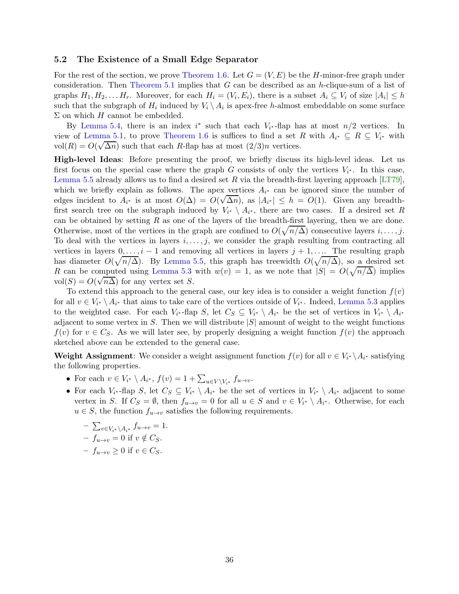#### 5.2 The Existence of a Small Edge Separator

For the rest of the section, we prove [Theorem 1.6.](#page-6-0) Let  $G = (V, E)$  be the H-minor-free graph under consideration. Then [Theorem 5.1](#page-35-0) implies that  $G$  can be described as an h-clique-sum of a list of graphs  $H_1, H_2, \ldots H_r$ . Moreover, for each  $H_i = (V_i, E_i)$ , there is a subset  $A_i \subseteq V_i$  of size  $|A_i| \leq h$ such that the subgraph of  $H_i$  induced by  $V_i \setminus A_i$  is apex-free h-almost embeddable on some surface  $\Sigma$  on which H cannot be embedded.

By [Lemma 5.4,](#page-35-1) there is an index  $i^*$  such that each  $V_{i^*}$ -flap has at most  $n/2$  vertices. In view of [Lemma 5.1,](#page-33-1) to prove [Theorem 1.6](#page-6-0) is suffices to find a set R with  $A_{i^*} \subseteq R \subseteq V_{i^*}$  with vol $(R) = O(\sqrt{\Delta n})$  such that each R-flap has at most  $(2/3)n$  vertices.

High-level Ideas: Before presenting the proof, we briefly discuss its high-level ideas. Let us first focus on the special case where the graph G consists of only the vertices  $V_{i^*}$ . In this case, [Lemma 5.5](#page-35-2) already allows us to find a desired set R via the breadth-first layering approach  $[LT79]$ , which we briefly explain as follows. The apex vertices  $A_{i^*}$  can be ignored since the number of edges incident to  $A_{i^*}$  is at most  $O(\Delta) = O(\sqrt{\Delta n})$ , as  $|A_{i^*}| \leq h = O(1)$ . Given any breadthfirst search tree on the subgraph induced by  $V_{i^*} \setminus A_{i^*}$ , there are two cases. If a desired set R can be obtained by setting  $R$  as one of the layers of the breadth-first layering, then we are done. Otherwise, most of the vertices in the graph are confined to  $O(\sqrt{n/\Delta})$  consecutive layers  $i, \ldots, j$ . To deal with the vertices in layers  $i, \ldots, j$ , we consider the graph resulting from contracting all vertices in layers  $0, \ldots, i - 1$  and removing all vertices in layers  $j + 1, \ldots$ . The resulting graph has diameter  $O(\sqrt{n/\Delta})$ . By [Lemma 5.5,](#page-35-2) this graph has treewidth  $O(\sqrt{n/\Delta})$ , so a desired set R can be computed using [Lemma 5.3](#page-34-1) with  $w(v) = 1$ , as we note that  $|S| = O(\sqrt{n/\Delta})$  implies vol $(S) = O(\sqrt{n\Delta})$  for any vertex set S.

To extend this approach to the general case, our key idea is to consider a weight function  $f(v)$ for all  $v \in V_{i^*} \setminus A_{i^*}$  that aims to take care of the vertices outside of  $V_{i^*}$ . Indeed, [Lemma 5.3](#page-34-1) applies to the weighted case. For each  $V_{i^*}$ -flap S, let  $C_S \subseteq V_{i^*} \setminus A_{i^*}$  be the set of vertices in  $V_{i^*} \setminus A_{i^*}$ adjacent to some vertex in S. Then we will distribute  $|S|$  amount of weight to the weight functions  $f(v)$  for  $v \in C_S$ . As we will later see, by properly designing a weight function  $f(v)$  the approach sketched above can be extended to the general case.

**Weight Assignment**: We consider a weight assignment function  $f(v)$  for all  $v \in V_{i^*} \setminus A_{i^*}$  satisfying the following properties.

- For each  $v \in V_{i^*} \setminus A_{i^*}$ ,  $f(v) = 1 + \sum_{u \in V \setminus V_{i^*}} f_{u \to v}$ .
- For each  $V_{i^*}$ -flap  $S$ , let  $C_S \subseteq V_{i^*} \setminus A_{i^*}$  be the set of vertices in  $V_{i^*} \setminus A_{i^*}$  adjacent to some vertex in S. If  $C_S = \emptyset$ , then  $f_{u \to v} = 0$  for all  $u \in S$  and  $v \in V_{i^*} \setminus A_{i^*}$ . Otherwise, for each  $u \in S$ , the function  $f_{u\to v}$  satisfies the following requirements.

$$
-\sum_{v \in V_{i^*} \setminus A_{i^*}} f_{u \to v} = 1.
$$
  
-  $f_{u \to v} = 0$  if  $v \notin C_S$ .  
-  $f_{u \to v} \ge 0$  if  $v \in C_S$ .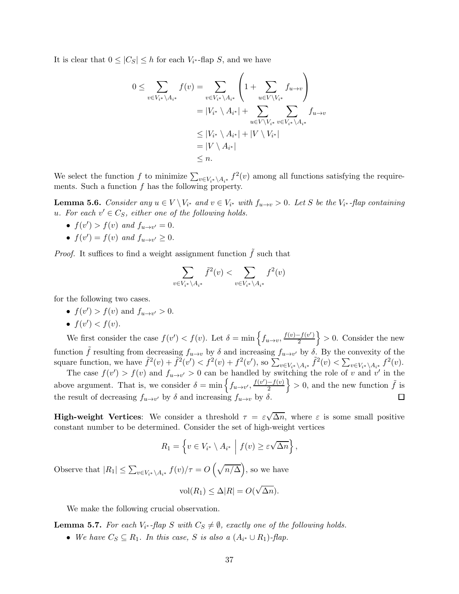It is clear that  $0 \leq |C_S| \leq h$  for each  $V_{i^*}$ -flap S, and we have

$$
0 \leq \sum_{v \in V_{i^*} \setminus A_{i^*}} f(v) = \sum_{v \in V_{i^*} \setminus A_{i^*}} \left( 1 + \sum_{u \in V \setminus V_{i^*}} f_{u \to v} \right)
$$
  

$$
= |V_{i^*} \setminus A_{i^*}| + \sum_{u \in V \setminus V_{i^*}} \sum_{v \in V_{i^*} \setminus A_{i^*}} f_{u \to v}
$$
  

$$
\leq |V_{i^*} \setminus A_{i^*}| + |V \setminus V_{i^*}|
$$
  

$$
= |V \setminus A_{i^*}|
$$
  

$$
\leq n.
$$

<span id="page-37-0"></span>We select the function f to minimize  $\sum_{v \in V_i^* \setminus A_{i^*}} f^2(v)$  among all functions satisfying the requirements. Such a function  $f$  has the following property.

**Lemma 5.6.** *Consider any*  $u \in V \setminus V_{i^*}$  *and*  $v \in V_{i^*}$  *with*  $f_{u \to v} > 0$ *. Let* S *be the*  $V_{i^*}$ *-flap containing* u. For each  $v' \in C_S$ , either one of the following holds.

- $f(v') > f(v)$  and  $f_{u \to v'} = 0$ .
- $f(v') = f(v)$  and  $f_{u \to v'} \ge 0$ .

*Proof.* It suffices to find a weight assignment function  $\tilde{f}$  such that

$$
\sum_{v \in V_{i^*} \setminus A_{i^*}} \tilde{f}^2(v) < \sum_{v \in V_{i^*} \setminus A_{i^*}} f^2(v)
$$

for the following two cases.

- $f(v') > f(v)$  and  $f_{u \to v'} > 0$ .
- $f(v') < f(v)$ .

We first consider the case  $f(v') < f(v)$ . Let  $\delta = \min \left\{ f_{u \to v}, \frac{f(v) - f(v')}{2} \right\}$ 2  $\{ > 0$ . Consider the new function  $\tilde{f}$  resulting from decreasing  $f_{u\to v}$  by  $\delta$  and increasing  $f_{u\to v'}$  by  $\delta$ . By the convexity of the square function, we have  $\tilde{f}^2(v) + \tilde{f}^2(v') < f^2(v) + f^2(v')$ , so  $\sum_{v \in V_{i^*} \setminus A_{i^*}} \tilde{f}^2(v) < \sum_{v \in V_{i^*} \setminus A_{i^*}} f^2(v)$ .

The case  $f(v') > f(v)$  and  $f_{u \to v'} > 0$  can be handled by switching the role of v and v' in the above argument. That is, we consider  $\delta = \min \left\{ f_{u \to v'}, \frac{f(v') - f(v)}{2} \right\}$  $\} > 0$ , and the new function  $\tilde{f}$  is 口 the result of decreasing  $f_{u\to v'}$  by  $\delta$  and increasing  $f_{u\to v}$  by  $\delta$ .

**High-weight Vertices:** We consider a threshold  $\tau = \varepsilon \sqrt{\Delta n}$ , where  $\varepsilon$  is some small positive constant number to be determined. Consider the set of high-weight vertices

$$
R_1 = \left\{ v \in V_{i^*} \setminus A_{i^*} \mid f(v) \geq \varepsilon \sqrt{\Delta n} \right\},\
$$

Observe that  $|R_1| \leq \sum_{v \in V_{i^*} \setminus A_{i^*}} f(v)/\tau = O\left(\sqrt{n/\Delta}\right)$ , so we have

$$
\text{vol}(R_1) \le \Delta |R| = O(\sqrt{\Delta n}).
$$

<span id="page-37-1"></span>We make the following crucial observation.

**Lemma 5.7.** *For each*  $V_{i^*}$ -*flap*  $S$  *with*  $C_S \neq \emptyset$ , *exactly one of the following holds.* 

• We have  $C_S \subseteq R_1$ . In this case, S is also a  $(A_{i^*} \cup R_1)$ -flap.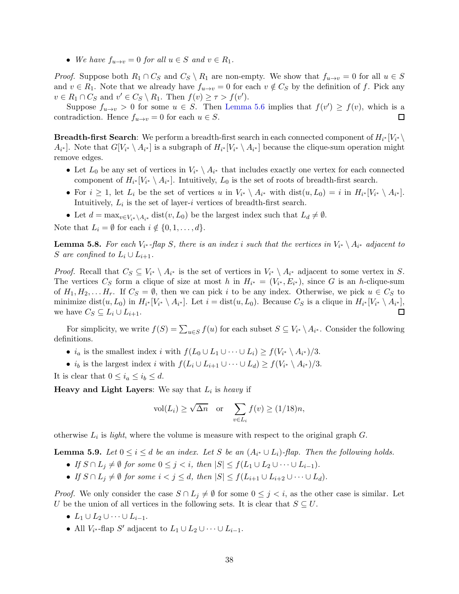• *We have*  $f_{u\to v} = 0$  *for all*  $u \in S$  *and*  $v \in R_1$ *.* 

*Proof.* Suppose both  $R_1 \cap C_S$  and  $C_S \setminus R_1$  are non-empty. We show that  $f_{u\to v} = 0$  for all  $u \in S$ and  $v \in R_1$ . Note that we already have  $f_{u\to v} = 0$  for each  $v \notin C_S$  by the definition of f. Pick any  $v \in R_1 \cap C_S$  and  $v' \in C_S \setminus R_1$ . Then  $f(v) \geq \tau > f(v')$ .

Suppose  $f_{u\to v} > 0$  for some  $u \in S$ . Then [Lemma 5.6](#page-37-0) implies that  $f(v') \geq f(v)$ , which is a contradiction. Hence  $f_{u\to v} = 0$  for each  $u \in S$ .

**Breadth-first Search:** We perform a breadth-first search in each connected component of  $H_{i^*}[V_{i^*}\setminus\mathbb{R}]$  $A_{i^*}$ ]. Note that  $G[V_{i^*} \setminus A_{i^*}]$  is a subgraph of  $H_{i^*}[V_{i^*} \setminus A_{i^*}]$  because the clique-sum operation might remove edges.

- Let  $L_0$  be any set of vertices in  $V_{i^*} \setminus A_{i^*}$  that includes exactly one vertex for each connected component of  $H_{i^*}[V_{i^*} \setminus A_{i^*}]$ . Intuitively,  $L_0$  is the set of roots of breadth-first search.
- For  $i \geq 1$ , let  $L_i$  be the set of vertices u in  $V_{i^*} \setminus A_{i^*}$  with  $dist(u, L_0) = i$  in  $H_{i^*}[V_{i^*} \setminus A_{i^*}].$ Intuitively,  $L_i$  is the set of layer-i vertices of breadth-first search.
- Let  $d = \max_{v \in V_* \setminus A_{i^*}} \text{dist}(v, L_0)$  be the largest index such that  $L_d \neq \emptyset$ .

<span id="page-38-0"></span>Note that  $L_i = \emptyset$  for each  $i \notin \{0, 1, \ldots, d\}.$ 

**Lemma 5.8.** *For each*  $V_{i^*}$ -flap *S*, there is an index i such that the vertices in  $V_{i^*} \setminus A_{i^*}$  adjacent to S are confined to  $L_i \cup L_{i+1}$ .

*Proof.* Recall that  $C_S \subseteq V_{i^*} \setminus A_{i^*}$  is the set of vertices in  $V_{i^*} \setminus A_{i^*}$  adjacent to some vertex in S. The vertices  $C_S$  form a clique of size at most h in  $H_{i^*} = (V_{i^*}, E_{i^*})$ , since G is an h-clique-sum of  $H_1, H_2, \ldots H_r$ . If  $C_S = \emptyset$ , then we can pick i to be any index. Otherwise, we pick  $u \in C_S$  to minimize dist $(u, L_0)$  in  $H_{i^*}[V_{i^*} \setminus A_{i^*}]$ . Let  $i = \text{dist}(u, L_0)$ . Because  $C_S$  is a clique in  $H_{i^*}[V_{i^*} \setminus A_{i^*}]$ , we have  $C_S \subseteq L_i \cup L_{i+1}$ . □

For simplicity, we write  $f(S) = \sum_{u \in S} f(u)$  for each subset  $S \subseteq V_{i^*} \setminus A_{i^*}$ . Consider the following definitions.

- $i_a$  is the smallest index i with  $f(L_0 \cup L_1 \cup \cdots \cup L_i) \ge f(V_{i^*} \setminus A_{i^*})/3$ .
- *i<sub>b</sub>* is the largest index *i* with  $f(L_i \cup L_{i+1} \cup \cdots \cup L_d) \ge f(V_{i^*} \setminus A_{i^*})/3$ .
- It is clear that  $0 \leq i_a \leq i_b \leq d$ .

**Heavy and Light Layers:** We say that  $L_i$  is *heavy* if

$$
\text{vol}(L_i) \ge \sqrt{\Delta n} \quad \text{or} \quad \sum_{v \in L_i} f(v) \ge (1/18)n,
$$

<span id="page-38-1"></span>otherwise  $L_i$  is *light*, where the volume is measure with respect to the original graph  $G$ .

**Lemma 5.9.** *Let*  $0 \le i \le d$  *be an index. Let* S *be an*  $(A_{i^*} \cup L_i)$ -flap. Then the following holds.

- *If*  $S \cap L_i \neq \emptyset$  *for some*  $0 \leq j < i$ *, then*  $|S| \leq f(L_1 \cup L_2 \cup \cdots \cup L_{i-1})$ *.*
- *If*  $S \cap L_i \neq \emptyset$  *for some*  $i < j \leq d$ *, then*  $|S| \leq f(L_{i+1} \cup L_{i+2} \cup \cdots \cup L_d)$ *.*

*Proof.* We only consider the case  $S \cap L_j \neq \emptyset$  for some  $0 \leq j < i$ , as the other case is similar. Let U be the union of all vertices in the following sets. It is clear that  $S \subseteq U$ .

- $L_1 \cup L_2 \cup \cdots \cup L_{i-1}$ .
- All  $V_{i^*}$ -flap S' adjacent to  $L_1 \cup L_2 \cup \cdots \cup L_{i-1}$ .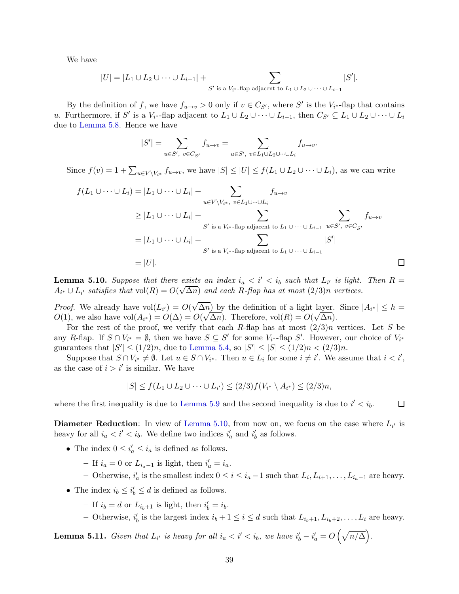We have

$$
|U| = |L_1 \cup L_2 \cup \cdots \cup L_{i-1}| + \sum_{S' \text{ is a } V_{i^*} \text{-flap adjacent to } L_1 \cup L_2 \cup \cdots \cup L_{i-1}} |S'|.
$$

By the definition of f, we have  $f_{u\to v} > 0$  only if  $v \in C_{S'}$ , where S' is the  $V_{i^*}$ -flap that contains u. Furthermore, if S' is a  $V_{i^*}$ -flap adjacent to  $L_1 \cup L_2 \cup \cdots \cup L_{i-1}$ , then  $C_{S'} \subseteq L_1 \cup L_2 \cup \cdots \cup L_i$ due to [Lemma 5.8.](#page-38-0) Hence we have

$$
|S'|=\sum_{u\in S',\ v\in C_{S'}}f_{u\rightarrow v}=\sum_{u\in S',\ v\in L_1\cup L_2\cup\dots\cup L_i}f_{u\rightarrow v}.
$$

Since  $f(v) = 1 + \sum_{u \in V \setminus V_{i^*}} f_{u \to v}$ , we have  $|S| \leq |U| \leq f(L_1 \cup L_2 \cup \cdots \cup L_i)$ , as we can write

$$
f(L_1 \cup \cdots \cup L_i) = |L_1 \cup \cdots \cup L_i| + \sum_{u \in V \setminus V_{i^*}, v \in L_1 \cup \cdots \cup L_i} f_{u \to v}
$$
  
\n
$$
\geq |L_1 \cup \cdots \cup L_i| + \sum_{S' \text{ is a } V_{i^*} \text{-flap adjacent to } L_1 \cup \cdots \cup L_{i-1}} \sum_{u \in S', v \in C_{S'}} f_{u \to v}
$$
  
\n
$$
= |L_1 \cup \cdots \cup L_i| + \sum_{S' \text{ is a } V_{i^*} \text{-flap adjacent to } L_1 \cup \cdots \cup L_{i-1}} |S'|
$$
  
\n
$$
= |U|.
$$

<span id="page-39-0"></span>**Lemma 5.10.** Suppose that there exists an index  $i_a < i' < i_b$  such that  $L_{i'}$  is light. Then  $R =$  $A_{i^*} \cup L_{i'}$  satisfies that  $vol(R) = O(\sqrt{\Delta n})$  and each R-flap has at most  $(2/3)n$  vertices.

*Proof.* We already have  $vol(L_{i'}) = O(\sqrt{\Delta n})$  by the definition of a light layer. Since  $|A_{i^*}| \leq h =$  $O(1)$ , we also have vol $(A_{i^*}) = O(\Delta) = O(\sqrt{\Delta n})$ . Therefore, vol $(R) = O(\sqrt{\Delta n})$ .

For the rest of the proof, we verify that each R-flap has at most  $(2/3)n$  vertices. Let S be any R-flap. If  $S \cap V_{i^*} = \emptyset$ , then we have  $S \subseteq S'$  for some  $V_{i^*}$ -flap  $S'$ . However, our choice of  $V_{i^*}$ guarantees that  $|S'| \le (1/2)n$ , due to [Lemma 5.4,](#page-35-1) so  $|S'| \le |S| \le (1/2)n < (2/3)n$ .

Suppose that  $S \cap V_{i^*} \neq \emptyset$ . Let  $u \in S \cap V_{i^*}$ . Then  $u \in L_i$  for some  $i \neq i'$ . We assume that  $i < i'$ , as the case of  $i > i'$  is similar. We have

$$
|S| \le f(L_1 \cup L_2 \cup \cdots \cup L_{i'}) \le (2/3) f(V_{i^*} \setminus A_{i^*}) \le (2/3)n,
$$

where the first inequality is due to [Lemma 5.9](#page-38-1) and the second inequality is due to  $i' < i_b$ .

**Diameter Reduction**: In view of [Lemma 5.10,](#page-39-0) from now on, we focus on the case where  $L_{i'}$  is heavy for all  $i_a < i' < i_b$ . We define two indices  $i'_a$  and  $i'_b$  as follows.

- The index  $0 \leq i_a' \leq i_a$  is defined as follows.
	- $-$  If  $i_a = 0$  or  $L_{i_a-1}$  is light, then  $i'_a = i_a$ .
	- − Otherwise,  $i'_a$  is the smallest index  $0 \le i \le i_a 1$  such that  $L_i, L_{i+1}, \ldots, L_{i_a-1}$  are heavy.
- The index  $i_b \leq i'_b \leq d$  is defined as follows.
	- If  $i_b = d$  or  $L_{i_b+1}$  is light, then  $i'_b = i_b$ .
	- $-$  Otherwise,  $i'_b$  is the largest index  $i_b + 1 \leq i \leq d$  such that  $L_{i_b+1}, L_{i_b+2}, \ldots, L_i$  are heavy.

<span id="page-39-1"></span>**Lemma 5.11.** *Given that*  $L_{i'}$  *is heavy for all*  $i_a < i' < i_b$ *, we have*  $i'_b - i'_a = O\left(\sqrt{n/\Delta}\right)$ *.* 

 $\Box$ 

 $\Box$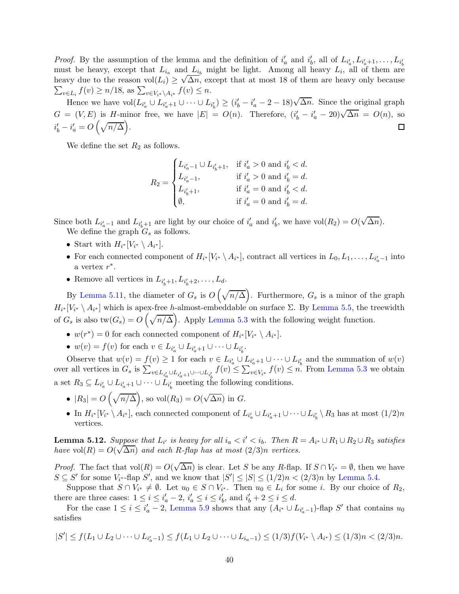*Proof.* By the assumption of the lemma and the definition of  $i'_a$  and  $i'_b$ , all of  $L_{i'_a}, L_{i'_a+1}, \ldots, L_{i'_t}$ must be heavy, except that  $L_{i_a}$  and  $L_{i_b}$  might be light. Among all heavy  $L_i$ , all of them are heavy due to the reason  $vol(L_i) \geq \sqrt{\Delta n}$ , except that at most 18 of them are heavy only because  $\sum_{v \in L_i} f(v) \ge n/18$ , as  $\sum_{v \in V_{i^*} \setminus A_{i^*}} f(v) \le n$ .

Hence we have  $\text{vol}(L_{i'_a} \cup L_{i'_a+1} \cup \cdots \cup L_{i'_b}) \ge (i'_b - i'_a - 2 - 18)\sqrt{\Delta n}$ . Since the original graph  $G = (V, E)$  is H-minor free, we have  $|E| = O(n)$ . Therefore,  $(i'_b - i'_a - 20)\sqrt{\Delta n} = O(n)$ , so  $i'_b - i'_a = O\left(\sqrt{n/\Delta}\right).$  $\Box$ 

We define the set  $R_2$  as follows.

$$
R_2 = \begin{cases} L_{i'_a - 1} \cup L_{i'_b + 1}, & \text{if } i'_a > 0 \text{ and } i'_b < d. \\ L_{i'_a - 1}, & \text{if } i'_a > 0 \text{ and } i'_b = d. \\ L_{i'_b + 1}, & \text{if } i'_a = 0 \text{ and } i'_b < d. \\ \emptyset, & \text{if } i'_a = 0 \text{ and } i'_b = d. \end{cases}
$$

Since both  $L_{i'_a-1}$  and  $L_{i'_b+1}$  are light by our choice of  $i'_a$  and  $i'_b$ , we have  $vol(R_2) = O(\sqrt{\Delta n}).$ We define the graph  $G_s$  as follows.

- Start with  $H_{i^*}[V_{i^*} \setminus A_{i^*}].$
- For each connected component of  $H_{i^*}[V_{i^*} \setminus A_{i^*}]$ , contract all vertices in  $L_0, L_1, \ldots, L_{i'_a-1}$  into a vertex  $r^*$ .
- Remove all vertices in  $L_{i'_b+1}, L_{i'_b+2}, \ldots, L_d$ .

By [Lemma 5.11,](#page-39-1) the diameter of  $G_s$  is  $O(\sqrt{n/\Delta})$ . Furthermore,  $G_s$  is a minor of the graph  $H_{i^*}[V_{i^*} \setminus A_{i^*}]$  which is apex-free h-almost-embeddable on surface  $\Sigma$ . By [Lemma 5.5,](#page-35-2) the treewidth of  $G_s$  is also tw $(G_s) = O\left(\sqrt{n/\Delta}\right)$ . Apply [Lemma 5.3](#page-34-1) with the following weight function.

- $w(r^*) = 0$  for each connected component of  $H_{i^*}[V_{i^*} \setminus A_{i^*}].$
- $w(v) = f(v)$  for each  $v \in L_{i'_a} \cup L_{i'_a+1} \cup \cdots \cup L_{i'_b}$ .

Observe that  $w(v) = f(v) \ge 1$  for each  $v \in L_{i'_a} \cup L_{i'_a+1} \cup \cdots \cup L_{i'_b}$  and the summation of  $w(v)$ over all vertices in  $G_s$  is  $\sum_{v \in L_{i'_a} \cup L_{i'_a+1} \cup \cdots \cup L_{i'_b}} f(v) \leq \sum_{v \in V_{i^*}} f(v) \leq n$ . From [Lemma 5.3](#page-34-1) we obtain a set  $R_3 \subseteq L_{i'_a} \cup L_{i'_a+1} \cup \cdots \cup L_{i'_b}$  meeting the following conditions.

- $|R_3| = O\left(\sqrt{n/\Delta}\right)$ , so vol $(R_3) = O(\sqrt{\Delta n})$  in G.
- In  $H_{i^*}[V_{i^*} \setminus A_{i^*}]$ , each connected component of  $L_{i'_a} \cup L_{i'_a+1} \cup \cdots \cup L_{i'_b} \setminus R_3$  has at most  $(1/2)n$ vertices.

<span id="page-40-0"></span>**Lemma 5.12.** Suppose that  $L_{i'}$  is heavy for all  $i_a < i' < i_b$ . Then  $R = A_{i^*} \cup R_1 \cup R_2 \cup R_3$  satisfies *have* vol( $R$ ) =  $O(\sqrt{\Delta n})$  *and each* R-flap has at most (2/3)n *vertices.* 

*Proof.* The fact that  $vol(R) = O(\sqrt{\Delta n})$  is clear. Let S be any R-flap. If  $S \cap V_{i^*} = \emptyset$ , then we have  $S \subseteq S'$  for some  $V_{i^*}$ -flap  $S'$ , and we know that  $|S'| \leq |S| \leq (1/2)n < (2/3)n$  by [Lemma 5.4.](#page-35-1)

Suppose that  $S \cap V_{i^*} \neq \emptyset$ . Let  $u_0 \in S \cap V_{i^*}$ . Then  $u_0 \in L_i$  for some *i*. By our choice of  $R_2$ , there are three cases:  $1 \leq i \leq i'_{a} - 2$ ,  $i'_{a} \leq i \leq i'_{b}$ , and  $i'_{b} + 2 \leq i \leq d$ .

For the case  $1 \leq i \leq i'_{a} - 2$ , [Lemma 5.9](#page-38-1) shows that any  $(A_{i^*} \cup L_{i'_{a}-1})$ -flap S' that contains  $u_0$ satisfies

$$
|S'| \le f(L_1 \cup L_2 \cup \cdots \cup L_{i'_a-1}) \le f(L_1 \cup L_2 \cup \cdots \cup L_{i_a-1}) \le (1/3)f(V_{i^*} \setminus A_{i^*}) \le (1/3)n < (2/3)n.
$$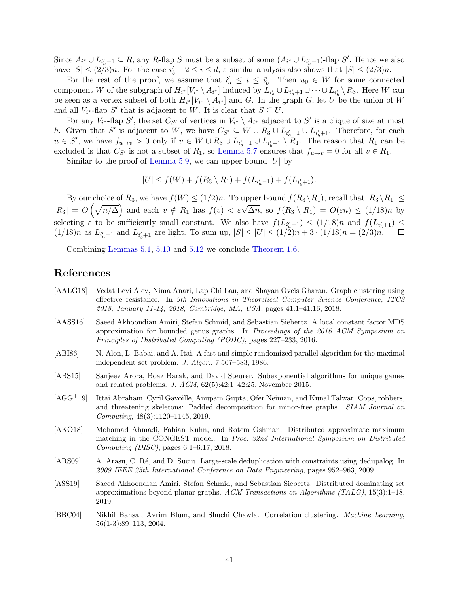Since  $A_{i^*} \cup L_{i_a'-1} \subseteq R$ , any R-flap S must be a subset of some  $(A_{i^*} \cup L_{i_a'-1})$ -flap S'. Hence we also have  $|S| \leq (2/3)n$ . For the case  $i'_b + 2 \leq i \leq d$ , a similar analysis also shows that  $|S| \leq (2/3)n$ .

For the rest of the proof, we assume that  $i'_a \leq i \leq i'_b$ . Then  $u_0 \in W$  for some connected component W of the subgraph of  $H_{i^*}[V_{i^*} \setminus A_{i^*}]$  induced by  $L_{i'_a} \cup L_{i'_a+1} \cup \cdots \cup L_{i'_b} \setminus R_3$ . Here W can be seen as a vertex subset of both  $H_{i^*}[V_{i^*} \setminus A_{i^*}]$  and G. In the graph G, let U be the union of W and all  $V_{i^*}$ -flap S' that is adjacent to W. It is clear that  $S \subseteq U$ .

For any  $V_{i^*}$ -flap S', the set  $C_{S'}$  of vertices in  $V_{i^*} \setminus A_{i^*}$  adjacent to S' is a clique of size at most h. Given that S' is adjacent to W, we have  $C_{S'} \subseteq W \cup R_3 \cup L_{i'_a-1} \cup L_{i'_b+1}$ . Therefore, for each  $u \in S'$ , we have  $f_{u \to v} > 0$  only if  $v \in W \cup R_3 \cup L_{i'_a-1} \cup L_{i'_b+1} \setminus R_1$ . The reason that  $R_1$  can be excluded is that  $C_{S'}$  is not a subset of  $R_1$ , so [Lemma 5.7](#page-37-1) ensures that  $f_{u\to v} = 0$  for all  $v \in R_1$ .

Similar to the proof of [Lemma 5.9,](#page-38-1) we can upper bound  $|U|$  by

$$
|U| \le f(W) + f(R_3 \setminus R_1) + f(L_{i'_a-1}) + f(L_{i'_b+1}).
$$

By our choice of  $R_3$ , we have  $f(W) \le (1/2)n$ . To upper bound  $f(R_3 \setminus R_1)$ , recall that  $|R_3 \setminus R_1| \le$  $|R_3| = O(\sqrt{n/\Delta})$  and each  $v \notin R_1$  has  $f(v) < \varepsilon \sqrt{\Delta n}$ , so  $f(R_3 \setminus R_1) = O(\varepsilon n) \le (1/18)n$  by selecting  $\varepsilon$  to be sufficiently small constant. We also have  $f(L_{i'_a-1}) \leq (1/18)n$  and  $f(L_{i'_b+1}) \leq$  $(1/18)n$  as  $L_{i'_a-1}$  and  $L_{i'_b+1}$  are light. To sum up,  $|S| \leq |U| \leq (1/2)n + 3 \cdot (1/18)n = (2/3)n$ .

Combining [Lemmas 5.1,](#page-33-1) [5.10](#page-39-0) and [5.12](#page-40-0) we conclude [Theorem 1.6.](#page-6-0)

# References

- <span id="page-41-8"></span>[AALG18] Vedat Levi Alev, Nima Anari, Lap Chi Lau, and Shayan Oveis Gharan. Graph clustering using effective resistance. In *9th Innovations in Theoretical Computer Science Conference, ITCS 2018, January 11-14, 2018, Cambridge, MA, USA*, pages 41:1–41:16, 2018.
- <span id="page-41-6"></span>[AASS16] Saeed Akhoondian Amiri, Stefan Schmid, and Sebastian Siebertz. A local constant factor MDS approximation for bounded genus graphs. In *Proceedings of the 2016 ACM Symposium on Principles of Distributed Computing (PODC)*, pages 227–233, 2016.
- <span id="page-41-0"></span>[ABI86] N. Alon, L. Babai, and A. Itai. A fast and simple randomized parallel algorithm for the maximal independent set problem. *J. Algor.*, 7:567–583, 1986.
- <span id="page-41-5"></span>[ABS15] Sanjeev Arora, Boaz Barak, and David Steurer. Subexponential algorithms for unique games and related problems. *J. ACM*, 62(5):42:1–42:25, November 2015.
- <span id="page-41-4"></span>[AGG<sup>+</sup>19] Ittai Abraham, Cyril Gavoille, Anupam Gupta, Ofer Neiman, and Kunal Talwar. Cops, robbers, and threatening skeletons: Padded decomposition for minor-free graphs. *SIAM Journal on Computing*, 48(3):1120–1145, 2019.
- <span id="page-41-1"></span>[AKO18] Mohamad Ahmadi, Fabian Kuhn, and Rotem Oshman. Distributed approximate maximum matching in the CONGEST model. In *Proc. 32nd International Symposium on Distributed Computing (DISC)*, pages 6:1–6:17, 2018.
- <span id="page-41-3"></span>[ARS09] A. Arasu, C. Ré, and D. Suciu. Large-scale deduplication with constraints using dedupalog. In *2009 IEEE 25th International Conference on Data Engineering*, pages 952–963, 2009.
- <span id="page-41-7"></span>[ASS19] Saeed Akhoondian Amiri, Stefan Schmid, and Sebastian Siebertz. Distributed dominating set approximations beyond planar graphs. *ACM Transactions on Algorithms (TALG)*, 15(3):1–18, 2019.
- <span id="page-41-2"></span>[BBC04] Nikhil Bansal, Avrim Blum, and Shuchi Chawla. Correlation clustering. *Machine Learning*, 56(1-3):89–113, 2004.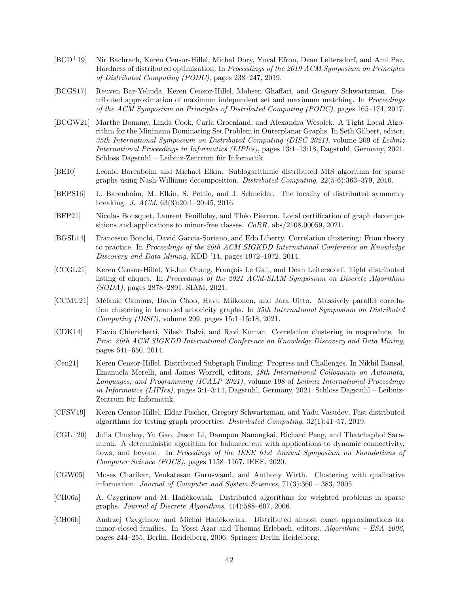- <span id="page-42-0"></span>[BCD<sup>+</sup>19] Nir Bachrach, Keren Censor-Hillel, Michal Dory, Yuval Efron, Dean Leitersdorf, and Ami Paz. Hardness of distributed optimization. In *Proceedings of the 2019 ACM Symposium on Principles of Distributed Computing (PODC)*, pages 238–247, 2019.
- <span id="page-42-1"></span>[BCGS17] Reuven Bar-Yehuda, Keren Censor-Hillel, Mohsen Ghaffari, and Gregory Schwartzman. Distributed approximation of maximum independent set and maximum matching. In *Proceedings of the ACM Symposium on Principles of Distributed Computing (PODC)*, pages 165–174, 2017.
- <span id="page-42-11"></span>[BCGW21] Marthe Bonamy, Linda Cook, Carla Groenland, and Alexandra Wesolek. A Tight Local Algorithm for the Minimum Dominating Set Problem in Outerplanar Graphs. In Seth Gilbert, editor, *35th International Symposium on Distributed Computing (DISC 2021)*, volume 209 of *Leibniz International Proceedings in Informatics (LIPIcs)*, pages 13:1–13:18, Dagstuhl, Germany, 2021. Schloss Dagstuhl – Leibniz-Zentrum für Informatik.
- <span id="page-42-14"></span>[BE10] Leonid Barenboim and Michael Elkin. Sublogarithmic distributed MIS algorithm for sparse graphs using Nash-Williams decomposition. *Distributed Computing*, 22(5-6):363–379, 2010.
- <span id="page-42-2"></span>[BEPS16] L. Barenboim, M. Elkin, S. Pettie, and J. Schneider. The locality of distributed symmetry breaking. *J. ACM*, 63(3):20:1–20:45, 2016.
- [BFP21] Nicolas Bousquet, Laurent Feuilloley, and Théo Pierron. Local certification of graph decompositions and applications to minor-free classes. *CoRR*, abs/2108.00059, 2021.
- <span id="page-42-4"></span>[BGSL14] Francesco Bonchi, David Garcia-Soriano, and Edo Liberty. Correlation clustering: From theory to practice. In *Proceedings of the 20th ACM SIGKDD International Conference on Knowledge Discovery and Data Mining*, KDD '14, pages 1972–1972, 2014.
- <span id="page-42-9"></span>[CCGL21] Keren Censor-Hillel, Yi-Jun Chang, François Le Gall, and Dean Leitersdorf. Tight distributed listing of cliques. In *Proceedings of the 2021 ACM-SIAM Symposium on Discrete Algorithms (SODA)*, pages 2878–2891. SIAM, 2021.
- <span id="page-42-6"></span>[CCMU21] Mélanie Cambus, Davin Choo, Havu Miikonen, and Jara Uitto. Massively parallel correlation clustering in bounded arboricity graphs. In *35th International Symposium on Distributed Computing (DISC)*, volume 209, pages 15:1–15:18, 2021.
- <span id="page-42-3"></span>[CDK14] Flavio Chierichetti, Nilesh Dalvi, and Ravi Kumar. Correlation clustering in mapreduce. In *Proc. 20th ACM SIGKDD International Conference on Knowledge Discovery and Data Mining*, pages 641–650, 2014.
- <span id="page-42-10"></span>[Cen21] Keren Censor-Hillel. Distributed Subgraph Finding: Progress and Challenges. In Nikhil Bansal, Emanuela Merelli, and James Worrell, editors, *48th International Colloquium on Automata, Languages, and Programming (ICALP 2021)*, volume 198 of *Leibniz International Proceedings in Informatics (LIPIcs)*, pages 3:1–3:14, Dagstuhl, Germany, 2021. Schloss Dagstuhl – Leibniz-Zentrum für Informatik.
- <span id="page-42-7"></span>[CFSV19] Keren Censor-Hillel, Eldar Fischer, Gregory Schwartzman, and Yadu Vasudev. Fast distributed algorithms for testing graph properties. *Distributed Computing*, 32(1):41–57, 2019.
- <span id="page-42-8"></span>[CGL<sup>+</sup>20] Julia Chuzhoy, Yu Gao, Jason Li, Danupon Nanongkai, Richard Peng, and Thatchaphol Saranurak. A deterministic algorithm for balanced cut with applications to dynamic connectivity, flows, and beyond. In *Proeedings of the IEEE 61st Annual Symposium on Foundations of Computer Science (FOCS)*, pages 1158–1167. IEEE, 2020.
- <span id="page-42-5"></span>[CGW05] Moses Charikar, Venkatesan Guruswami, and Anthony Wirth. Clustering with qualitative information. *Journal of Computer and System Sciences*, 71(3):360 – 383, 2005.
- <span id="page-42-12"></span>[CH06a] A. Czygrinow and M. Han´ckowiak. Distributed algorithms for weighted problems in sparse graphs. *Journal of Discrete Algorithms*, 4(4):588–607, 2006.
- <span id="page-42-13"></span>[CH06b] Andrzej Czygrinow and Michał Hańćkowiak. Distributed almost exact approximations for minor-closed families. In Yossi Azar and Thomas Erlebach, editors, *Algorithms – ESA 2006*, pages 244–255, Berlin, Heidelberg, 2006. Springer Berlin Heidelberg.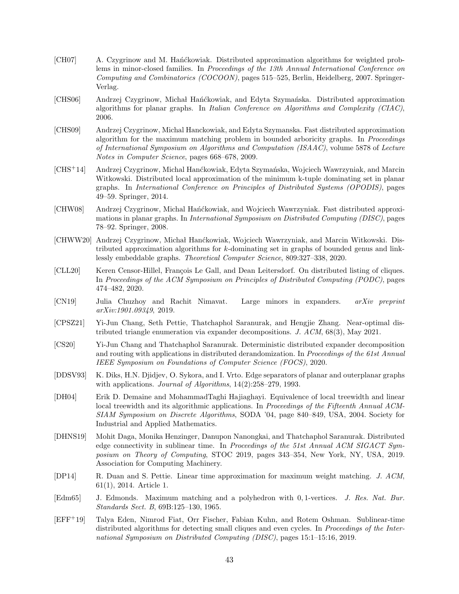- <span id="page-43-11"></span>[CH07] A. Czygrinow and M. Hańćkowiak. Distributed approximation algorithms for weighted problems in minor-closed families. In *Proceedings of the 13th Annual International Conference on Computing and Combinatorics (COCOON)*, pages 515–525, Berlin, Heidelberg, 2007. Springer-Verlag.
- <span id="page-43-6"></span>[CHS06] Andrzej Czygrinow, Michał Hańćkowiak, and Edyta Szymańska. Distributed approximation algorithms for planar graphs. In *Italian Conference on Algorithms and Complexity (CIAC)*, 2006.
- <span id="page-43-1"></span>[CHS09] Andrzej Czygrinow, Michal Hanckowiak, and Edyta Szymanska. Fast distributed approximation algorithm for the maximum matching problem in bounded arboricity graphs. In *Proceedings of International Symposium on Algorithms and Computation (ISAAC)*, volume 5878 of *Lecture Notes in Computer Science*, pages 668–678, 2009.
- <span id="page-43-12"></span>[CHS<sup>+</sup>14] Andrzej Czygrinow, Michal Han´ckowiak, Edyta Szyma´nska, Wojciech Wawrzyniak, and Marcin Witkowski. Distributed local approximation of the minimum k-tuple dominating set in planar graphs. In *International Conference on Principles of Distributed Systems (OPODIS)*, pages 49–59. Springer, 2014.
- <span id="page-43-0"></span>[CHW08] Andrzej Czygrinow, Michal Hańćkowiak, and Wojciech Wawrzyniak. Fast distributed approximations in planar graphs. In *International Symposium on Distributed Computing (DISC)*, pages 78–92. Springer, 2008.
- <span id="page-43-13"></span>[CHWW20] Andrzej Czygrinow, Michał Hanćkowiak, Wojciech Wawrzyniak, and Marcin Witkowski. Distributed approximation algorithms for k-dominating set in graphs of bounded genus and linklessly embeddable graphs. *Theoretical Computer Science*, 809:327–338, 2020.
- <span id="page-43-8"></span>[CLL20] Keren Censor-Hillel, François Le Gall, and Dean Leitersdorf. On distributed listing of cliques. In *Proceedings of the ACM Symposium on Principles of Distributed Computing (PODC)*, pages 474–482, 2020.
- <span id="page-43-5"></span>[CN19] Julia Chuzhoy and Rachit Nimavat. Large minors in expanders. *arXiv preprint arXiv:1901.09349*, 2019.
- <span id="page-43-3"></span>[CPSZ21] Yi-Jun Chang, Seth Pettie, Thatchaphol Saranurak, and Hengjie Zhang. Near-optimal distributed triangle enumeration via expander decompositions. *J. ACM*, 68(3), May 2021.
- <span id="page-43-2"></span>[CS20] Yi-Jun Chang and Thatchaphol Saranurak. Deterministic distributed expander decomposition and routing with applications in distributed derandomization. In *Proceedings of the 61st Annual IEEE Symposium on Foundations of Computer Science (FOCS)*, 2020.
- <span id="page-43-4"></span>[DDSV93] K. Diks, H.N. Djidjev, O. Sykora, and I. Vrto. Edge separators of planar and outerplanar graphs with applications. *Journal of Algorithms*, 14(2):258–279, 1993.
- <span id="page-43-14"></span>[DH04] Erik D. Demaine and MohammadTaghi Hajiaghayi. Equivalence of local treewidth and linear local treewidth and its algorithmic applications. In *Proceedings of the Fifteenth Annual ACM-SIAM Symposium on Discrete Algorithms*, SODA '04, page 840–849, USA, 2004. Society for Industrial and Applied Mathematics.
- <span id="page-43-10"></span>[DHNS19] Mohit Daga, Monika Henzinger, Danupon Nanongkai, and Thatchaphol Saranurak. Distributed edge connectivity in sublinear time. In *Proceedings of the 51st Annual ACM SIGACT Symposium on Theory of Computing*, STOC 2019, pages 343–354, New York, NY, USA, 2019. Association for Computing Machinery.
- <span id="page-43-7"></span>[DP14] R. Duan and S. Pettie. Linear time approximation for maximum weight matching. *J. ACM*, 61(1), 2014. Article 1.
- <span id="page-43-15"></span>[Edm65] J. Edmonds. Maximum matching and a polyhedron with 0, 1-vertices. *J. Res. Nat. Bur. Standards Sect. B*, 69B:125–130, 1965.
- <span id="page-43-9"></span>[EFF+19] Talya Eden, Nimrod Fiat, Orr Fischer, Fabian Kuhn, and Rotem Oshman. Sublinear-time distributed algorithms for detecting small cliques and even cycles. In *Proceedings of the International Symposium on Distributed Computing (DISC)*, pages 15:1–15:16, 2019.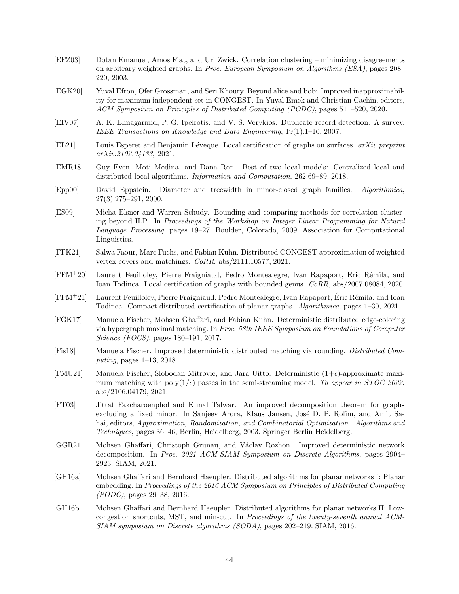- <span id="page-44-9"></span>[EFZ03] Dotan Emanuel, Amos Fiat, and Uri Zwick. Correlation clustering – minimizing disagreements on arbitrary weighted graphs. In *Proc. European Symposium on Algorithms (ESA)*, pages 208– 220, 2003.
- <span id="page-44-0"></span>[EGK20] Yuval Efron, Ofer Grossman, and Seri Khoury. Beyond alice and bob: Improved inapproximability for maximum independent set in CONGEST. In Yuval Emek and Christian Cachin, editors, *ACM Symposium on Principles of Distributed Computing (PODC)*, pages 511–520, 2020.
- <span id="page-44-8"></span>[EIV07] A. K. Elmagarmid, P. G. Ipeirotis, and V. S. Verykios. Duplicate record detection: A survey. *IEEE Transactions on Knowledge and Data Engineering*, 19(1):1–16, 2007.
- <span id="page-44-14"></span>[EL21] Louis Esperet and Benjamin Lévêque. Local certification of graphs on surfaces. *arXiv preprint arXiv:2102.04133*, 2021.
- <span id="page-44-4"></span>[EMR18] Guy Even, Moti Medina, and Dana Ron. Best of two local models: Centralized local and distributed local algorithms. *Information and Computation*, 262:69–89, 2018.
- <span id="page-44-15"></span>[Epp00] David Eppstein. Diameter and treewidth in minor-closed graph families. *Algorithmica*, 27(3):275–291, 2000.
- <span id="page-44-7"></span>[ES09] Micha Elsner and Warren Schudy. Bounding and comparing methods for correlation clustering beyond ILP. In *Proceedings of the Workshop on Integer Linear Programming for Natural Language Processing*, pages 19–27, Boulder, Colorado, 2009. Association for Computational Linguistics.
- <span id="page-44-2"></span>[FFK21] Salwa Faour, Marc Fuchs, and Fabian Kuhn. Distributed CONGEST approximation of weighted vertex covers and matchings. *CoRR*, abs/2111.10577, 2021.
- [FFM<sup>+</sup>20] Laurent Feuilloley, Pierre Fraigniaud, Pedro Montealegre, Ivan Rapaport, Eric R´emila, and Ioan Todinca. Local certification of graphs with bounded genus. *CoRR*, abs/2007.08084, 2020.
- <span id="page-44-13"></span>[FFM<sup>+</sup>21] Laurent Feuilloley, Pierre Fraigniaud, Pedro Montealegre, Ivan Rapaport, Eric R´emila, and Ioan ´ Todinca. Compact distributed certification of planar graphs. *Algorithmica*, pages 1–30, 2021.
- <span id="page-44-5"></span>[FGK17] Manuela Fischer, Mohsen Ghaffari, and Fabian Kuhn. Deterministic distributed edge-coloring via hypergraph maximal matching. In *Proc. 58th IEEE Symposium on Foundations of Computer Science (FOCS)*, pages 180–191, 2017.
- <span id="page-44-1"></span>[Fis18] Manuela Fischer. Improved deterministic distributed matching via rounding. *Distributed Computing*, pages 1–13, 2018.
- <span id="page-44-3"></span>[FMU21] Manuela Fischer, Slobodan Mitrovic, and Jara Uitto. Deterministic  $(1+\epsilon)$ -approximate maximum matching with poly $(1/\epsilon)$  passes in the semi-streaming model. To appear in STOC 2022, abs/2106.04179, 2021.
- <span id="page-44-11"></span>[FT03] Jittat Fakcharoenphol and Kunal Talwar. An improved decomposition theorem for graphs excluding a fixed minor. In Sanjeev Arora, Klaus Jansen, José D. P. Rolim, and Amit Sahai, editors, *Approximation, Randomization, and Combinatorial Optimization.. Algorithms and Techniques*, pages 36–46, Berlin, Heidelberg, 2003. Springer Berlin Heidelberg.
- <span id="page-44-6"></span>[GGR21] Mohsen Ghaffari, Christoph Grunau, and Václav Rozhon. Improved deterministic network decomposition. In *Proc. 2021 ACM-SIAM Symposium on Discrete Algorithms*, pages 2904– 2923. SIAM, 2021.
- <span id="page-44-10"></span>[GH16a] Mohsen Ghaffari and Bernhard Haeupler. Distributed algorithms for planar networks I: Planar embedding. In *Proceedings of the 2016 ACM Symposium on Principles of Distributed Computing (PODC)*, pages 29–38, 2016.
- <span id="page-44-12"></span>[GH16b] Mohsen Ghaffari and Bernhard Haeupler. Distributed algorithms for planar networks II: Lowcongestion shortcuts, MST, and min-cut. In *Proceedings of the twenty-seventh annual ACM-SIAM symposium on Discrete algorithms (SODA)*, pages 202–219. SIAM, 2016.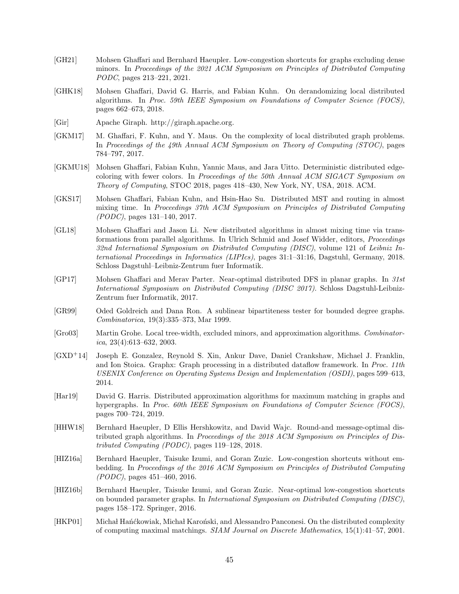- <span id="page-45-10"></span>[GH21] Mohsen Ghaffari and Bernhard Haeupler. Low-congestion shortcuts for graphs excluding dense minors. In *Proceedings of the 2021 ACM Symposium on Principles of Distributed Computing PODC*, pages 213–221, 2021.
- <span id="page-45-4"></span>[GHK18] Mohsen Ghaffari, David G. Harris, and Fabian Kuhn. On derandomizing local distributed algorithms. In *Proc. 59th IEEE Symposium on Foundations of Computer Science (FOCS)*, pages 662–673, 2018.
- <span id="page-45-1"></span>[Gir] Apache Giraph. http://giraph.apache.org.
- <span id="page-45-2"></span>[GKM17] M. Ghaffari, F. Kuhn, and Y. Maus. On the complexity of local distributed graph problems. In *Proceedings of the 49th Annual ACM Symposium on Theory of Computing (STOC)*, pages 784–797, 2017.
- <span id="page-45-5"></span>[GKMU18] Mohsen Ghaffari, Fabian Kuhn, Yannic Maus, and Jara Uitto. Deterministic distributed edgecoloring with fewer colors. In *Proceedings of the 50th Annual ACM SIGACT Symposium on Theory of Computing*, STOC 2018, pages 418–430, New York, NY, USA, 2018. ACM.
- <span id="page-45-8"></span>[GKS17] Mohsen Ghaffari, Fabian Kuhn, and Hsin-Hao Su. Distributed MST and routing in almost mixing time. In *Proceedings 37th ACM Symposium on Principles of Distributed Computing (PODC)*, pages 131–140, 2017.
- <span id="page-45-9"></span>[GL18] Mohsen Ghaffari and Jason Li. New distributed algorithms in almost mixing time via transformations from parallel algorithms. In Ulrich Schmid and Josef Widder, editors, *Proceedings 32nd International Symposium on Distributed Computing (DISC)*, volume 121 of *Leibniz International Proceedings in Informatics (LIPIcs)*, pages 31:1–31:16, Dagstuhl, Germany, 2018. Schloss Dagstuhl–Leibniz-Zentrum fuer Informatik.
- <span id="page-45-11"></span>[GP17] Mohsen Ghaffari and Merav Parter. Near-optimal distributed DFS in planar graphs. In *31st International Symposium on Distributed Computing (DISC 2017)*. Schloss Dagstuhl-Leibniz-Zentrum fuer Informatik, 2017.
- <span id="page-45-7"></span>[GR99] Oded Goldreich and Dana Ron. A sublinear bipartiteness tester for bounded degree graphs. *Combinatorica*, 19(3):335–373, Mar 1999.
- <span id="page-45-15"></span>[Gro03] Martin Grohe. Local tree-width, excluded minors, and approximation algorithms. *Combinatorica*, 23(4):613–632, 2003.
- <span id="page-45-0"></span>[GXD<sup>+</sup>14] Joseph E. Gonzalez, Reynold S. Xin, Ankur Dave, Daniel Crankshaw, Michael J. Franklin, and Ion Stoica. Graphx: Graph processing in a distributed dataflow framework. In *Proc. 11th USENIX Conference on Operating Systems Design and Implementation (OSDI)*, pages 599–613, 2014.
- <span id="page-45-6"></span>[Har19] David G. Harris. Distributed approximation algorithms for maximum matching in graphs and hypergraphs. In *Proc. 60th IEEE Symposium on Foundations of Computer Science (FOCS)*, pages 700–724, 2019.
- <span id="page-45-14"></span>[HHW18] Bernhard Haeupler, D Ellis Hershkowitz, and David Wajc. Round-and message-optimal distributed graph algorithms. In *Proceedings of the 2018 ACM Symposium on Principles of Distributed Computing (PODC)*, pages 119–128, 2018.
- <span id="page-45-12"></span>[HIZ16a] Bernhard Haeupler, Taisuke Izumi, and Goran Zuzic. Low-congestion shortcuts without embedding. In *Proceedings of the 2016 ACM Symposium on Principles of Distributed Computing (PODC)*, pages 451–460, 2016.
- <span id="page-45-13"></span>[HIZ16b] Bernhard Haeupler, Taisuke Izumi, and Goran Zuzic. Near-optimal low-congestion shortcuts on bounded parameter graphs. In *International Symposium on Distributed Computing (DISC)*, pages 158–172. Springer, 2016.
- <span id="page-45-3"></span>[HKP01] Michał Hańćkowiak, Michał Karoński, and Alessandro Panconesi. On the distributed complexity of computing maximal matchings. *SIAM Journal on Discrete Mathematics*, 15(1):41–57, 2001.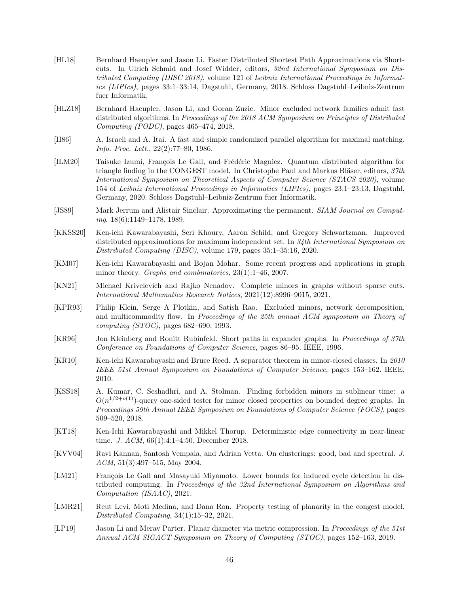- <span id="page-46-12"></span>[HL18] Bernhard Haeupler and Jason Li. Faster Distributed Shortest Path Approximations via Shortcuts. In Ulrich Schmid and Josef Widder, editors, *32nd International Symposium on Distributed Computing (DISC 2018)*, volume 121 of *Leibniz International Proceedings in Informatics (LIPIcs)*, pages 33:1–33:14, Dagstuhl, Germany, 2018. Schloss Dagstuhl–Leibniz-Zentrum fuer Informatik.
- <span id="page-46-11"></span>[HLZ18] Bernhard Haeupler, Jason Li, and Goran Zuzic. Minor excluded network families admit fast distributed algorithms. In *Proceedings of the 2018 ACM Symposium on Principles of Distributed Computing (PODC)*, pages 465–474, 2018.
- <span id="page-46-0"></span>[II86] A. Israeli and A. Itai. A fast and simple randomized parallel algorithm for maximal matching. *Info. Proc. Lett.*, 22(2):77–80, 1986.
- <span id="page-46-9"></span>[ILM20] Taisuke Izumi, François Le Gall, and Frédéric Magniez. Quantum distributed algorithm for triangle finding in the CONGEST model. In Christophe Paul and Markus Bläser, editors,  $37th$ *International Symposium on Theoretical Aspects of Computer Science (STACS 2020)*, volume 154 of *Leibniz International Proceedings in Informatics (LIPIcs)*, pages 23:1–23:13, Dagstuhl, Germany, 2020. Schloss Dagstuhl–Leibniz-Zentrum fuer Informatik.
- <span id="page-46-14"></span>[JS89] Mark Jerrum and Alistair Sinclair. Approximating the permanent. *SIAM Journal on Computing*, 18(6):1149–1178, 1989.
- <span id="page-46-1"></span>[KKSS20] Ken-ichi Kawarabayashi, Seri Khoury, Aaron Schild, and Gregory Schwartzman. Improved distributed approximations for maximum independent set. In *34th International Symposium on Distributed Computing (DISC)*, volume 179, pages 35:1–35:16, 2020.
- <span id="page-46-16"></span>[KM07] Ken-ichi Kawarabayashi and Bojan Mohar. Some recent progress and applications in graph minor theory. *Graphs and combinatorics*, 23(1):1–46, 2007.
- <span id="page-46-6"></span>[KN21] Michael Krivelevich and Rajko Nenadov. Complete minors in graphs without sparse cuts. *International Mathematics Research Notices*, 2021(12):8996–9015, 2021.
- <span id="page-46-3"></span>[KPR93] Philip Klein, Serge A Plotkin, and Satish Rao. Excluded minors, network decomposition, and multicommodity flow. In *Proceedings of the 25th annual ACM symposium on Theory of computing (STOC)*, pages 682–690, 1993.
- <span id="page-46-7"></span>[KR96] Jon Kleinberg and Ronitt Rubinfeld. Short paths in expander graphs. In *Proceedings of 37th Conference on Foundations of Computer Science*, pages 86–95. IEEE, 1996.
- <span id="page-46-8"></span>[KR10] Ken-ichi Kawarabayashi and Bruce Reed. A separator theorem in minor-closed classes. In *2010 IEEE 51st Annual Symposium on Foundations of Computer Science*, pages 153–162. IEEE, 2010.
- <span id="page-46-5"></span>[KSS18] A. Kumar, C. Seshadhri, and A. Stolman. Finding forbidden minors in sublinear time: a  $O(n^{1/2+o(1)})$ -query one-sided tester for minor closed properties on bounded degree graphs. In *Proceedings 59th Annual IEEE Symposium on Foundations of Computer Science (FOCS)*, pages 509–520, 2018.
- <span id="page-46-4"></span>[KT18] Ken-Ichi Kawarabayashi and Mikkel Thorup. Deterministic edge connectivity in near-linear time. *J. ACM*, 66(1):4:1–4:50, December 2018.
- <span id="page-46-15"></span>[KVV04] Ravi Kannan, Santosh Vempala, and Adrian Vetta. On clusterings: good, bad and spectral. *J. ACM*, 51(3):497–515, May 2004.
- <span id="page-46-10"></span>[LM21] François Le Gall and Masayuki Miyamoto. Lower bounds for induced cycle detection in distributed computing. In *Proceedings of the 32nd International Symposium on Algorithms and Computation (ISAAC)*, 2021.
- <span id="page-46-2"></span>[LMR21] Reut Levi, Moti Medina, and Dana Ron. Property testing of planarity in the congest model. *Distributed Computing*, 34(1):15–32, 2021.
- <span id="page-46-13"></span>[LP19] Jason Li and Merav Parter. Planar diameter via metric compression. In *Proceedings of the 51st Annual ACM SIGACT Symposium on Theory of Computing (STOC)*, pages 152–163, 2019.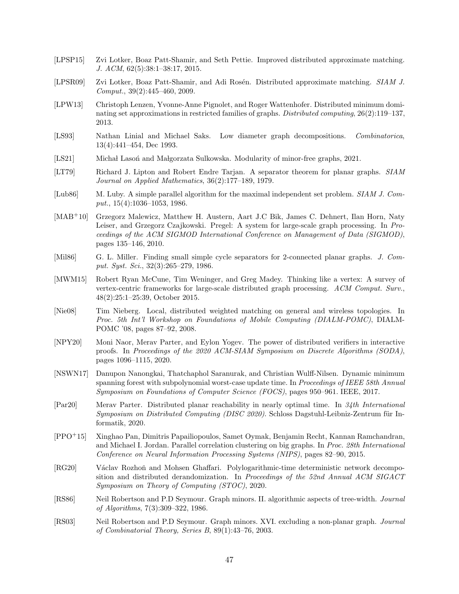- <span id="page-47-5"></span>[LPSP15] Zvi Lotker, Boaz Patt-Shamir, and Seth Pettie. Improved distributed approximate matching. *J. ACM*, 62(5):38:1–38:17, 2015.
- <span id="page-47-4"></span>[LPSR09] Zvi Lotker, Boaz Patt-Shamir, and Adi Rosén. Distributed approximate matching. *SIAM J. Comput.*, 39(2):445–460, 2009.
- <span id="page-47-13"></span>[LPW13] Christoph Lenzen, Yvonne-Anne Pignolet, and Roger Wattenhofer. Distributed minimum dominating set approximations in restricted families of graphs. *Distributed computing*, 26(2):119–137, 2013.
- <span id="page-47-9"></span>[LS93] Nathan Linial and Michael Saks. Low diameter graph decompositions. *Combinatorica*, 13(4):441–454, Dec 1993.
- <span id="page-47-11"></span>[LS21] Michał Lason and Małgorzata Sulkowska. Modularity of minor-free graphs, 2021.
- <span id="page-47-17"></span>[LT79] Richard J. Lipton and Robert Endre Tarjan. A separator theorem for planar graphs. *SIAM Journal on Applied Mathematics*, 36(2):177–189, 1979.
- <span id="page-47-3"></span>[Lub86] M. Luby. A simple parallel algorithm for the maximal independent set problem. *SIAM J. Comput.*, 15(4):1036–1053, 1986.
- <span id="page-47-0"></span>[MAB<sup>+</sup>10] Grzegorz Malewicz, Matthew H. Austern, Aart J.C Bik, James C. Dehnert, Ilan Horn, Naty Leiser, and Grzegorz Czajkowski. Pregel: A system for large-scale graph processing. In *Proceedings of the ACM SIGMOD International Conference on Management of Data (SIGMOD)*, pages 135–146, 2010.
- <span id="page-47-10"></span>[Mil86] G. L. Miller. Finding small simple cycle separators for 2-connected planar graphs. *J. Comput. Syst. Sci.*, 32(3):265–279, 1986.
- <span id="page-47-1"></span>[MWM15] Robert Ryan McCune, Tim Weninger, and Greg Madey. Thinking like a vertex: A survey of vertex-centric frameworks for large-scale distributed graph processing. *ACM Comput. Surv.*, 48(2):25:1–25:39, October 2015.
- <span id="page-47-6"></span>[Nie08] Tim Nieberg. Local, distributed weighted matching on general and wireless topologies. In *Proc. 5th Int'l Workshop on Foundations of Mobile Computing (DIALM-POMC)*, DIALM-POMC '08, pages 87–92, 2008.
- <span id="page-47-15"></span>[NPY20] Moni Naor, Merav Parter, and Eylon Yogev. The power of distributed verifiers in interactive proofs. In *Proceedings of the 2020 ACM-SIAM Symposium on Discrete Algorithms (SODA)*, pages 1096–1115, 2020.
- <span id="page-47-8"></span>[NSWN17] Danupon Nanongkai, Thatchaphol Saranurak, and Christian Wulff-Nilsen. Dynamic minimum spanning forest with subpolynomial worst-case update time. In *Proceedings of IEEE 58th Annual Symposium on Foundations of Computer Science (FOCS)*, pages 950–961. IEEE, 2017.
- <span id="page-47-14"></span>[Par20] Merav Parter. Distributed planar reachability in nearly optimal time. In *34th International Symposium on Distributed Computing (DISC 2020)*. Schloss Dagstuhl-Leibniz-Zentrum für Informatik, 2020.
- <span id="page-47-7"></span>[PPO<sup>+</sup>15] Xinghao Pan, Dimitris Papailiopoulos, Samet Oymak, Benjamin Recht, Kannan Ramchandran, and Michael I. Jordan. Parallel correlation clustering on big graphs. In *Proc. 28th International Conference on Neural Information Processing Systems (NIPS)*, pages 82–90, 2015.
- <span id="page-47-2"></span>[RG20] Václav Rozhoň and Mohsen Ghaffari. Polylogarithmic-time deterministic network decomposition and distributed derandomization. In *Proceedings of the 52nd Annual ACM SIGACT Symposium on Theory of Computing (STOC)*, 2020.
- <span id="page-47-16"></span>[RS86] Neil Robertson and P.D Seymour. Graph minors. II. algorithmic aspects of tree-width. *Journal of Algorithms*, 7(3):309–322, 1986.
- <span id="page-47-12"></span>[RS03] Neil Robertson and P.D Seymour. Graph minors. XVI. excluding a non-planar graph. *Journal of Combinatorial Theory, Series B*, 89(1):43–76, 2003.